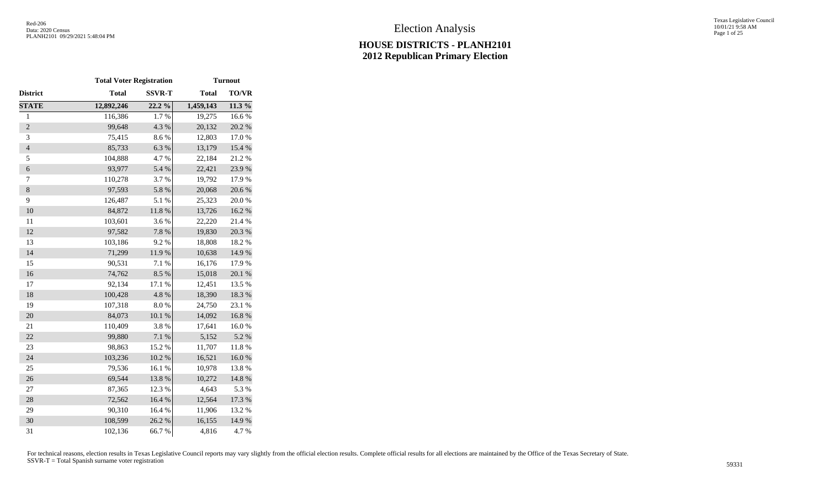Texas Legislative Council 10/01/21 9:58 AM Page 1 of 25

|                | <b>Total Voter Registration</b> |               |              | <b>Turnout</b> |
|----------------|---------------------------------|---------------|--------------|----------------|
| District       | <b>Total</b>                    | <b>SSVR-T</b> | <b>Total</b> | <b>TO/VR</b>   |
| <b>STATE</b>   | 12,892,246                      | $22.2\%$      | 1,459,143    | 11.3 %         |
| $\,1$          | 116,386                         | 1.7%          | 19,275       | 16.6%          |
| $\overline{c}$ | 99,648                          | 4.3 %         | 20,132       | 20.2 %         |
| 3              | 75,415                          | 8.6%          | 12,803       | 17.0%          |
| $\overline{4}$ | 85,733                          | 6.3%          | 13,179       | 15.4 %         |
| 5              | 104,888                         | 4.7%          | 22,184       | 21.2%          |
| 6              | 93,977                          | 5.4 %         | 22,421       | 23.9%          |
| 7              | 110,278                         | 3.7%          | 19,792       | 17.9%          |
| $\,8$          | 97,593                          | 5.8 %         | 20,068       | 20.6 %         |
| 9              | 126,487                         | 5.1 %         | 25,323       | 20.0%          |
| 10             | 84,872                          | 11.8 %        | 13,726       | 16.2%          |
| 11             | 103,601                         | 3.6%          | 22,220       | 21.4 %         |
| 12             | 97,582                          | 7.8 %         | 19,830       | 20.3 %         |
| 13             | 103,186                         | 9.2%          | 18,808       | 18.2 %         |
| 14             | 71,299                          | 11.9%         | 10,638       | 14.9%          |
| 15             | 90,531                          | 7.1 %         | 16,176       | 17.9%          |
| 16             | 74,762                          | 8.5%          | 15,018       | 20.1 %         |
| 17             | 92,134                          | 17.1 %        | 12,451       | 13.5 %         |
| 18             | 100,428                         | 4.8%          | 18,390       | 18.3 %         |
| 19             | 107,318                         | $8.0\ \%$     | 24,750       | 23.1 %         |
| 20             | 84,073                          | $10.1~\%$     | 14,092       | 16.8%          |
| 21             | 110,409                         | 3.8 %         | 17,641       | 16.0%          |
| 22             | 99,880                          | $7.1~\%$      | 5,152        | 5.2 %          |
| 23             | 98,863                          | 15.2 %        | 11,707       | 11.8%          |
| 24             | 103,236                         | $10.2~\%$     | 16,521       | $16.0~\%$      |
| 25             | 79,536                          | 16.1%         | 10,978       | 13.8 %         |
| 26             | 69,544                          | 13.8 %        | 10,272       | 14.8 %         |
| 27             | 87,365                          | 12.3 %        | 4,643        | 5.3%           |
| 28             | 72,562                          | 16.4%         | 12,564       | 17.3 %         |
| 29             | 90,310                          | 16.4 %        | 11,906       | 13.2 %         |
| 30             | 108,599                         | 26.2 %        | 16,155       | 14.9%          |
| 31             | 102,136                         | 66.7%         | 4,816        | 4.7%           |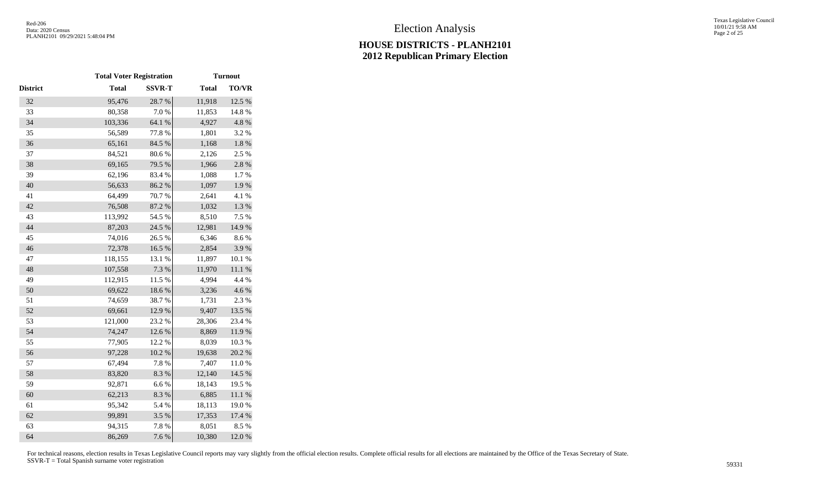|                 | <b>Total Voter Registration</b> |               |              | <b>Turnout</b> |
|-----------------|---------------------------------|---------------|--------------|----------------|
| <b>District</b> | <b>Total</b>                    | <b>SSVR-T</b> | <b>Total</b> | <b>TO/VR</b>   |
| 32              | 95,476                          | 28.7%         | 11,918       | 12.5 %         |
| 33              | 80,358                          | 7.0%          | 11,853       | 14.8%          |
| 34              | 103,336                         | 64.1 %        | 4,927        | 4.8 %          |
| 35              | 56,589                          | 77.8%         | 1,801        | 3.2 %          |
| 36              | 65,161                          | 84.5 %        | 1,168        | $1.8\ \%$      |
| 37              | 84,521                          | 80.6%         | 2,126        | 2.5 %          |
| 38              | 69,165                          | 79.5 %        | 1,966        | $2.8\ \%$      |
| 39              | 62,196                          | 83.4%         | 1,088        | 1.7%           |
| 40              | 56,633                          | 86.2%         | 1,097        | 1.9%           |
| 41              | 64,499                          | 70.7%         | 2,641        | 4.1 %          |
| 42              | 76,508                          | 87.2 %        | 1,032        | 1.3 %          |
| 43              | 113,992                         | 54.5 %        | 8,510        | 7.5 %          |
| 44              | 87,203                          | 24.5 %        | 12,981       | 14.9%          |
| 45              | 74,016                          | 26.5 %        | 6,346        | 8.6%           |
| 46              | 72,378                          | 16.5 %        | 2,854        | 3.9%           |
| 47              | 118,155                         | 13.1 %        | 11,897       | 10.1 %         |
| 48              | 107,558                         | 7.3 %         | 11,970       | 11.1%          |
| 49              | 112,915                         | 11.5 %        | 4,994        | 4.4 %          |
| 50              | 69,622                          | 18.6%         | 3,236        | 4.6 %          |
| 51              | 74,659                          | 38.7%         | 1,731        | 2.3 %          |
| 52              | 69,661                          | 12.9%         | 9,407        | 13.5 %         |
| 53              | 121,000                         | 23.2 %        | 28,306       | 23.4 %         |
| 54              | 74,247                          | 12.6%         | 8,869        | 11.9%          |
| 55              | 77,905                          | 12.2 %        | 8,039        | 10.3 %         |
| 56              | 97,228                          | $10.2~\%$     | 19,638       | 20.2 %         |
| 57              | 67,494                          | 7.8 %         | 7,407        | $11.0\ \%$     |
| 58              | 83,820                          | 8.3 %         | 12,140       | 14.5 %         |
| 59              | 92,871                          | $6.6\;\%$     | 18,143       | 19.5 %         |
| 60              | 62,213                          | 8.3 %         | 6,885        | $11.1\ \%$     |
| 61              | 95,342                          | 5.4 %         | 18,113       | 19.0%          |
| 62              | 99,891                          | 3.5 %         | 17,353       | 17.4 %         |
| 63              | 94,315                          | 7.8 %         | 8,051        | 8.5%           |
| 64              | 86,269                          | 7.6 %         | 10,380       | 12.0 %         |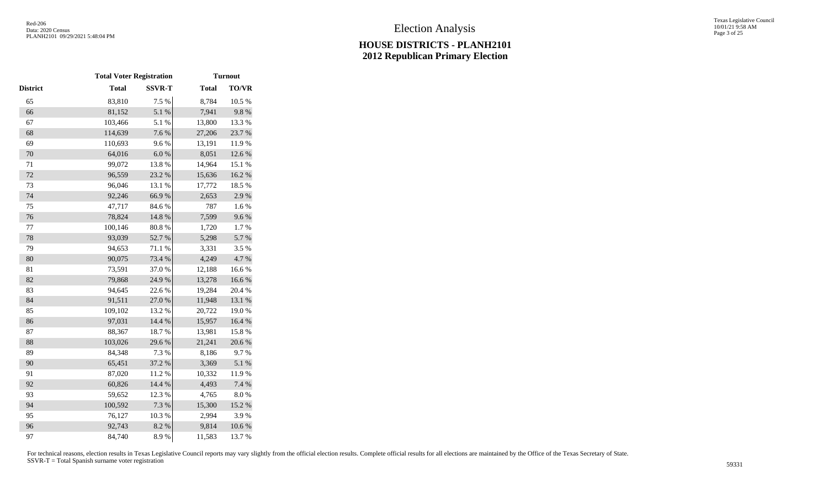|          | <b>Total Voter Registration</b> |               |              | <b>Turnout</b> |
|----------|---------------------------------|---------------|--------------|----------------|
| District | <b>Total</b>                    | <b>SSVR-T</b> | <b>Total</b> | <b>TO/VR</b>   |
| 65       | 83,810                          | 7.5 %         | 8,784        | 10.5 %         |
| 66       | 81,152                          | 5.1 %         | 7,941        | 9.8%           |
| 67       | 103,466                         | 5.1 %         | 13,800       | 13.3 %         |
| 68       | 114,639                         | 7.6 %         | 27,206       | 23.7%          |
| 69       | 110,693                         | 9.6%          | 13,191       | 11.9%          |
| 70       | 64,016                          | $6.0~\%$      | 8,051        | 12.6 %         |
| 71       | 99,072                          | 13.8%         | 14,964       | 15.1 %         |
| 72       | 96,559                          | 23.2 %        | 15,636       | 16.2%          |
| 73       | 96,046                          | 13.1 %        | 17,772       | 18.5 %         |
| 74       | 92,246                          | 66.9%         | 2,653        | 2.9%           |
| 75       | 47,717                          | 84.6%         | 787          | 1.6%           |
| 76       | 78,824                          | 14.8 %        | 7,599        | 9.6%           |
| $77 \,$  | 100,146                         | $80.8~\%$     | 1,720        | 1.7%           |
| 78       | 93,039                          | 52.7 %        | 5,298        | 5.7 %          |
| 79       | 94,653                          | 71.1 %        | 3,331        | 3.5%           |
| 80       | 90,075                          | 73.4 %        | 4,249        | 4.7%           |
| 81       | 73,591                          | 37.0%         | 12,188       | 16.6%          |
| 82       | 79,868                          | 24.9%         | 13,278       | 16.6%          |
| 83       | 94,645                          | 22.6%         | 19,284       | 20.4 %         |
| 84       | 91,511                          | $27.0\;\%$    | 11,948       | 13.1 %         |
| 85       | 109,102                         | 13.2 %        | 20,722       | 19.0%          |
| 86       | 97,031                          | 14.4 %        | 15,957       | 16.4 %         |
| 87       | 88,367                          | 18.7%         | 13,981       | 15.8%          |
| 88       | 103,026                         | 29.6%         | 21,241       | 20.6 %         |
| 89       | 84,348                          | 7.3 %         | 8,186        | 9.7%           |
| 90       | 65,451                          | 37.2 %        | 3,369        | 5.1 %          |
| 91       | 87,020                          | 11.2%         | 10,332       | 11.9%          |
| 92       | 60,826                          | 14.4 %        | 4,493        | 7.4 %          |
| 93       | 59,652                          | 12.3 %        | 4,765        | 8.0%           |
| 94       | 100,592                         | 7.3 %         | 15,300       | 15.2 %         |
| 95       | 76,127                          | 10.3%         | 2,994        | 3.9%           |
| 96       | 92,743                          | 8.2 %         | 9,814        | $10.6~\%$      |
| 97       | 84,740                          | 8.9%          | 11,583       | 13.7 %         |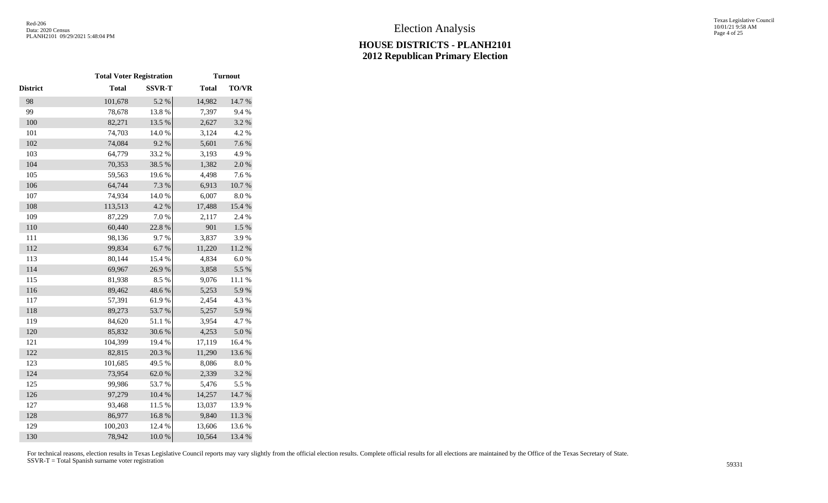|          | <b>Total Voter Registration</b> |                  |              | <b>Turnout</b> |
|----------|---------------------------------|------------------|--------------|----------------|
| District | <b>Total</b>                    | <b>SSVR-T</b>    | <b>Total</b> | <b>TO/VR</b>   |
| 98       | 101,678                         | 5.2 %            | 14,982       | 14.7%          |
| 99       | 78,678                          | 13.8%            | 7,397        | 9.4%           |
| 100      | 82,271                          | 13.5 %           | 2,627        | 3.2 %          |
| 101      | 74,703                          | 14.0%            | 3,124        | 4.2 %          |
| 102      | 74,084                          | 9.2%             | 5,601        | 7.6 %          |
| 103      | 64,779                          | 33.2 %           | 3,193        | 4.9%           |
| 104      | 70,353                          | 38.5 %           | 1,382        | 2.0%           |
| 105      | 59,563                          | 19.6%            | 4,498        | 7.6%           |
| 106      | 64,744                          | 7.3 %            | 6,913        | $10.7~\%$      |
| 107      | 74,934                          | 14.0 %           | 6,007        | $8.0\ \%$      |
| 108      | 113,513                         | 4.2 %            | 17,488       | 15.4 %         |
| 109      | 87,229                          | 7.0%             | 2,117        | 2.4 %          |
| 110      | 60,440                          | 22.8 %           | 901          | $1.5~\%$       |
| 111      | 98,136                          | 9.7%             | 3,837        | 3.9%           |
| 112      | 99,834                          | 6.7%             | 11,220       | $11.2\ \%$     |
| 113      | 80,144                          | 15.4 %           | 4,834        | 6.0%           |
| 114      | 69,967                          | 26.9%            | 3,858        | 5.5 %          |
| 115      | 81,938                          | 8.5%             | 9,076        | $11.1\ \%$     |
| 116      | 89,462                          | 48.6%            | 5,253        | 5.9%           |
| 117      | 57,391                          | 61.9%            | 2,454        | 4.3 %          |
| 118      | 89,273                          | 53.7%            | 5,257        | 5.9%           |
| 119      | 84,620                          | $51.1\text{ }\%$ | 3,954        | 4.7%           |
| 120      | 85,832                          | 30.6%            | 4,253        | $5.0\ \%$      |
| 121      | 104,399                         | 19.4 %           | 17,119       | 16.4 %         |
| 122      | 82,815                          | 20.3 %           | 11,290       | 13.6 %         |
| 123      | 101,685                         | 49.5 %           | 8,086        | 8.0%           |
| 124      | 73,954                          | 62.0%            | 2,339        | 3.2%           |
| 125      | 99,986                          | 53.7%            | 5,476        | 5.5 %          |
| 126      | 97,279                          | $10.4~\%$        | 14,257       | 14.7 %         |
| 127      | 93,468                          | 11.5 %           | 13,037       | 13.9%          |
| 128      | 86,977                          | 16.8%            | 9,840        | 11.3 %         |
| 129      | 100,203                         | 12.4 %           | 13,606       | 13.6%          |
| 130      | 78,942                          | 10.0%            | 10,564       | 13.4 %         |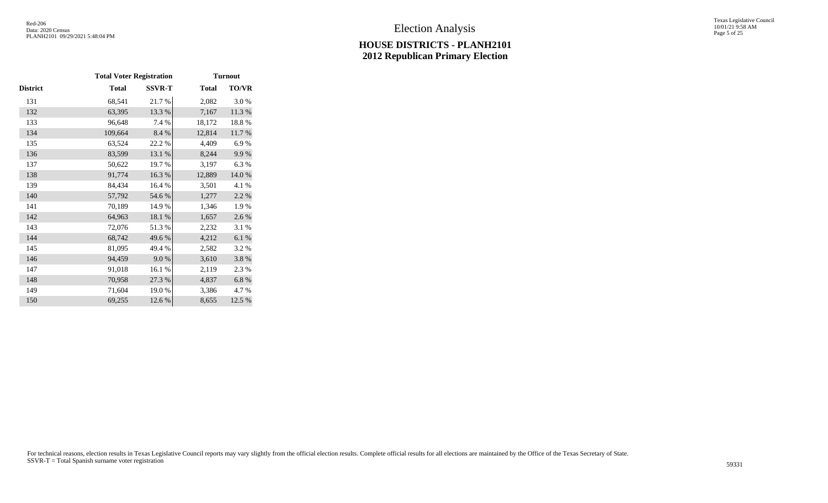Texas Legislative Council 10/01/21 9:58 AM Page 5 of 25

|          | <b>Total Voter Registration</b> |               |              | <b>Turnout</b> |
|----------|---------------------------------|---------------|--------------|----------------|
| District | <b>Total</b>                    | <b>SSVR-T</b> | <b>Total</b> | <b>TO/VR</b>   |
| 131      | 68,541                          | 21.7%         | 2,082        | 3.0%           |
| 132      | 63,395                          | 13.3 %        | 7,167        | 11.3 %         |
| 133      | 96,648                          | 7.4 %         | 18,172       | 18.8%          |
| 134      | 109,664                         | 8.4 %         | 12,814       | 11.7 %         |
| 135      | 63,524                          | 22.2%         | 4,409        | 6.9%           |
| 136      | 83,599                          | 13.1 %        | 8,244        | 9.9%           |
| 137      | 50,622                          | 19.7%         | 3,197        | 6.3%           |
| 138      | 91,774                          | 16.3%         | 12,889       | 14.0 %         |
| 139      | 84,434                          | 16.4 %        | 3,501        | 4.1 %          |
| 140      | 57,792                          | 54.6 %        | 1,277        | 2.2 %          |
| 141      | 70,189                          | 14.9 %        | 1,346        | 1.9%           |
| 142      | 64,963                          | 18.1 %        | 1,657        | 2.6 %          |
| 143      | 72,076                          | 51.3%         | 2,232        | 3.1 %          |
| 144      | 68,742                          | 49.6%         | 4,212        | $6.1~\%$       |
| 145      | 81,095                          | 49.4 %        | 2,582        | 3.2%           |
| 146      | 94,459                          | 9.0%          | 3,610        | 3.8%           |
| 147      | 91,018                          | 16.1%         | 2,119        | 2.3 %          |
| 148      | 70,958                          | 27.3 %        | 4,837        | 6.8%           |
| 149      | 71,604                          | 19.0%         | 3,386        | 4.7 %          |
| 150      | 69,255                          | 12.6 %        | 8,655        | 12.5 %         |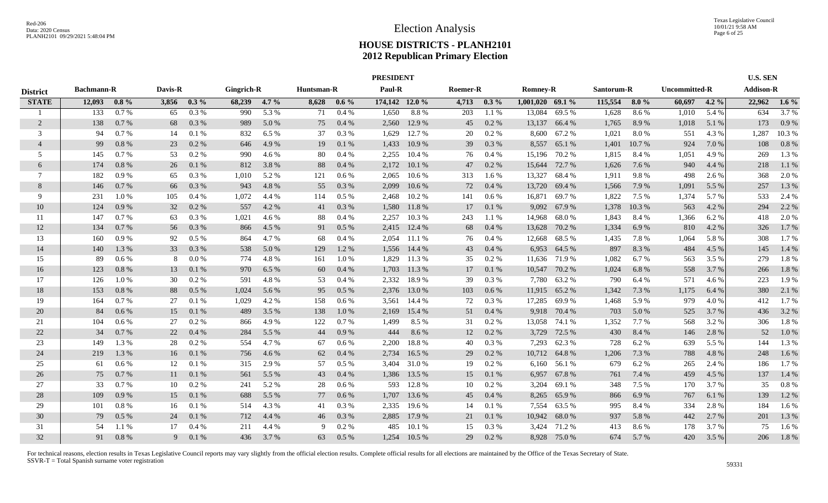|                 |                   |         |         |         | <b>PRESIDENT</b> |         |            |         |                |          |          |          |                    |               |            |         |                      | <b>U.S. SEN</b> |                  |         |
|-----------------|-------------------|---------|---------|---------|------------------|---------|------------|---------|----------------|----------|----------|----------|--------------------|---------------|------------|---------|----------------------|-----------------|------------------|---------|
| <b>District</b> | <b>Bachmann-R</b> |         | Davis-R |         | Gingrich-R       |         | Huntsman-R |         | Paul-R         |          | Roemer-R |          | <b>Romney-R</b>    |               | Santorum-R |         | <b>Uncommitted-R</b> |                 | <b>Addison-R</b> |         |
| <b>STATE</b>    | 12.093            | $0.8\%$ | 3,856   | $0.3\%$ | 68,239           | $4.7\%$ | 8,628      | $0.6\%$ | 174,142 12.0 % |          | 4,713    | $0.3\%$  | $1,001,020$ 69.1 % |               | 115,554    | $8.0\%$ | 60,697               | $4.2\%$         | 22,962           | $1.6\%$ |
|                 | 133               | $0.7\%$ | 65      | 0.3%    | 990              | 5.3 %   | 71         | 0.4%    | 1,650          | 8.8%     | 203      | 1.1%     | 13,084             | 69.5 %        | 1,628      | 8.6%    | 1,010                | 5.4 %           | 634              | 3.7%    |
| 2               | 138               | 0.7 %   | 68      | 0.3 %   | 989              | 5.0 %   | 75         | 0.4%    | 2,560          | 12.9 %   | 45       | $0.2 \%$ | 13,137             | 66.4 %        | 1,765      | 8.9%    | 1,018                | 5.1 %           | 173              | 0.9%    |
| 3               | 94                | $0.7\%$ | 14      | 0.1%    | 832              | 6.5%    | 37         | 0.3 %   | 1,629          | 12.7 %   | 20       | 0.2 %    | 8,600              | 67.2 %        | 1,021      | 8.0%    | 551                  | 4.3 %           | 1,287            | 10.3%   |
| $\overline{4}$  | 99                | 0.8 %   | 23      | 0.2 %   | 646              | 4.9 %   | 19         | 0.1%    | 1,433          | 10.9%    | 39       | 0.3 %    | 8,557              | 65.1 %        | 1,401      | 10.7 %  | 924                  | 7.0 %           | 108              | 0.8%    |
| 5               | 145               | $0.7\%$ | 53      | $0.2\%$ | 990              | 4.6 %   | 80         | 0.4%    | 2,255          | 10.4%    | 76       | 0.4%     | 15,196             | 70.2 %        | 1,815      | 8.4%    | 1,051                | 4.9%            | 269              | 1.3%    |
| 6               | 174               | 0.8 %   | 26      | 0.1%    | 812              | 3.8 %   | 88         | 0.4%    | 2,172          | 10.1%    | 47       | 0.2 %    | 15,644             | 72.7 %        | 1,626      | 7.6 %   | 940                  | 4.4 %           | 218              | 1.1 %   |
| 7               | 182               | $0.9\%$ | 65      | 0.3 %   | 1,010            | 5.2 %   | 121        | $0.6\%$ | 2,065          | $10.6\%$ | 313      | 1.6 %    | 13,327             | 68.4 %        | 1,911      | 9.8%    | 498                  | 2.6 %           | 368              | 2.0 %   |
| 8               | 146               | 0.7%    | 66      | 0.3%    | 943              | 4.8%    | 55         | 0.3%    | 2,099          | $10.6\%$ | 72       | 0.4%     | 13,720             | 69.4 %        | 1,566      | 7.9 %   | 1,091                | 5.5 %           | 257              | 1.3%    |
| 9               | 231               | 1.0%    | 105     | 0.4%    | 1,072            | 4.4 %   | 114        | 0.5%    | 2,468          | 10.2%    | 141      | 0.6 %    | 16,871             | 69.7%         | 1,822      | 7.5 %   | 1,374                | 5.7 %           | 533              | 2.4 %   |
| 10              | 124               | 0.9%    | 32      | 0.2 %   | 557              | 4.2 %   | 41         | 0.3%    | 1,580          | 11.8%    | 17       | 0.1%     | 9,092              | 67.9 %        | 1,378      | 10.3%   | 563                  | 4.2 %           | 294              | 2.2 %   |
| -11             | 147               | $0.7\%$ | 63      | $0.3\%$ | 1,021            | 4.6 %   | 88         | $0.4\%$ | 2,257          | 10.3 %   | 243      | 1.1 %    | 14,968             | 68.0%         | 1,843      | 8.4 %   | 1,366                | 6.2 %           | 418              | 2.0 %   |
| 12              | 134               | 0.7%    | 56      | 0.3 %   | 866              | 4.5 %   | 91         | 0.5%    | 2,415          | 12.4 %   | 68       | 0.4%     | 13,628             | 70.2 %        | 1,334      | 6.9%    | 810                  | 4.2 %           | 326              | 1.7 %   |
| 13              | 160               | $0.9\%$ | 92      | $0.5\%$ | 864              | 4.7 %   | 68         | 0.4%    | 2,054          | 11.1 %   | 76       | 0.4%     | 12,668             | 68.5%         | 1,435      | 7.8%    | 1,064                | 5.8%            | 308              | 1.7%    |
| 14              | 140               | 1.3 %   | 33      | 0.3 %   | 538              | 5.0%    | 129        | 1.2%    | 1,556          | 14.4 %   | 43       | 0.4%     | 6,953              | 64.5 %        | 897        | 8.3%    | 484                  | 4.5 %           | 145              | 1.4 %   |
| 15              | 89                | $0.6\%$ | -8      | 0.0 %   | 774              | 4.8%    | 161        | 1.0%    | 1,829          | 11.3 %   | 35       | 0.2 %    |                    | 11,636 71.9 % | 1,082      | 6.7%    | 563                  | 3.5 %           | 279              | 1.8%    |
| 16              | 123               | 0.8%    | 13      | 0.1%    | 970              | 6.5%    | 60         | 0.4%    | 1,703          | 11.3 %   | 17       | 0.1%     | 10,547             | 70.2 %        | 1,024      | 6.8%    | 558                  | 3.7 %           | 266              | 1.8%    |
| 17              | 126               | 1.0%    | 30      | $0.2\%$ | 591              | 4.8%    | 53         | $0.4\%$ | 2,332          | 18.9%    | 39       | 0.3 %    | 7,780              | 63.2 %        | 790        | 6.4 %   | 571                  | 4.6 %           | 223              | 1.9%    |
| 18              | 153               | 0.8%    | 88      | 0.5%    | 1,024            | 5.6 %   | 95         | 0.5%    | 2,376          | 13.0 %   | 103      | 0.6%     | 11,915             | 65.2 %        | 1,342      | 7.3 %   | 1,175                | 6.4 %           | 380              | 2.1 %   |
| 19              | 164               | $0.7\%$ | 27      | 0.1%    | 1,029            | 4.2 %   | 158        | $0.6\%$ | 3,561          | 14.4 %   | 72       | 0.3%     | 17,285             | 69.9%         | 1,468      | 5.9%    | 979                  | 4.0%            | 412              | 1.7%    |
| 20              | 84                | $0.6\%$ | 15      | 0.1%    | 489              | 3.5 %   | 138        | 1.0 %   | 2,169          | 15.4 %   | 51       | 0.4%     | 9,918              | 70.4 %        | 703        | 5.0 %   | 525                  | 3.7 %           | 436              | 3.2 %   |
| 21              | 104               | $0.6\%$ | 27      | $0.2\%$ | 866              | 4.9 %   | 122        | 0.7%    | 1,499          | 8.5 %    | 31       | 0.2 %    | 13,058             | 74.1 %        | 1,352      | 7.7 %   | 568                  | 3.2 %           | 306              | 1.8%    |
| 22              | 34                | 0.7%    | 22      | 0.4%    | 284              | 5.5 %   | 44         | 0.9%    | 444            | 8.6%     | 12       | $0.2 \%$ | 3,729              | 72.5 %        | 430        | 8.4 %   | 146                  | 2.8 %           | 52               | 1.0%    |
| 23              | 149               | 1.3 %   | 28      | $0.2\%$ | 554              | 4.7%    | 67         | 0.6%    | 2.200          | 18.8%    | 40       | 0.3%     | 7,293              | 62.3%         | 728        | 6.2%    | 639                  | 5.5 %           | 144              | 1.3%    |
| 24              | 219               | 1.3 %   | 16      | 0.1%    | 756              | 4.6 %   | 62         | 0.4%    | 2,734          | 16.5 %   | 29       | 0.2 %    | 10,712             | 64.8%         | 1,206      | 7.3 %   | 788                  | 4.8%            | 248              | $1.6\%$ |
| 25              | 61                | $0.6\%$ | 12      | 0.1%    | 315              | 2.9 %   | 57         | $0.5\%$ | 3,404          | 31.0 %   | 19       | 0.2 %    | 6,160              | 56.1 %        | 679        | 6.2%    | 265                  | 2.4 %           | 186              | 1.7 %   |
| 26              | 75                | 0.7%    | 11      | 0.1%    | 561              | 5.5 %   | 43         | 0.4%    | 1,386          | 13.5 %   | 15       | 0.1%     | 6,957              | 67.8%         | 761        | 7.4 %   | 459                  | 4.5 %           | 137              | 1.4 %   |
| 27              | 33                | $0.7\%$ | 10      | 0.2 %   | 241              | 5.2 %   | 28         | 0.6%    | 593            | 12.8%    | 10       | 0.2 %    | 3,204              | 69.1 %        | 348        | 7.5 %   | 170                  | 3.7 %           | 35               | 0.8%    |
| 28              | 109               | 0.9%    | 15      | 0.1%    | 688              | 5.5 %   | 77         | $0.6\%$ | 1,707          | 13.6 %   | 45       | 0.4%     | 8,265              | 65.9%         | 866        | 6.9%    | 767                  | 6.1 %           | 139              | 1.2%    |
| 29              | 101               | $0.8\%$ | 16      | 0.1%    | 514              | 4.3 %   | 41         | $0.3\%$ | 2,335          | 19.6 %   | 14       | 0.1%     | 7,554              | 63.5 %        | 995        | 8.4 %   | 334                  | 2.8 %           | 184              | 1.6 %   |
| 30              | 79                | $0.5\%$ | 24      | 0.1%    | 712              | 4.4 %   | 46         | 0.3 %   | 2,885          | 17.9 %   | 21       | 0.1%     | 10,942             | 68.0%         | 937        | 5.8 %   | 442                  | 2.7 %           | 201              | 1.3 %   |
| 31              | 54                | $1.1\%$ | 17      | 0.4%    | 211              | 4.4 %   | 9          | $0.2\%$ | 485            | 10.1 %   | 15       | 0.3%     | 3,424              | 71.2 %        | 413        | 8.6 %   | 178                  | 3.7 %           | 75               | 1.6 %   |
| 32              | 91                | 0.8%    | 9       | 0.1%    | 436              | 3.7 %   | 63         | $0.5\%$ | 1,254          | $10.5\%$ | 29       | 0.2 %    |                    | 8,928 75.0 %  | 674        | 5.7 %   | 420                  | 3.5 %           | 206              | 1.8%    |
|                 |                   |         |         |         |                  |         |            |         |                |          |          |          |                    |               |            |         |                      |                 |                  |         |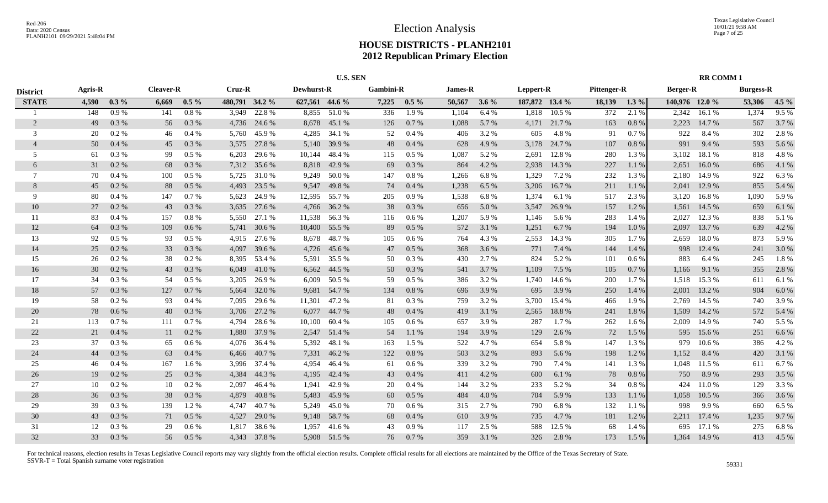|                 |                |         |                  |         | <b>U.S. SEN</b> |                |                   |              |                  |         |                |         |           |                |             |         |                 | <b>RR COMM1</b> |                  |         |
|-----------------|----------------|---------|------------------|---------|-----------------|----------------|-------------------|--------------|------------------|---------|----------------|---------|-----------|----------------|-------------|---------|-----------------|-----------------|------------------|---------|
| <b>District</b> | <b>Agris-R</b> |         | <b>Cleaver-R</b> |         | <b>Cruz-R</b>   |                | <b>Dewhurst-R</b> |              | <b>Gambini-R</b> |         | <b>James-R</b> |         | Leppert-R |                | Pittenger-R |         | <b>Berger-R</b> |                 | <b>Burgess-R</b> |         |
| <b>STATE</b>    | 4,590          | $0.3\%$ | 6,669            | $0.5\%$ |                 | 480,791 34.2 % | 627,561 44.6 %    |              | 7,225            | $0.5\%$ | 50,567         | $3.6\%$ |           | 187,872 13.4 % | 18,139      | $1.3\%$ | 140,976 12.0 %  |                 | 53,306           | $4.5\%$ |
|                 | 148            | 0.9%    | 141              | 0.8%    | 3.949           | 22.8%          |                   | 8,855 51.0 % | 336              | 1.9%    | 1,104          | 6.4%    | 1,818     | 10.5 %         | 372         | 2.1 %   | 2,342           | 16.1%           | 1,374            | 9.5%    |
| 2               | 49             | 0.3%    | 56               | 0.3 %   | 4,736           | 24.6 %         | 8,678             | 45.1 %       | 126              | 0.7%    | 1,088          | 5.7 %   | 4,171     | 21.7%          | 163         | 0.8%    | 2,223           | 14.7 %          | 567              | 3.7 %   |
| 3               | 20             | 0.2 %   | 46               | $0.4\%$ | 5.760           | 45.9%          | 4,285             | 34.1 %       | 52               | 0.4%    | 406            | 3.2 %   | 605       | 4.8%           | 91          | 0.7%    | 922             | 8.4%            | 302              | 2.8%    |
| $\overline{4}$  | 50             | 0.4%    | 45               | 0.3%    | 3,575           | 27.8%          | 5,140             | 39.9 %       | 48               | 0.4%    | 628            | 4.9%    | 3,178     | 24.7 %         | 107         | 0.8%    | 991             | 9.4 %           | 593              | 5.6 %   |
| 5               | 61             | 0.3 %   | 99               | 0.5%    | 6,203           | 29.6 %         | 10,144            | 48.4%        | 115              | 0.5%    | 1,087          | 5.2 %   | 2,691     | 12.8 %         | 280         | 1.3 %   | 3,102           | 18.1 %          | 818              | 4.8%    |
| 6               | 31             | 0.2 %   | 68               | 0.3 %   | 7,312           | 35.6 %         | 8,818             | 42.9 %       | 69               | 0.3 %   | 864            | 4.2 %   | 2,938     | 14.3 %         | 227         | 1.1 %   | 2,651           | 16.0%           | 686              | 4.1 %   |
| 7               | 70             | 0.4%    | 100              | $0.5\%$ | 5,725           | 31.0 %         | 9,249             | 50.0 %       | 147              | $0.8\%$ | 1,266          | 6.8%    | 1,329     | 7.2 %          | 232         | 1.3 %   | 2,180           | 14.9 %          | 922              | 6.3%    |
| 8               | 45             | 0.2 %   | 88               | 0.5%    | 4,493           | 23.5 %         | 9,547             | 49.8%        | 74               | 0.4%    | 1,238          | 6.5%    | 3,206     | 16.7%          | 211         | 1.1 %   | 2,041           | 12.9 %          | 855              | 5.4 %   |
| 9               | 80             | 0.4%    | 147              | 0.7%    | 5,623           | 24.9 %         | 12,595            | 55.7 %       | 205              | 0.9%    | 1,538          | 6.8%    | 1,374     | 6.1 %          | 517         | 2.3 %   | 3,120           | 16.8%           | 1,090            | 5.9%    |
| 10              | 27             | 0.2 %   | 43               | 0.3%    | 3,635           | 27.6 %         | 4,766             | 36.2 %       | 38               | 0.3 %   | 656            | 5.0 %   | 3,547     | 26.9%          | 157         | 1.2%    | 1,561           | 14.5 %          | 659              | 6.1 %   |
| 11              | 83             | $0.4\%$ | 157              | 0.8%    | 5.550           | 27.1 %         | 11,538            | 56.3%        | 116              | 0.6 %   | 1,207          | 5.9%    | 1,146     | 5.6 %          | 283         | 1.4 %   | 2.027           | 12.3 %          | 838              | 5.1 %   |
| 12              | 64             | 0.3 %   | 109              | $0.6\%$ | 5,741           | 30.6 %         | 10,400            | 55.5 %       | 89               | $0.5\%$ | 572            | 3.1 %   | 1,251     | 6.7 %          | 194         | 1.0 %   | 2,097           | 13.7 %          | 639              | 4.2 %   |
| 13              | 92             | 0.5%    | 93               | 0.5%    | 4,915           | 27.6 %         | 8,678             | 48.7 %       | 105              | 0.6 %   | 764            | 4.3 %   | 2,553     | 14.3 %         | 305         | 1.7 %   | 2,659           | 18.0%           | 873              | 5.9%    |
| 14              | 25             | 0.2 %   | 33               | 0.3%    | 4,097           | 39.6 %         | 4,726             | 45.6 %       | 47               | 0.5%    | 368            | 3.6 %   | 771       | 7.4 %          | 144         | 1.4 %   | 998             | 12.4 %          | 241              | 3.0 %   |
| 15              | 26             | 0.2 %   | 38               | 0.2 %   |                 | 8,395 53.4 %   | 5,591             | 35.5 %       | 50               | 0.3%    | 430            | 2.7 %   | 824       | 5.2 %          | 101         | 0.6%    | 883             | 6.4 %           | 245              | 1.8%    |
| 16              | 30             | 0.2 %   | 43               | 0.3%    | 6,049           | 41.0 %         | 6,562             | 44.5 %       | 50               | 0.3 %   | 541            | 3.7%    | 1,109     | 7.5 %          | 105         | 0.7%    | 1,166           | 9.1 %           | 355              | 2.8 %   |
| 17              | 34             | 0.3%    | -54              | 0.5%    | 3.205           | 26.9 %         | 6.009             | 50.5 %       | 59               | $0.5\%$ | 386            | 3.2 %   | 1,740     | 14.6 %         | 200         | 1.7 %   | 1,518           | 15.3 %          | 611              | 6.1%    |
| 18              | 57             | 0.3%    | 127              | 0.7%    | 5,664           | 32.0 %         | 9,681             | 54.7 %       | 134              | 0.8%    | 696            | 3.9 %   | 695       | 3.9 %          | 250         | 1.4 %   | 2,001           | 13.2 %          | 904              | 6.0%    |
| 19              | 58             | 0.2 %   | 93               | $0.4\%$ | 7,095           | 29.6 %         | 11,301            | 47.2 %       | 81               | 0.3 %   | 759            | 3.2 %   | 3,700     | 15.4 %         | 466         | 1.9%    | 2,769           | 14.5 %          | 740              | 3.9%    |
| 20              | 78             | 0.6 %   | 40               | 0.3 %   | 3,706           | 27.2 %         | 6,077             | 44.7 %       | 48               | 0.4%    | 419            | 3.1%    | 2,565     | 18.8%          | 241         | 1.8%    | 1,509           | 14.2 %          | 572              | 5.4 %   |
| 21              | 113            | 0.7%    | 111              | 0.7%    | 4,794           | 28.6 %         | 10,100            | 60.4%        | 105              | 0.6 %   | 657            | 3.9 %   | 287       | 1.7 %          | 262         | 1.6 %   | 2,009           | 14.9 %          | 740              | 5.5 %   |
| 22              | 21             | 0.4%    | 11               | 0.2 %   | 1,880           | 37.9 %         | 2,547             | 51.4 %       | 54               | 1.1%    | 194            | 3.9%    | 129       | 2.6 %          | 72          | 1.5 %   | 595             | 15.6 %          | 251              | 6.6 %   |
| 23              | 37             | 0.3%    | 65               | 0.6%    | 4,076           | 36.4 %         | 5,392             | 48.1%        | 163              | 1.5 %   | 522            | 4.7%    | 654       | 5.8%           | 147         | 1.3%    | 979             | 10.6 %          | 386              | 4.2%    |
| 24              | 44             | 0.3%    | 63               | 0.4%    | 6,466           | 40.7 %         | 7,331             | 46.2 %       | 122              | 0.8%    | 503            | 3.2%    | 893       | 5.6 %          | 198         | 1.2%    | 1,152           | 8.4 %           | 420              | 3.1 %   |
| 25              | 46             | 0.4%    | 167              | 1.6 %   | 3.996           | 37.4 %         | 4.954             | 46.4 %       | 61               | 0.6 %   | 339            | 3.2 %   | 790       | 7.4 %          | 141         | 1.3 %   | 1,048           | 11.5 %          | 611              | 6.7%    |
| 26              | 19             | $0.2\%$ | 25               | 0.3 %   | 4,384           | 44.3 %         | 4,195             | 42.4 %       | 43               | 0.4%    | 411            | 4.2 %   | 600       | 6.1 %          | 78          | 0.8%    | 750             | 8.9%            | 293              | 3.5 %   |
| 27              | 10             | 0.2 %   | 10               | 0.2%    | 2,097           | 46.4 %         | 1,941             | 42.9 %       | 20               | 0.4%    | 144            | 3.2 %   | 233       | 5.2 %          | 34          | 0.8%    | 424             | 11.0%           | 129              | 3.3 %   |
| 28              | 36             | 0.3 %   | 38               | 0.3%    | 4,879           | 40.8%          | 5,483             | 45.9 %       | 60               | $0.5\%$ | 484            | 4.0 %   | 704       | 5.9 %          | 133         | 1.1 %   | 1,058           | 10.5 %          | 366              | 3.6 %   |
| 29              | 39             | 0.3%    | 139              | 1.2 %   | 4,747           | 40.7%          | 5,249             | 45.0%        | 70               | 0.6 %   | 315            | 2.7 %   | 790       | 6.8%           | 132         | 1.1 %   | 998             | 9.9 %           | 660              | 6.5%    |
| 30              | 43             | 0.3%    | 71               | $0.5\%$ | 4,527           | 29.0 %         | 9,148             | 58.7%        | 68               | 0.4%    | 610            | 3.9%    | 735       | 4.7 %          | 181         | 1.2%    | 2,211           | 17.4 %          | 1,235            | 9.7%    |
| 31              | 12             | 0.3%    | 29               | 0.6%    | 1,817           | 38.6%          | 1,957             | 41.6%        | 43               | 0.9%    | 117            | 2.5 %   | 588       | 12.5 %         | 68          | 1.4 %   | 695             | 17.1 %          | 275              | 6.8%    |
| 32              | 33             | 0.3%    | 56               | $0.5\%$ |                 | 4,343 37.8 %   |                   | 5,908 51.5 % | 76               | 0.7%    | 359            | 3.1 %   | 326       | 2.8%           | 173         | 1.5 %   | 1,364           | 14.9 %          | 413              | 4.5 %   |
|                 |                |         |                  |         |                 |                |                   |              |                  |         |                |         |           |                |             |         |                 |                 |                  |         |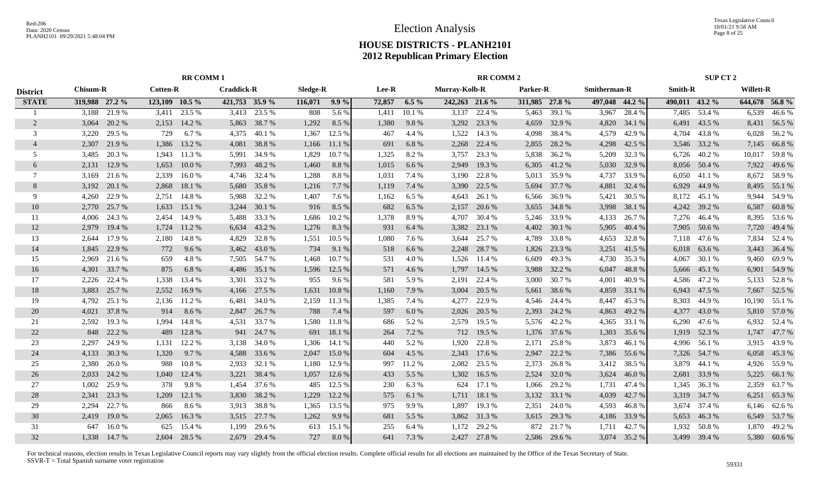Texas Legislative Council 10/01/21 9:58 AM Page 8 of 25

# **HOUSE DISTRICTS - PLANH2101 2012 Republican Primary Election**

|                 | <b>RR COMM1</b> |              |                    |        |                   |                |          |         |        |         | <b>RR COMM 2</b> |                |                |              |                     |              | SUP CT 2       |              |                  |               |
|-----------------|-----------------|--------------|--------------------|--------|-------------------|----------------|----------|---------|--------|---------|------------------|----------------|----------------|--------------|---------------------|--------------|----------------|--------------|------------------|---------------|
| <b>District</b> | <b>Chisum-R</b> |              | <b>Cotten-R</b>    |        | <b>Craddick-R</b> |                | Sledge-R |         | Lee-R  |         | Murray-Kolb-R    |                | Parker-R       |              | <b>Smitherman-R</b> |              | <b>Smith-R</b> |              | <b>Willett-R</b> |               |
| <b>STATE</b>    | 319,988 27.2 %  |              | $123,109$ $10.5\%$ |        |                   | 421,753 35.9 % | 116,071  | $9.9\%$ | 72,857 | $6.5\%$ |                  | 242,263 21.6 % | 311,985 27.8 % |              | 497,048 44.2 %      |              | 490,011 43.2 % |              |                  | 644,678 56.8% |
|                 | 3.188           | 21.9%        | 3,411              | 23.5 % | 3,413             | 23.5 %         | 808      | 5.6%    | 1,411  | 10.1%   | 3,137            | 22.4 %         | 5,463          | 39.1 %       | 3,967               | 28.4 %       | 7,485          | 53.4 %       | 6,539            | 46.6%         |
| $\overline{2}$  | 3,064           | 20.2 %       | 2,153              | 14.2 % | 5,863             | 38.7%          | 1,292    | 8.5 %   | 1,380  | 9.8%    | 3,292            | 23.3 %         | 4,659          | 32.9%        | 4,820               | 34.1 %       | 6,491          | 43.5 %       | 8,431            | 56.5 %        |
| 3               | 3,220           | 29.5 %       | 729                | 6.7 %  | 4,375             | 40.1 %         | 1,367    | 12.5 %  | 467    | 4.4 %   | 1,522            | 14.3 %         | 4,098          | 38.4 %       | 4,579               | 42.9%        | 4.704          | 43.8%        | 6,028            | 56.2%         |
| $\overline{4}$  | 2,307           | 21.9%        | 1,386              | 13.2 % | 4,081             | 38.8%          | 1,166    | 11.1 %  | 691    | 6.8%    | 2,268            | 22.4 %         | 2,855          | 28.2 %       | 4,298               | 42.5 %       |                | 3,546 33.2 % | 7,145            | 66.8%         |
| 5               | 3,485           | 20.3 %       | 1,943              | 11.3 % | 5,991             | 34.9%          | 1,829    | 10.7 %  | 1,325  | 8.2%    | 3,757            | 23.3 %         | 5,838          | 36.2%        | 5,209               | 32.3 %       | 6,726          | 40.2%        | 10,017           | 59.8%         |
| 6               | 2,131           | 12.9%        | 1,653              | 10.0%  | 7,993             | 48.2%          | 1,460    | 8.8%    | 1,015  | 6.6 %   | 2,949            | 19.3%          | 6,305          | 41.2%        | 5,030               | 32.9 %       |                | 8,056 50.4 % | 7,922            | 49.6%         |
| 7               | 3,169           | 21.6 %       | 2,339              | 16.0%  | 4,746             | 32.4 %         | 1,288    | 8.8 %   | 1,031  | 7.4 %   | 3,190            | 22.8%          | 5,013          | 35.9%        | 4,737               | 33.9 %       | 6,050          | 41.1 %       | 8,672            | 58.9%         |
| 8               | 3,192           | 20.1 %       | 2,868              | 18.1 % | 5,680             | 35.8%          | 1,216    | 7.7 %   | 1,119  | 7.4 %   | 3,390            | 22.5 %         | 5,694          | 37.7 %       | 4,881               | 32.4 %       | 6,929          | 44.9 %       | 8,495            | 55.1 %        |
| 9               | 4,260           | 22.9 %       | 2,751              | 14.8%  | 5,988             | 32.2 %         | 1,407    | 7.6 %   | 1,162  | 6.5%    | 4,643            | 26.1 %         | 6,566          | 36.9%        | 5,421               | 30.5 %       | 8,172          | 45.1 %       | 9,944            | 54.9%         |
| 10              | 2,770           | 25.7 %       | 1,633              | 15.1 % | 3,244             | 30.1 %         | 916      | 8.5 %   | 682    | 6.5%    | 2,157            | 20.6 %         | 3,655          | 34.8%        | 3,998               | 38.1 %       | 4,242          | 39.2 %       | 6,587            | 60.8%         |
| 11              | 4,006           | 24.3 %       | 2,454              | 14.9%  | 5,488             | 33.3 %         | 1,686    | 10.2 %  | 1,378  | 8.9%    | 4,707            | 30.4 %         | 5,246          | 33.9%        | 4,133               | 26.7%        |                | 7,276 46.4 % | 8,395            | 53.6 %        |
| 12              | 2,979           | 19.4 %       | 1,724              | 11.2 % | 6,634             | 43.2 %         | 1,276    | 8.3%    | 931    | 6.4%    | 3,382            | 23.1 %         | 4,402          | 30.1 %       | 5,905               | 40.4 %       | 7,905          | 50.6 %       | 7,720            | 49.4 %        |
| 13              | 2.644           | 17.9 %       | 2,180              | 14.8%  | 4,829             | 32.8%          | 1,551    | 10.5 %  | 1,080  | 7.6 %   | 3,644            | 25.7%          | 4,789          | 33.8%        | 4,653               | 32.8%        |                | 7,118 47.6 % | 7,834            | 52.4 %        |
| 14              | 1,845           | 22.9 %       | 772                | 9.6 %  | 3,462             | 43.0%          | 734      | 9.1 %   | 518    | 6.6%    | 2,248            | 28.7%          | 1,826          | 23.3 %       | 3,251               | 41.5%        | 6,018          | 63.6 %       | 3,443            | 36.4 %        |
| 15              | 2,969           | 21.6 %       | 659                | 4.8%   |                   | 7,505 54.7 %   | 1,468    | 10.7 %  | 531    | 4.0%    | 1,526            | 11.4 %         | 6,609          | 49.3%        | 4,730               | 35.3 %       | 4,067          | 30.1 %       | 9,460            | 69.9%         |
| 16              | 4,301           | 33.7 %       | 875                | 6.8%   | 4,486             | 35.1 %         | 1,596    | 12.5 %  | 571    | 4.6 %   | 1,797            | 14.5 %         | 3,988          | 32.2 %       | 6,047               | 48.8%        |                | 5,666 45.1 % |                  | 6,901 54.9 %  |
| 17              | 2,226           | 22.4 %       | 1,338              | 13.4 % | 3,301             | 33.2 %         | 955      | 9.6 %   | 581    | 5.9%    | 2,191            | 22.4 %         | 3,000          | 30.7 %       | 4,001               | 40.9%        |                | 4,586 47.2 % |                  | 5,133 52.8 %  |
| 18              | 3,883           | 25.7 %       | 2,552              | 16.9%  | 4,166             | 27.5 %         | 1,631    | 10.8%   | 1,160  | 7.9 %   | 3,004            | 20.5 %         | 5,661          | 38.6%        | 4,859               | 33.1 %       | 6,943          | 47.5 %       | 7,667            | 52.5 %        |
| 19              | 4,792           | 25.1 %       | 2,136              | 11.2%  | 6,481             | 34.0%          | 2,159    | 11.3 %  | 1,385  | 7.4 %   | 4,277            | 22.9%          | 4,546          | 24.4 %       | 8,447               | 45.3%        | 8,303          | 44.9%        | 10,190           | 55.1 %        |
| 20              | 4,021           | 37.8%        | 914                | 8.6%   | 2,847             | 26.7 %         | 788      | 7.4 %   | 597    | 6.0%    | 2,026            | 20.5 %         | 2,393          | 24.2 %       | 4,863               | 49.2 %       | 4,377          | 43.0 %       | 5,810            | 57.0 %        |
| 21              | 2.592           | 19.3 %       | 1,994              | 14.8%  | 4,531             | 33.7 %         | 1,580    | 11.8 %  | 686    | 5.2 %   | 2,579            | 19.5 %         | 5,576          | 42.2 %       | 4,365               | 33.1 %       | 6,290          | 47.6 %       | 6,932            | 52.4 %        |
| 22              | 848             | 22.2 %       | 489                | 12.8%  | 941               | 24.7 %         | 691      | 18.1 %  | 264    | 7.2 %   | 712              | 19.5 %         | 1,376          | 37.6 %       | 1,303               | 35.6%        | 1,919          | 52.3 %       | 1,747            | 47.7 %        |
| 23              | 2.297           | 24.9 %       | 1,131              | 12.2 % | 3,138             | 34.0 %         | 1,306    | 14.1 %  | 440    | 5.2%    | 1.920            | 22.8%          | 2,171          | 25.8%        | 3,873               | 46.1 %       | 4.996          | 56.1 %       | 3,915            | 43.9%         |
| 24              | 4,133           | 30.3%        | 1,320              | 9.7%   | 4,588             | 33.6 %         | 2,047    | 15.0 %  | 604    | 4.5 %   | 2,343            | 17.6 %         | 2,947          | 22.2 %       | 7,386               | 55.6%        |                | 7,326 54.7 % | 6,058            | 45.3%         |
| 25              | 2,380           | 26.0%        | 988                | 10.8%  | 2,933             | 32.1 %         | 1,180    | 12.9 %  | 997    | 11.2%   | 2,082            | 23.5 %         | 2,373          | 26.8%        | 3,412               | 38.5 %       | 3,879          | 44.1 %       | 4,926            | 55.9%         |
| 26              | 2,033           | 24.2 %       | 1,040              | 12.4 % | 3,221             | 38.4 %         | 1,057    | 12.6 %  | 433    | 5.5 %   | 1,302            | 16.5 %         | 2,524          | 32.0 %       | 3,624               | 46.0%        | 2,681          | 33.9%        | 5,225            | 66.1%         |
| 27              | 1,002           | 25.9%        | 378                | 9.8%   | 1,454             | 37.6 %         | 485      | 12.5 %  | 230    | 6.3%    | 624              | 17.1 %         | 1,066          | 29.2 %       | 1,731               | 47.4 %       | 1,345          | 36.3 %       | 2,359            | 63.7%         |
| 28              | 2,341           | 23.3 %       | 1,209              | 12.1 % | 3,830             | 38.2 %         | 1,229    | 12.2 %  | 575    | 6.1 %   | 1,711            | 18.1 %         | 3,132          | 33.1 %       | 4,039               | 42.7 %       | 3,319          | 34.7 %       | 6,251            | 65.3%         |
| 29              | 2,294           | 22.7 %       | 866                | 8.6%   | 3,913             | 38.8%          | 1,365    | 13.5 %  | 975    | 9.9%    | 1,897            | 19.3 %         | 2,351          | 24.0%        | 4,593               | 46.8%        |                | 3,674 37.4 % | 6,146            | 62.6 %        |
| 30              | 2,419           | 19.0%        | 2,065              | 16.3%  | 3,515             | 27.7 %         | 1,262    | 9.9%    | 681    | 5.5 %   | 3,862            | 31.3%          | 3,615          | 29.3 %       | 4,186               | 33.9%        | 5,653          | 46.3%        | 6,549            | 53.7%         |
| 31              | 647             | 16.0%        | 625                | 15.4 % | 1,199             | 29.6 %         | 613      | 15.1 %  | 255    | 6.4%    | 1.172            | 29.2 %         | 872            | 21.7 %       | 1,711               | 42.7 %       | 1,932          | 50.8%        | 1,870            | 49.2 %        |
| 32              |                 | 1,338 14.7 % | 2.604              | 28.5 % | 2.679             | 29.4 %         | 727      | 8.0%    | 641    | 7.3 %   | 2,427            | 27.8%          |                | 2,586 29.6 % |                     | 3,074 35.2 % |                | 3,499 39.4 % |                  | 5,380 60.6%   |
|                 |                 |              |                    |        |                   |                |          |         |        |         |                  |                |                |              |                     |              |                |              |                  |               |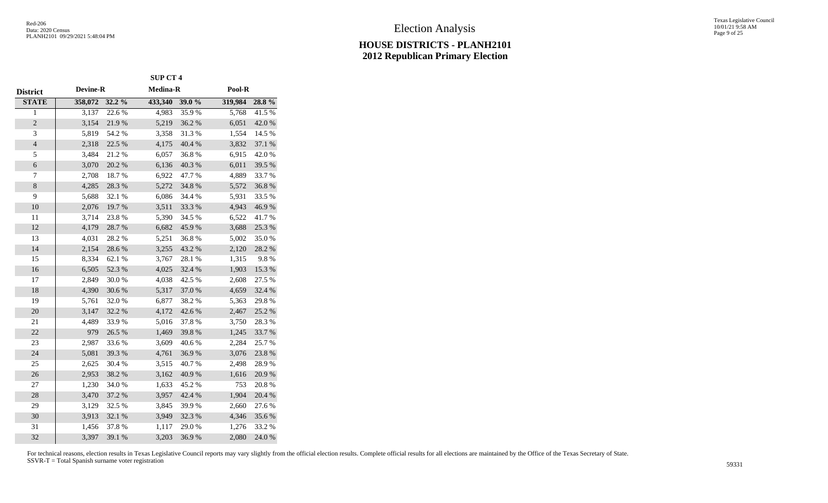|                         |                 |            | <b>SUP CT 4</b> |        |         |            |
|-------------------------|-----------------|------------|-----------------|--------|---------|------------|
| <b>District</b>         | <b>Devine-R</b> |            | Medina-R        |        | Pool-R  |            |
| <b>STATE</b>            | 358,072         | 32.2 %     | 433,340         | 39.0 % | 319,984 | 28.8%      |
| $\overline{1}$          | 3,137           | 22.6 %     | 4,983           | 35.9%  | 5,768   | 41.5%      |
| $\overline{c}$          | 3,154           | 21.9%      | 5,219           | 36.2%  | 6,051   | 42.0%      |
| $\overline{\mathbf{3}}$ | 5,819           | 54.2 %     | 3,358           | 31.3%  | 1,554   | 14.5 %     |
| $\overline{4}$          | 2,318           | 22.5 %     | 4,175           | 40.4 % | 3,832   | 37.1 %     |
| 5                       | 3,484           | 21.2%      | 6,057           | 36.8%  | 6,915   | 42.0%      |
| $\boldsymbol{6}$        | 3,070           | 20.2 %     | 6,136           | 40.3%  | 6,011   | 39.5 %     |
| 7                       | 2,708           | 18.7%      | 6,922           | 47.7%  | 4,889   | 33.7%      |
| 8                       | 4,285           | 28.3 %     | 5,272           | 34.8 % | 5,572   | $36.8\;\%$ |
| 9                       | 5,688           | 32.1 %     | 6,086           | 34.4 % | 5,931   | 33.5 %     |
| $10\,$                  | 2,076           | 19.7%      | 3,511           | 33.3 % | 4,943   | 46.9%      |
| 11                      | 3,714           | 23.8%      | 5,390           | 34.5 % | 6,522   | 41.7%      |
| 12                      | 4,179           | 28.7 %     | 6,682           | 45.9%  | 3,688   | 25.3 %     |
| 13                      | 4,031           | 28.2%      | 5,251           | 36.8%  | 5,002   | 35.0%      |
| 14                      | 2,154           | 28.6 %     | 3,255           | 43.2 % | 2,120   | 28.2 %     |
| 15                      | 8,334           | 62.1 %     | 3,767           | 28.1 % | 1,315   | 9.8%       |
| 16                      | 6,505           | 52.3 %     | 4,025           | 32.4 % | 1,903   | 15.3 %     |
| $17\,$                  | 2,849           | 30.0%      | 4,038           | 42.5 % | 2,608   | 27.5 %     |
| 18                      | 4,390           | $30.6\,\%$ | 5,317           | 37.0 % | 4,659   | 32.4 %     |
| 19                      | 5,761           | 32.0%      | 6,877           | 38.2%  | 5,363   | 29.8%      |
| 20                      | 3,147           | 32.2 %     | 4,172           | 42.6%  | 2,467   | 25.2 %     |
| 21                      | 4,489           | 33.9%      | 5,016           | 37.8%  | 3,750   | 28.3%      |
| 22                      | 979             | 26.5 %     | 1,469           | 39.8%  | 1,245   | 33.7%      |
| 23                      | 2,987           | 33.6%      | 3,609           | 40.6%  | 2,284   | 25.7%      |
| 24                      | 5,081           | 39.3%      | 4,761           | 36.9%  | 3,076   | 23.8%      |
| 25                      | 2,625           | 30.4 %     | 3,515           | 40.7%  | 2,498   | 28.9%      |
| 26                      | 2,953           | 38.2%      | 3,162           | 40.9%  | 1,616   | 20.9 %     |
| $27\,$                  | 1,230           | 34.0%      | 1,633           | 45.2%  | 753     | 20.8 %     |
| 28                      | 3,470           | 37.2 %     | 3,957           | 42.4 % | 1,904   | 20.4 %     |
| 29                      | 3,129           | 32.5 %     | 3,845           | 39.9%  | 2,660   | 27.6 %     |
| 30                      | 3,913           | 32.1 %     | 3,949           | 32.3 % | 4,346   | 35.6 %     |
| 31                      | 1,456           | 37.8%      | 1,117           | 29.0%  | 1,276   | 33.2 %     |
| 32                      | 3,397           | 39.1 %     | 3,203           | 36.9%  | 2,080   | 24.0 %     |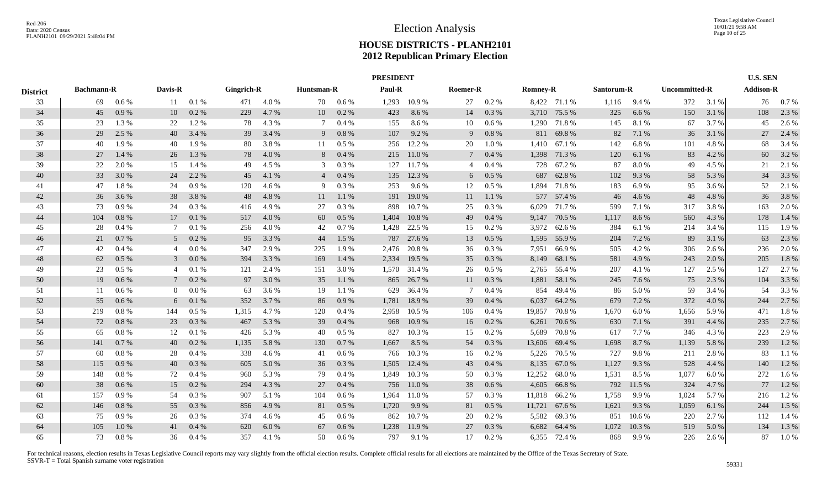|     |                        |                                                                                                                          |         |                                                                                                            |                                                 |                                                                                             |                 |                                                                                                                        |                                                |                                                                                                                                                                                                                                                  |           |                                                                                                                                                              |                           |                                                                                                                                                                                                                                                                                                                                                                                                                                       |                                                       |                                                                                                                                       |                                                                                     | <b>U.S. SEN</b>                                                                            |                                                           |
|-----|------------------------|--------------------------------------------------------------------------------------------------------------------------|---------|------------------------------------------------------------------------------------------------------------|-------------------------------------------------|---------------------------------------------------------------------------------------------|-----------------|------------------------------------------------------------------------------------------------------------------------|------------------------------------------------|--------------------------------------------------------------------------------------------------------------------------------------------------------------------------------------------------------------------------------------------------|-----------|--------------------------------------------------------------------------------------------------------------------------------------------------------------|---------------------------|---------------------------------------------------------------------------------------------------------------------------------------------------------------------------------------------------------------------------------------------------------------------------------------------------------------------------------------------------------------------------------------------------------------------------------------|-------------------------------------------------------|---------------------------------------------------------------------------------------------------------------------------------------|-------------------------------------------------------------------------------------|--------------------------------------------------------------------------------------------|-----------------------------------------------------------|
|     |                        |                                                                                                                          |         |                                                                                                            |                                                 |                                                                                             |                 |                                                                                                                        |                                                |                                                                                                                                                                                                                                                  |           |                                                                                                                                                              |                           |                                                                                                                                                                                                                                                                                                                                                                                                                                       |                                                       |                                                                                                                                       |                                                                                     |                                                                                            |                                                           |
| 69  | $0.6\%$                | 11                                                                                                                       | 0.1%    | 471                                                                                                        | 4.0 %                                           | 70                                                                                          | $0.6\%$         | 1,293                                                                                                                  | 10.9%                                          | 27                                                                                                                                                                                                                                               | 0.2 %     |                                                                                                                                                              |                           | 1,116                                                                                                                                                                                                                                                                                                                                                                                                                                 | 9.4 %                                                 |                                                                                                                                       | 3.1%                                                                                | 76                                                                                         | 0.7%                                                      |
| 45  | 0.9%                   | 10                                                                                                                       | 0.2 %   | 229                                                                                                        | 4.7%                                            | 10                                                                                          | 0.2 %           | 423                                                                                                                    | 8.6%                                           | 14                                                                                                                                                                                                                                               | 0.3 %     |                                                                                                                                                              |                           | 325                                                                                                                                                                                                                                                                                                                                                                                                                                   | 6.6 %                                                 | 150                                                                                                                                   | 3.1 %                                                                               | 108                                                                                        | 2.3 %                                                     |
| 23  | 1.3 %                  | 22                                                                                                                       | 1.2%    | 78                                                                                                         | 4.3 %                                           | 7                                                                                           | 0.4%            | 155                                                                                                                    | 8.6%                                           | 10                                                                                                                                                                                                                                               | $0.6\%$   |                                                                                                                                                              |                           | 145                                                                                                                                                                                                                                                                                                                                                                                                                                   | 8.1%                                                  | 67                                                                                                                                    | 3.7 %                                                                               | 45                                                                                         | 2.6 %                                                     |
| 29  | 2.5 %                  | 40                                                                                                                       | 3.4 %   | 39                                                                                                         | 3.4 %                                           | 9                                                                                           | 0.8%            | 107                                                                                                                    | 9.2 %                                          | 9                                                                                                                                                                                                                                                | 0.8 %     |                                                                                                                                                              |                           | 82                                                                                                                                                                                                                                                                                                                                                                                                                                    | 7.1 %                                                 | 36                                                                                                                                    | 3.1 %                                                                               | 27                                                                                         | 2.4 %                                                     |
| 40  | 1.9 %                  | 40                                                                                                                       | 1.9%    | -80                                                                                                        | 3.8%                                            | 11                                                                                          | $0.5\%$         | 256                                                                                                                    | 12.2 %                                         | 20                                                                                                                                                                                                                                               | 1.0%      |                                                                                                                                                              | 67.1 %                    | 142                                                                                                                                                                                                                                                                                                                                                                                                                                   | 6.8%                                                  | 101                                                                                                                                   | 4.8%                                                                                | 68                                                                                         | 3.4 %                                                     |
| 27  | $1.4\%$                | 26                                                                                                                       | 1.3%    | 78                                                                                                         | 4.0 %                                           | 8                                                                                           | 0.4%            |                                                                                                                        |                                                | $\tau$                                                                                                                                                                                                                                           | 0.4%      |                                                                                                                                                              |                           | 120                                                                                                                                                                                                                                                                                                                                                                                                                                   | 6.1 %                                                 | 83                                                                                                                                    | 4.2%                                                                                | 60                                                                                         | 3.2 %                                                     |
| 22  | 2.0 %                  | 15                                                                                                                       | 1.4 %   | 49                                                                                                         | 4.5 %                                           | 3                                                                                           | 0.3%            | 127                                                                                                                    | 11.7 %                                         | 4                                                                                                                                                                                                                                                | 0.4%      |                                                                                                                                                              |                           | 87                                                                                                                                                                                                                                                                                                                                                                                                                                    | 8.0%                                                  | 49                                                                                                                                    | 4.5 %                                                                               | 21                                                                                         | 2.1 %                                                     |
| 33  | 3.0%                   | 24                                                                                                                       | 2.2 %   | 45                                                                                                         | 4.1 %                                           | $\overline{4}$                                                                              | 0.4%            | 135                                                                                                                    |                                                | 6                                                                                                                                                                                                                                                | 0.5 %     |                                                                                                                                                              | 62.8%                     | 102                                                                                                                                                                                                                                                                                                                                                                                                                                   | 9.3%                                                  | 58                                                                                                                                    | 5.3 %                                                                               | 34                                                                                         | 3.3 %                                                     |
| 47  | 1.8%                   | 24                                                                                                                       | 0.9%    | 120                                                                                                        | 4.6 %                                           | 9                                                                                           | 0.3 %           | 253                                                                                                                    | 9.6 %                                          | 12                                                                                                                                                                                                                                               | $0.5\ \%$ |                                                                                                                                                              | 71.8%                     | 183                                                                                                                                                                                                                                                                                                                                                                                                                                   | 6.9%                                                  | 95                                                                                                                                    | 3.6 %                                                                               | 52                                                                                         | 2.1 %                                                     |
| 36  | 3.6 %                  | 38                                                                                                                       | 3.8%    | 48                                                                                                         | 4.8%                                            | 11                                                                                          | 1.1 %           | 191                                                                                                                    | 19.0 %                                         | 11                                                                                                                                                                                                                                               | 1.1 %     |                                                                                                                                                              | 57.4 %                    | 46                                                                                                                                                                                                                                                                                                                                                                                                                                    | 4.6 %                                                 | 48                                                                                                                                    | 4.8 %                                                                               | 36                                                                                         | 3.8 %                                                     |
| 73  | $0.9\%$                | 24                                                                                                                       | 0.3 %   | 416                                                                                                        | 4.9 %                                           | 27                                                                                          | 0.3 %           | 898                                                                                                                    | 10.7 %                                         | 25                                                                                                                                                                                                                                               | 0.3 %     |                                                                                                                                                              | 71.7 %                    | 599                                                                                                                                                                                                                                                                                                                                                                                                                                   | 7.1 %                                                 | 317                                                                                                                                   | 3.8%                                                                                | 163                                                                                        | 2.0 %                                                     |
| 104 | $0.8 \%$               | 17                                                                                                                       | 0.1%    | 517                                                                                                        | 4.0%                                            | 60                                                                                          | $0.5\%$         | 1,404                                                                                                                  | 10.8%                                          | 49                                                                                                                                                                                                                                               | 0.4%      |                                                                                                                                                              | 70.5 %                    | 1,117                                                                                                                                                                                                                                                                                                                                                                                                                                 | 8.6%                                                  | 560                                                                                                                                   | 4.3 %                                                                               | 178                                                                                        | 1.4 %                                                     |
| 28  | $0.4\%$                | 7                                                                                                                        | 0.1%    | 256                                                                                                        | 4.0%                                            | 42                                                                                          |                 | 1,428                                                                                                                  |                                                | 15                                                                                                                                                                                                                                               |           |                                                                                                                                                              |                           | 384                                                                                                                                                                                                                                                                                                                                                                                                                                   | 6.1 %                                                 | 214                                                                                                                                   | 3.4 %                                                                               | 115                                                                                        | 1.9%                                                      |
| 21  | 0.7 %                  | 5                                                                                                                        | 0.2 %   | 95                                                                                                         | 3.3 %                                           | 44                                                                                          | 1.5 %           | 787                                                                                                                    |                                                | 13                                                                                                                                                                                                                                               | $0.5\%$   |                                                                                                                                                              | 55.9%                     | 204                                                                                                                                                                                                                                                                                                                                                                                                                                   | 7.2 %                                                 | 89                                                                                                                                    | 3.1 %                                                                               | 63                                                                                         | 2.3 %                                                     |
| 42  | $0.4\%$                | 4                                                                                                                        | 0.0 %   | 347                                                                                                        | 2.9 %                                           | 225                                                                                         |                 | 2,476                                                                                                                  |                                                | 36                                                                                                                                                                                                                                               |           |                                                                                                                                                              | 66.9%                     | 505                                                                                                                                                                                                                                                                                                                                                                                                                                   |                                                       | 306                                                                                                                                   | 2.6 %                                                                               | 236                                                                                        | 2.0 %                                                     |
| 62  | $0.5\%$                | 3                                                                                                                        | 0.0 %   | 394                                                                                                        | 3.3 %                                           | 169                                                                                         | 1.4 %           | 2,334                                                                                                                  |                                                | 35                                                                                                                                                                                                                                               | 0.3 %     |                                                                                                                                                              | 68.1 %                    | 581                                                                                                                                                                                                                                                                                                                                                                                                                                   | 4.9 %                                                 | 243                                                                                                                                   | 2.0 %                                                                               | 205                                                                                        | 1.8%                                                      |
| 23  | $0.5\%$                | $\overline{4}$                                                                                                           | 0.1%    | 121                                                                                                        | 2.4 %                                           | 151                                                                                         | 3.0 %           |                                                                                                                        |                                                | 26                                                                                                                                                                                                                                               |           |                                                                                                                                                              |                           | 207                                                                                                                                                                                                                                                                                                                                                                                                                                   | 4.1 %                                                 | 127                                                                                                                                   | 2.5 %                                                                               | 127                                                                                        | 2.7 %                                                     |
| 19  | 0.6%                   |                                                                                                                          | 0.2 %   | 97                                                                                                         | 3.0 %                                           | 35                                                                                          | 1.1%            | 865                                                                                                                    |                                                | 11                                                                                                                                                                                                                                               | 0.3 %     |                                                                                                                                                              | 58.1 %                    | 245                                                                                                                                                                                                                                                                                                                                                                                                                                   | 7.6 %                                                 | 75                                                                                                                                    | 2.3 %                                                                               | 104                                                                                        | 3.3 %                                                     |
| 11  | $0.6\%$                | $\overline{0}$                                                                                                           |         | 63                                                                                                         | 3.6 %                                           | 19                                                                                          | 1.1 %           | 629                                                                                                                    |                                                | 7                                                                                                                                                                                                                                                |           | 854                                                                                                                                                          |                           | -86                                                                                                                                                                                                                                                                                                                                                                                                                                   |                                                       | 59                                                                                                                                    | 3.4 %                                                                               | 54                                                                                         | 3.3 %                                                     |
| 55  | $0.6\%$                | 6                                                                                                                        | 0.1%    |                                                                                                            | 3.7 %                                           | 86                                                                                          | 0.9%            | 1,781                                                                                                                  | 18.9%                                          | 39                                                                                                                                                                                                                                               |           | 6,037                                                                                                                                                        | 64.2 %                    | 679                                                                                                                                                                                                                                                                                                                                                                                                                                   |                                                       |                                                                                                                                       | 4.0 %                                                                               | 244                                                                                        | 2.7 %                                                     |
|     |                        | 144                                                                                                                      |         |                                                                                                            |                                                 |                                                                                             |                 |                                                                                                                        |                                                | 106                                                                                                                                                                                                                                              |           |                                                                                                                                                              |                           | 1,670                                                                                                                                                                                                                                                                                                                                                                                                                                 |                                                       |                                                                                                                                       | 5.9 %                                                                               | 471                                                                                        | 1.8%                                                      |
|     |                        | 23                                                                                                                       |         |                                                                                                            |                                                 | 39                                                                                          |                 |                                                                                                                        |                                                | 16                                                                                                                                                                                                                                               |           |                                                                                                                                                              |                           |                                                                                                                                                                                                                                                                                                                                                                                                                                       |                                                       |                                                                                                                                       |                                                                                     |                                                                                            | 2.7 %                                                     |
| 65  |                        | 12                                                                                                                       |         | 426                                                                                                        |                                                 | 40                                                                                          |                 | 827                                                                                                                    |                                                | 15                                                                                                                                                                                                                                               |           |                                                                                                                                                              |                           | 617                                                                                                                                                                                                                                                                                                                                                                                                                                   |                                                       |                                                                                                                                       |                                                                                     |                                                                                            | 2.9%                                                      |
| 141 |                        | 40                                                                                                                       |         | 1,135                                                                                                      | 5.8%                                            | 130                                                                                         |                 | 1,667                                                                                                                  |                                                | 54                                                                                                                                                                                                                                               |           |                                                                                                                                                              | 69.4 %                    | 1,698                                                                                                                                                                                                                                                                                                                                                                                                                                 |                                                       |                                                                                                                                       |                                                                                     |                                                                                            | 1.2%                                                      |
| 60  |                        | 28                                                                                                                       |         | 338                                                                                                        |                                                 | 41                                                                                          |                 | 766                                                                                                                    |                                                | 16                                                                                                                                                                                                                                               |           |                                                                                                                                                              |                           |                                                                                                                                                                                                                                                                                                                                                                                                                                       |                                                       |                                                                                                                                       |                                                                                     | 83                                                                                         | 1.1 %                                                     |
| 115 |                        | 40                                                                                                                       |         |                                                                                                            |                                                 | 36                                                                                          |                 |                                                                                                                        |                                                | 43                                                                                                                                                                                                                                               |           |                                                                                                                                                              |                           |                                                                                                                                                                                                                                                                                                                                                                                                                                       |                                                       |                                                                                                                                       |                                                                                     | 140                                                                                        | 1.2%                                                      |
|     |                        |                                                                                                                          |         |                                                                                                            |                                                 |                                                                                             |                 |                                                                                                                        |                                                |                                                                                                                                                                                                                                                  |           |                                                                                                                                                              |                           |                                                                                                                                                                                                                                                                                                                                                                                                                                       |                                                       |                                                                                                                                       | 6.0%                                                                                |                                                                                            | 1.6 %                                                     |
|     |                        | 15                                                                                                                       |         |                                                                                                            |                                                 |                                                                                             |                 |                                                                                                                        |                                                |                                                                                                                                                                                                                                                  |           |                                                                                                                                                              |                           |                                                                                                                                                                                                                                                                                                                                                                                                                                       |                                                       |                                                                                                                                       |                                                                                     |                                                                                            | 1.2%                                                      |
| 157 |                        | 54                                                                                                                       |         |                                                                                                            |                                                 | 104                                                                                         |                 | 1,964                                                                                                                  |                                                | 57                                                                                                                                                                                                                                               |           |                                                                                                                                                              |                           |                                                                                                                                                                                                                                                                                                                                                                                                                                       |                                                       |                                                                                                                                       |                                                                                     | 216                                                                                        | 1.2 %                                                     |
| 146 |                        | 55                                                                                                                       |         | 856                                                                                                        |                                                 | 81                                                                                          |                 |                                                                                                                        |                                                | 81                                                                                                                                                                                                                                               |           |                                                                                                                                                              |                           |                                                                                                                                                                                                                                                                                                                                                                                                                                       |                                                       |                                                                                                                                       | 6.1 %                                                                               |                                                                                            | 1.5 %                                                     |
| 75  | $0.9\%$                | 26                                                                                                                       | 0.3 %   | 374                                                                                                        | 4.6 %                                           | 45                                                                                          | 0.6 %           | 862                                                                                                                    |                                                | 20                                                                                                                                                                                                                                               | 0.2 %     |                                                                                                                                                              |                           | 851                                                                                                                                                                                                                                                                                                                                                                                                                                   | 10.6 %                                                | 220                                                                                                                                   | 2.7 %                                                                               | 112                                                                                        | 1.4 %                                                     |
| 105 | 1.0%                   | 41                                                                                                                       | 0.4%    | 620                                                                                                        | 6.0 $%$                                         | 67                                                                                          | 0.6%            | 1,238                                                                                                                  |                                                | 27                                                                                                                                                                                                                                               |           |                                                                                                                                                              |                           | 1,072                                                                                                                                                                                                                                                                                                                                                                                                                                 |                                                       | 519                                                                                                                                   | 5.0 %                                                                               | 134                                                                                        | 1.3 %                                                     |
| 73  | $0.8\%$                | 36                                                                                                                       | $0.4\%$ | 357                                                                                                        | 4.1 %                                           | 50                                                                                          | $0.6\%$         | 797                                                                                                                    | 9.1 %                                          | 17                                                                                                                                                                                                                                               |           |                                                                                                                                                              |                           | 868                                                                                                                                                                                                                                                                                                                                                                                                                                   | 9.9%                                                  | 226                                                                                                                                   | 2.6 %                                                                               | 87                                                                                         | $1.0\%$                                                   |
|     | 219<br>72<br>148<br>38 | <b>Bachmann-R</b><br>$0.8 \%$<br>0.8%<br>$0.8 \%$<br>0.7 %<br>$0.8 \%$<br>0.9%<br>$0.8 \%$<br>$0.6\%$<br>$0.9\%$<br>0.8% | 72      | Davis-R<br>0.0 %<br>$0.5\%$<br>0.3 %<br>0.1%<br>0.2 %<br>0.4%<br>0.3%<br>0.4%<br>0.2 %<br>$0.3\%$<br>0.3 % | 352<br>1,315<br>467<br>605<br>960<br>294<br>907 | Gingrich-R<br>4.7 %<br>5.3 %<br>5.3 %<br>4.6 %<br>5.0 %<br>5.3 %<br>4.3 %<br>5.1 %<br>4.9 % | 120<br>79<br>27 | Huntsman-R<br>0.7%<br>1.9%<br>0.4%<br>0.4%<br>$0.5\%$<br>0.7 %<br>0.6 %<br>0.3 %<br>0.4%<br>0.4%<br>$0.6\%$<br>$0.5\%$ | 2,958<br>968<br>1,505<br>1,849<br>756<br>1,720 | <b>PRESIDENT</b><br>Paul-R<br>215 11.0 %<br>12.3 %<br>22.5 %<br>27.6 %<br>20.8 %<br>19.5 %<br>1,570 31.4 %<br>26.7 %<br>36.4 %<br>10.5 %<br>10.9%<br>10.3%<br>8.5 %<br>10.3 %<br>12.4 %<br>10.3%<br>11.0 %<br>11.0 %<br>9.9 %<br>10.7%<br>11.9 % | 50<br>38  | Roemer-R<br>0.2 %<br>0.3%<br>0.5%<br>0.4%<br>0.4%<br>0.4%<br>0.2 %<br>0.2 %<br>0.3%<br>0.2 %<br>0.4%<br>0.3%<br>0.6 %<br>$0.3\%$<br>$0.5\%$<br>0.3%<br>0.2 % | 19,857<br>5,689<br>12,252 | <b>Romney-R</b><br>8,422 71.1 %<br>3,710 75.5 %<br>1,290 71.8 %<br>811 69.8%<br>1,410<br>1,398 71.3 %<br>728 67.2 %<br>687<br>1,894<br>577<br>6,029<br>9,147<br>3,972 62.6 %<br>1,595<br>7,951<br>8,149<br>2,765 55.4 %<br>1,881<br>49.4 %<br>70.8%<br>70.6%<br>6,261<br>70.8%<br>13,606<br>5,226 70.5 %<br>8,135 67.0 %<br>68.0%<br>4,605<br>66.8%<br>11,818 66.2 %<br>11,721 67.6 %<br>5,582 69.3 %<br>6,682 64.4 %<br>6,355 72.4 % | 630<br>727<br>1,127<br>1,531<br>792<br>1,758<br>1,621 | Santorum-R<br>4.2%<br>5.0 %<br>7.2 %<br>6.0 %<br>7.1 %<br>7.7 %<br>8.7%<br>9.8%<br>9.3%<br>8.5 %<br>11.5 %<br>9.9 %<br>9.3 %<br>10.3% | 372<br>1,656<br>391<br>346<br>1,139<br>211<br>528<br>1,077<br>324<br>1,024<br>1,059 | <b>Uncommitted-R</b><br>372<br>4.4 %<br>4.3 %<br>5.8 %<br>2.8 %<br>4.4 %<br>4.7 %<br>5.7 % | <b>Addison-R</b><br>235<br>223<br>239<br>272<br>77<br>244 |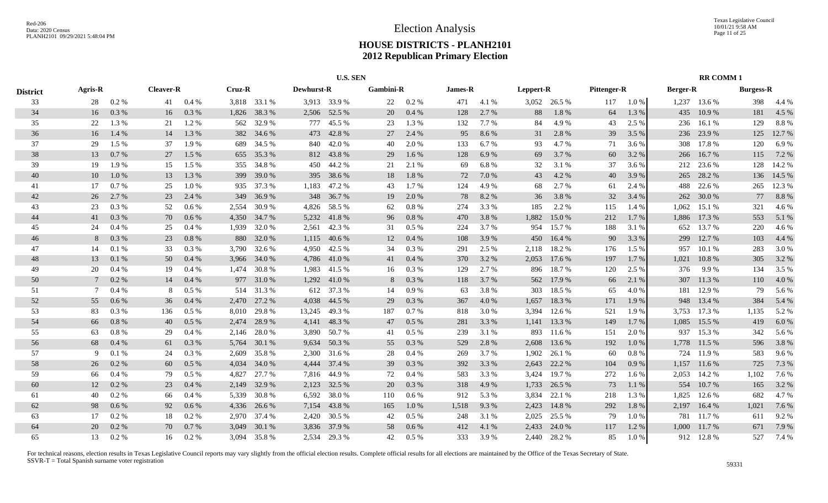|                 |                |           |                  |         |        |              |                   | <b>U.S. SEN</b> |                  |           |         |           |           |              |                    |          |                 | <b>RR COMM1</b> |                  |        |
|-----------------|----------------|-----------|------------------|---------|--------|--------------|-------------------|-----------------|------------------|-----------|---------|-----------|-----------|--------------|--------------------|----------|-----------------|-----------------|------------------|--------|
| <b>District</b> | <b>Agris-R</b> |           | <b>Cleaver-R</b> |         | Cruz-R |              | <b>Dewhurst-R</b> |                 | <b>Gambini-R</b> |           | James-R |           | Leppert-R |              | <b>Pittenger-R</b> |          | <b>Berger-R</b> |                 | <b>Burgess-R</b> |        |
| 33              | 28             | 0.2 %     | 41               | 0.4%    |        | 3,818 33.1 % |                   | 3,913 33.9 %    | 22               | 0.2 %     | 471     | 4.1 %     |           | 3,052 26.5 % | 117                | $1.0\%$  |                 | 1,237 13.6 %    | 398              | 4.4 %  |
| 34              | 16             | 0.3%      | 16               | 0.3%    | 1,826  | 38.3%        | 2,506             | 52.5 %          | 20               | $0.4~\%$  | 128     | 2.7 %     | 88        | 1.8%         | 64                 | 1.3 %    | 435             | 10.9%           | 181              | 4.5 %  |
| 35              | 22             | 1.3%      | 21               | 1.2%    | 562    | 32.9 %       | 777               | 45.5 %          | 23               | 1.3 %     | 132     | 7.7%      | 84        | 4.9%         | 43                 | 2.5 %    | 236             | 16.1 %          | 129              | 8.8%   |
| 36              | 16             | 1.4 %     | 14               | 1.3%    | 382    | 34.6 %       | 473               | 42.8%           | 27               | 2.4 %     | 95      | 8.6%      | 31        | 2.8 %        | 39                 | 3.5 %    | 236             | 23.9%           | 125              | 12.7 % |
| 37              | 29             | 1.5 %     | 37               | 1.9%    | 689    | 34.5 %       | 840               | 42.0 %          | 40               | 2.0%      | 133     | 6.7%      | 93        | 4.7%         | 71                 | 3.6 %    | 308             | 17.8%           | 120              | 6.9%   |
| 38              | 13             | 0.7%      | 27               | 1.5 %   | 655    | 35.3 %       |                   | 812 43.8%       | 29               | $1.6\%$   | 128     | 6.9%      | 69        | 3.7 %        | 60                 | 3.2 %    | 266             | 16.7%           | 115              | 7.2 %  |
| 39              | 19             | 1.9%      | 15               | 1.5 %   | 355    | 34.8%        | 450               | 44.2 %          | 21               | 2.1%      | 69      | 6.8%      | 32        | 3.1 %        | 37                 | 3.6 %    |                 | 212 23.6 %      | 128              | 14.2 % |
| 40              | 10             | 1.0%      | 13               | 1.3%    | 399    | 39.0 %       |                   | 395 38.6 %      | 18               | 1.8%      | 72      | $7.0\,\%$ | 43        | 4.2 %        | 40                 | 3.9%     | 265             | 28.2 %          | 136              | 14.5 % |
| 41              | 17             | 0.7%      | 25               | 1.0%    | 935    | 37.3 %       | 1,183             | 47.2 %          | 43               | 1.7%      | 124     | 4.9%      | 68        | 2.7 %        | 61                 | 2.4 %    | 488             | 22.6 %          | 265              | 12.3 % |
| 42              | 26             | 2.7 %     | 23               | 2.4 %   | 349    | 36.9%        |                   | 348 36.7 %      | 19               | 2.0%      | 78      | 8.2%      | 36        | 3.8%         | 32                 | 3.4 %    | 262             | 30.0%           | 77               | 8.8%   |
| 43              | 23             | 0.3%      | 52               | 0.6 %   | 2.554  | 30.9%        | 4,826             | 58.5 %          | 62               | 0.8 %     | 274     | 3.3 %     | 185       | 2.2 %        | 115                | 1.4 %    | 1,062           | 15.1 %          | 321              | 4.6 %  |
| 44              | 41             | 0.3 %     | 70               | $0.6\%$ | 4,350  | 34.7 %       | 5,232             | 41.8%           | 96               | 0.8%      | 470     | 3.8%      | 1,882     | 15.0 %       | 212                | $1.7\%$  | 1,886           | 17.3 %          | 553              | 5.1 %  |
| 45              | 24             | 0.4%      | 25               | 0.4%    | 1,939  | 32.0%        | 2,561             | 42.3 %          | 31               | 0.5%      | 224     | 3.7%      | 954       | 15.7 %       | 188                | 3.1 %    | 652             | 13.7 %          | 220              | 4.6 %  |
| 46              |                | 0.3%      | 23               | 0.8%    | 880    | 32.0%        |                   | 1,115 40.6 %    | 12               | 0.4%      | 108     | 3.9%      | 450       | 16.4 %       | 90                 | 3.3 %    | 299             | 12.7 %          | 103              | 4.4 %  |
| 47              | 14             | 0.1%      | 33               | 0.3%    | 3.790  | 32.6 %       | 4,950             | 42.5 %          | 34               | 0.3%      | 291     | 2.5 %     | 2,118     | 18.2 %       | 176                | 1.5 %    | 957             | 10.1 %          | 283              | 3.0%   |
| 48              | 13             | 0.1 %     | 50               | 0.4%    | 3,966  | 34.0 %       |                   | 4,786 41.0 %    | 41               | 0.4%      | 370     | 3.2 %     | 2,053     | 17.6 %       | 197                | 1.7%     | 1,021           | 10.8%           | 305              | 3.2%   |
| 49              | 20             | 0.4%      | 19               | 0.4%    | 1,474  | 30.8%        |                   | 1,983 41.5 %    | 16               | 0.3%      | 129     | 2.7 %     | 896       | 18.7 %       | 120                | 2.5 %    | 376             | 9.9%            | 134              | 3.5 %  |
| 50              |                | 0.2 %     | 14               | 0.4%    | 977    | 31.0 %       |                   | 1,292 41.0 %    | 8                | 0.3 %     | 118     | 3.7 %     | 562       | 17.9 %       | 66                 | 2.1 %    | 307             | 11.3 %          | 110              | 4.0%   |
| 51              | 7              | 0.4%      | 8                | 0.5%    | 514    | 31.3 %       |                   | 612 37.3 %      | 14               | 0.9%      | 63      | 3.8%      | 303       | 18.5 %       | 65                 | 4.0 %    | 181             | 12.9 %          | 79               | 5.6 %  |
| 52              | 55             | 0.6 %     | 36               | 0.4%    | 2,470  | 27.2 %       | 4,038             | 44.5 %          | 29               | 0.3 %     | 367     | 4.0 %     | 1,657     | 18.3%        | 171                | 1.9 %    | 948             | 13.4 %          | 384              | 5.4 %  |
| 53              | 83             | 0.3 %     | 136              | $0.5\%$ | 8,010  | 29.8 %       | 13,245            | 49.3 %          | 187              | 0.7%      | 818     | 3.0%      | 3,394     | 12.6 %       | 521                | 1.9%     | 3,753           | 17.3 %          | 1,135            | 5.2 %  |
| 54              | 66             | 0.8%      | 40               | 0.5%    | 2,474  | 28.9 %       | 4,141             | 48.3%           | 47               | 0.5 %     | 281     | 3.3 %     | 1,141     | 13.3 %       | 149                | 1.7 %    | 1,085           | 15.5 %          | 419              | $6.0%$ |
| 55              | 63             | $0.8\ \%$ | 29               | 0.4%    | 2,146  | 28.0%        | 3,890             | 50.7%           | 41               | 0.5%      | 239     | 3.1 %     | 893       | 11.6 %       | 151                | 2.0 %    | 937             | 15.3 %          | 342              | 5.6%   |
| 56              | 68             | 0.4%      | 61               | 0.3%    | 5,764  | 30.1 %       | 9,634             | 50.3%           | 55               | $0.3\ \%$ | 529     | 2.8 %     | 2,608     | 13.6 %       | 192                | 1.0%     |                 | 1,778 11.5 %    | 596              | 3.8%   |
| 57              | -9             | 0.1%      | 24               | $0.3\%$ | 2,609  | 35.8%        | 2,300             | 31.6 %          | 28               | 0.4%      | 269     | 3.7%      | 1,902     | 26.1 %       | 60                 | 0.8%     |                 | 724 11.9 %      | 583              | 9.6 %  |
| 58              | 26             | 0.2 %     | 60               | 0.5%    | 4,034  | 34.0 %       | 4,444             | 37.4 %          | 39               | $0.3\ \%$ | 392     | 3.3 %     | 2,643     | 22.2 %       | 104                | 0.9%     | 1,157           | 11.6 %          | 725              | 7.3 %  |
| 59              | 66             | 0.4%      | 79               | 0.5%    | 4,827  | 27.7 %       | 7,816             | 44.9%           | 72               | 0.4%      | 583     | 3.3%      | 3,424     | 19.7%        | 272                | 1.6 %    | 2,053           | 14.2 %          | 1,102            | 7.6 %  |
| 60              | 12             | $0.2\%$   | 23               | 0.4%    | 2,149  | 32.9 %       | 2,123             | 32.5 %          | 20               | 0.3 %     | 318     | 4.9%      | 1,733     | 26.5 %       | 73                 | 1.1 %    | 554             | 10.7 %          | 165              | 3.2 %  |
| 61              | 40             | 0.2 %     | 66               | 0.4%    | 5,339  | 30.8%        | 6,592             | 38.0%           | 110              | 0.6 %     | 912     | 5.3 %     | 3,834     | 22.1 %       | 218                | 1.3 %    | 1,825           | 12.6 %          | 682              | 4.7%   |
| 62              | 98             | 0.6%      | 92               | 0.6%    | 4,336  | 26.6 %       | 7,154             | 43.8%           | 165              | 1.0%      | 1,518   | 9.3%      | 2,423     | 14.8%        | 292                | 1.8%     | 2,197           | 16.4%           | 1,021            | 7.6 %  |
| 63              | 17             | 0.2 %     | 18               | 0.2 %   | 2.970  | 37.4 %       | 2,420             | 30.5 %          | 42               | 0.5%      | 248     | 3.1 %     | 2,025     | 25.5 %       | 79                 | 1.0%     | 781             | 11.7 %          | 611              | 9.2%   |
| 64              | 20             | 0.2 %     | 70               | 0.7%    | 3.049  | 30.1 %       |                   | 3,836 37.9 %    | 58               | 0.6 %     | 412     | 4.1 %     | 2,433     | 24.0 %       | 117                | 1.2%     | 1.000           | 11.7 %          | 671              | 7.9 %  |
| 65              | 13             | $0.2\%$   | 16               | $0.2\%$ |        | 3,094 35.8 % |                   | 2,534 29.3 %    | 42               | 0.5 %     | 333     | 3.9%      |           | 2,440 28.2 % | 85                 | $1.0 \%$ |                 | 912 12.8%       | 527              | 7.4 %  |
|                 |                |           |                  |         |        |              |                   |                 |                  |           |         |           |           |              |                    |          |                 |                 |                  |        |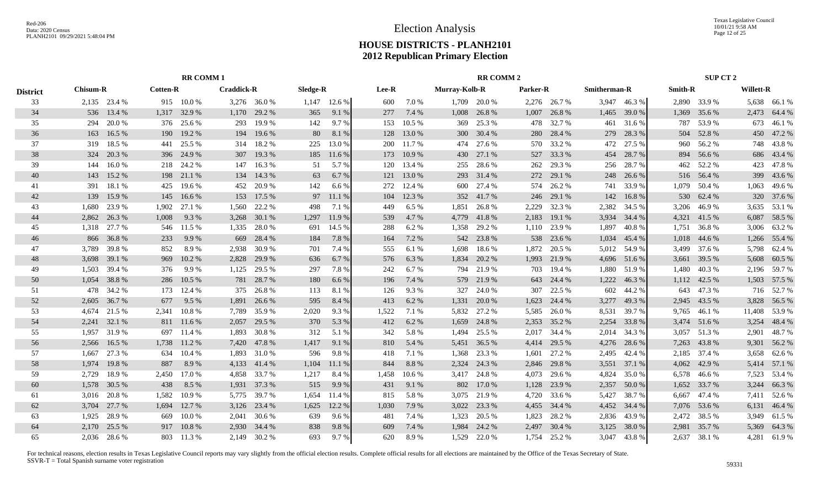Texas Legislative Council 10/01/21 9:58 AM Page 12 of 25

# **HOUSE DISTRICTS - PLANH2101 2012 Republican Primary Election**

|                 |                 | <b>RR COMM1</b> |                 |            |                   |              |          |              |       |        |               | <b>RR COMM 2</b> |          |              |                     |              |                | SUP CT 2     |           |              |
|-----------------|-----------------|-----------------|-----------------|------------|-------------------|--------------|----------|--------------|-------|--------|---------------|------------------|----------|--------------|---------------------|--------------|----------------|--------------|-----------|--------------|
| <b>District</b> | <b>Chisum-R</b> |                 | <b>Cotten-R</b> |            | <b>Craddick-R</b> |              | Sledge-R |              | Lee-R |        | Murray-Kolb-R |                  | Parker-R |              | <b>Smitherman-R</b> |              | <b>Smith-R</b> |              | Willett-R |              |
| 33              |                 | 2,135 23.4 %    |                 | 915 10.0 % |                   | 3,276 36.0 % |          | 1,147 12.6 % | 600   | 7.0%   | 1,709         | 20.0 %           |          | 2,276 26.7 % |                     | 3,947 46.3%  |                | 2,890 33.9 % |           | 5,638 66.1 % |
| 34              | 536             | 13.4 %          | 1,317           | 32.9%      | 1,170             | 29.2 %       | 365      | 9.1 %        | 277   | 7.4 %  | 1,008         | 26.8%            | 1,007    | 26.8%        | 1,465               | 39.0%        | 1,369          | 35.6 %       | 2,473     | 64.4 %       |
| 35              | 294             | 20.0%           | 376             | 25.6 %     | 293               | 19.9%        | 142      | 9.7 %        | 153   | 10.5 % | 369           | 25.3 %           | 478      | 32.7%        | 461                 | 31.6 %       | 787            | 53.9%        | 673       | 46.1%        |
| 36              | 163             | 16.5 %          | 190             | 19.2 %     | 194               | 19.6 %       | 80       | 8.1 %        | 128   | 13.0%  | 300           | 30.4 %           | 280      | 28.4 %       | 279                 | 28.3 %       | 504            | 52.8%        | 450       | 47.2 %       |
| 37              | 319             | 18.5 %          | 441             | 25.5 %     | 314               | 18.2 %       | 225      | 13.0 %       | 200   | 11.7 % | 474           | 27.6 %           | 570      | 33.2 %       | 472                 | 27.5 %       |                | 960 56.2 %   | 748       | 43.8%        |
| 38              | 324             | 20.3 %          | 396             | 24.9 %     | 307               | 19.3 %       | 185      | 11.6 %       | 173   | 10.9%  | 430           | 27.1 %           | 527      | 33.3 %       | 454                 | 28.7%        | 894            | 56.6%        | 686       | 43.4 %       |
| 39              | 144             | 16.0%           |                 | 218 24.2 % | 147               | 16.3%        | 51       | 5.7 %        | 120   | 13.4 % | 255           | 28.6%            | 262      | 29.3 %       | 256                 | 28.7%        |                | 462 52.2 %   | 423       | 47.8%        |
| 40              | 143             | 15.2 %          |                 | 198 21.1 % | 134               | 14.3 %       | 63       | 6.7 %        | 121   | 13.0%  | 293           | 31.4 %           | 272      | 29.1 %       | 248                 | 26.6 %       |                | 516 56.4 %   | 399       | 43.6%        |
| 41              | 391             | 18.1%           | 425             | 19.6 %     | 452               | 20.9%        | 142      | 6.6 %        | 272   | 12.4 % | 600           | 27.4 %           |          | 574 26.2 %   | 741                 | 33.9%        |                | 1,079 50.4 % | 1,063     | 49.6 %       |
| 42              | 139             | 15.9%           | 145             | 16.6%      | 153               | 17.5 %       |          | 97 11.1 %    | 104   | 12.3 % |               | 352 41.7 %       | 246      | 29.1 %       | 142                 | 16.8%        | 530            | 62.4 %       | 320       | 37.6 %       |
| 43              | 1,680           | 23.9%           | 1,902           | 27.1 %     | 1,560             | 22.2 %       | 498      | 7.1 %        | 449   | 6.5%   | 1,851         | 26.8%            | 2,229    | 32.3 %       | 2,382               | 34.5 %       | 3,206          | 46.9%        | 3,635     | 53.1 %       |
| 44              | 2.862           | 26.3%           | 1,008           | 9.3%       | 3,268             | 30.1 %       | 1,297    | 11.9 %       | 539   | 4.7%   | 4,779         | 41.8%            | 2,183    | 19.1 %       | 3,934               | 34.4 %       | 4.321          | 41.5 %       | 6,087     | 58.5 %       |
| 45              | 1.318           | 27.7 %          |                 | 546 11.5 % | 1,335             | 28.0%        | 691      | 14.5 %       | 288   | 6.2%   | 1,358         | 29.2 %           | 1,110    | 23.9 %       | 1,897               | 40.8%        | 1,751          | 36.8%        | 3,006     | 63.2 %       |
| 46              | 866             | 36.8%           | 233             | 9.9%       | 669               | 28.4 %       | 184      | 7.8 %        | 164   | 7.2 %  | 542           | 23.8%            | 538      | 23.6 %       | 1,034               | 45.4 %       | 1,018          | 44.6 %       | 1,266     | 55.4 %       |
| 47              | 3.789           | 39.8%           | 852             | 8.9%       | 2.938             | 30.9%        | 701      | 7.4 %        | 555   | 6.1 %  | 1.698         | 18.6%            | 1,872    | 20.5 %       | 5,012               | 54.9%        |                | 3,499 37.6 % | 5,798     | 62.4 %       |
| 48              | 3,698           | 39.1 %          | 969             | 10.2%      | 2,828             | 29.9 %       | 636      | 6.7%         | 576   | 6.3%   | 1,834         | 20.2 %           | 1,993    | 21.9%        | 4,696               | 51.6%        | 3,661          | 39.5 %       | 5,608     | 60.5 %       |
| 49              | 1,503           | 39.4 %          | 376             | 9.9%       | 1,125             | 29.5 %       | 297      | 7.8%         | 242   | 6.7%   |               | 794 21.9 %       | 703      | 19.4 %       | 1,880               | 51.9%        | 1,480          | 40.3%        |           | 2,196 59.7 % |
| 50              | 1,054           | 38.8%           |                 | 286 10.5 % | 781               | 28.7 %       | 180      | 6.6 %        | 196   | 7.4 %  |               | 579 21.9 %       | 643      | 24.4 %       | 1,222               | 46.3%        |                | 1,112 42.5 % |           | 1,503 57.5 % |
| 51              | 478             | 34.2 %          | 173             | 12.4 %     | 375               | 26.8%        | 113      | 8.1%         | 126   | 9.3%   | 327           | 24.0 %           | 307      | 22.5 %       | 602                 | 44.2 %       | 643            | 47.3 %       | 716       | 52.7%        |
| 52              | 2,605           | 36.7 %          | 677             | 9.5 %      | 1,891             | 26.6 %       | 595      | 8.4 %        | 413   | 6.2%   | 1,331         | 20.0%            | 1,623    | 24.4 %       | 3,277               | 49.3 %       | 2,945          | 43.5 %       | 3,828     | 56.5 %       |
| 53              | 4,674           | 21.5 %          | 2,341           | 10.8%      | 7,789             | 35.9%        | 2,020    | 9.3%         | 1,522 | 7.1 %  | 5,832         | 27.2 %           | 5,585    | 26.0%        | 8,531               | 39.7 %       | 9,765          | 46.1 %       | 11,408    | 53.9%        |
| 54              | 2,241           | 32.1 %          |                 | 811 11.6 % | 2,057             | 29.5 %       | 370      | 5.3 %        | 412   | 6.2%   | 1,659         | 24.8%            | 2,353    | 35.2 %       | 2,254               | 33.8%        |                | 3,474 51.6 % | 3,254     | 48.4%        |
| 55              | 1,957           | 31.9%           | 697             | 11.4 %     | 1,893             | 30.8%        | 312      | 5.1 %        | 342   | 5.8%   | 1,494         | 25.5 %           | 2,017    | 34.4 %       | 2,014               | 34.3 %       | 3,057          | 51.3%        | 2,901     | 48.7%        |
| 56              | 2,566           | 16.5 %          | 1,738           | 11.2 %     | 7,420             | 47.8%        | 1,417    | 9.1%         | 810   | 5.4 %  | 5,451         | 36.5 %           | 4,414    | 29.5 %       | 4,276               | 28.6%        | 7,263          | 43.8%        | 9,301     | 56.2%        |
| 57              | 1.667           | 27.3 %          | 634             | 10.4 %     | 1.893             | 31.0%        | 596      | 9.8%         | 418   | 7.1 %  | 1,368         | 23.3 %           | 1,601    | 27.2 %       | 2,495               | 42.4 %       | 2,185          | 37.4 %       | 3,658     | 62.6 %       |
| 58              | 1,974           | 19.8%           | 887             | 8.9%       | 4,133             | 41.4 %       | 1,104    | 11.1 %       | 844   | 8.8%   | 2,324         | 24.3 %           | 2,846    | 29.8%        | 3,551               | 37.1 %       | 4,062          | 42.9 %       | 5,414     | 57.1 %       |
| 59              | 2,729           | 18.9%           | 2,450           | 17.0 %     | 4,858             | 33.7%        | 1,217    | 8.4 %        | 1,458 | 10.6%  | 3,417         | 24.8%            | 4,073    | 29.6 %       | 4,824               | 35.0%        | 6,578          | 46.6%        | 7,523     | 53.4 %       |
| 60              | 1,578           | 30.5 %          | 438             | 8.5 %      | 1,931             | 37.3 %       | 515      | 9.9 %        | 431   | 9.1 %  | 802           | 17.0 %           | 1,128    | 23.9 %       | 2,357               | 50.0%        | 1,652          | 33.7 %       | 3,244     | 66.3%        |
| 61              | 3,016           | 20.8%           | 1,582           | 10.9%      | 5,775             | 39.7 %       | 1,654    | 11.4 %       | 815   | 5.8%   | 3,075         | 21.9%            | 4,720    | 33.6 %       | 5,427               | 38.7%        | 6,667          | 47.4 %       | 7,411     | 52.6 %       |
| 62              | 3,704           | 27.7 %          | 1,694           | 12.7 %     | 3,126             | 23.4 %       | 1,625    | 12.2 %       | 1,030 | 7.9 %  | 3,022         | 23.3 %           | 4,455    | 34.4 %       | 4,452               | 34.4 %       |                | 7,076 53.6 % | 6,131     | 46.4 %       |
| 63              | 1.925           | 28.9%           | 669             | 10.0%      | 2.041             | 30.6 %       | 639      | 9.6%         | 481   | 7.4 %  | 1,323         | 20.5 %           | 1,823    | 28.2 %       | 2,836               | 43.9%        | 2,472          | 38.5 %       | 3,949     | 61.5 %       |
| 64              | 2.170           | 25.5 %          |                 | 917 10.8%  | 2.930             | 34.4 %       | 838      | 9.8%         | 609   | 7.4 %  | 1,984         | 24.2 %           | 2,497    | 30.4 %       | 3,125               | 38.0%        | 2,981          | 35.7%        | 5,369     | 64.3 %       |
| 65              | 2.036           | 28.6 %          |                 | 803 11.3 % |                   | 2,149 30.2 % | 693      | 9.7%         | 620   | 8.9%   | 1.529         | 22.0 %           |          | 1,754 25.2 % |                     | 3,047 43.8 % |                | 2,637 38.1 % |           | 4,281 61.9%  |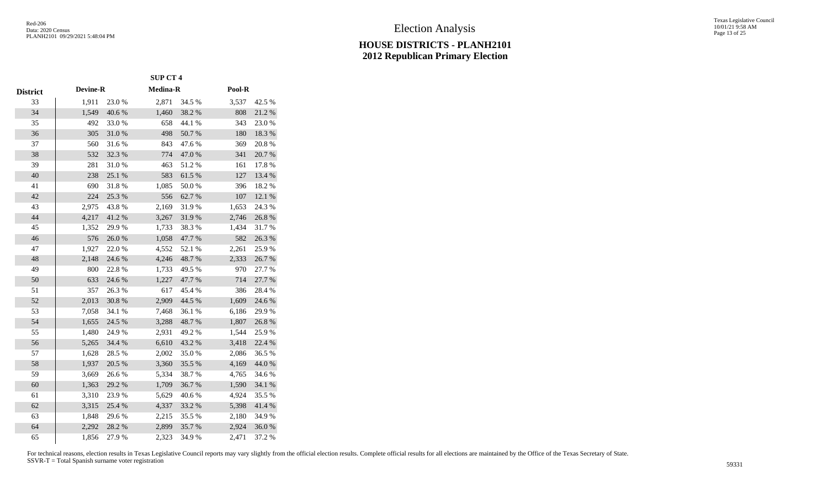|                 |                 |            | <b>SUP CT 4</b> |            |        |        |
|-----------------|-----------------|------------|-----------------|------------|--------|--------|
| <b>District</b> | <b>Devine-R</b> |            | <b>Medina-R</b> |            | Pool-R |        |
| 33              | 1,911           | 23.0 %     | 2,871           | 34.5 %     | 3,537  | 42.5 % |
| 34              | 1,549           | 40.6%      | 1,460           | 38.2 %     | 808    | 21.2%  |
| 35              | 492             | 33.0%      | 658             | 44.1 %     | 343    | 23.0%  |
| 36              | 305             | 31.0%      | 498             | 50.7%      | 180    | 18.3 % |
| 37              | 560             | 31.6%      | 843             | 47.6%      | 369    | 20.8%  |
| 38              | 532             | 32.3 %     | 774             | 47.0%      | 341    | 20.7 % |
| 39              | 281             | 31.0%      | 463             | 51.2%      | 161    | 17.8%  |
| 40              | 238             | 25.1 %     | 583             | 61.5 %     | 127    | 13.4 % |
| 41              | 690             | 31.8%      | 1,085           | $50.0\;\%$ | 396    | 18.2%  |
| 42              | 224             | 25.3 %     | 556             | 62.7%      | 107    | 12.1 % |
| 43              | 2,975           | 43.8%      | 2,169           | 31.9%      | 1,653  | 24.3 % |
| 44              | 4,217           | 41.2%      | 3,267           | 31.9%      | 2,746  | 26.8%  |
| 45              | 1,352           | 29.9%      | 1,733           | 38.3%      | 1,434  | 31.7%  |
| 46              | 576             | $26.0\;\%$ | 1,058           | 47.7 %     | 582    | 26.3%  |
| 47              | 1,927           | 22.0%      | 4,552           | 52.1 %     | 2,261  | 25.9%  |
| 48              | 2,148           | 24.6 %     | 4,246           | 48.7%      | 2,333  | 26.7%  |
| 49              | 800             | 22.8%      | 1,733           | 49.5%      | 970    | 27.7 % |
| 50              | 633             | 24.6 %     | 1,227           | 47.7%      | 714    | 27.7 % |
| 51              | 357             | 26.3%      | 617             | 45.4 %     | 386    | 28.4%  |
| 52              | 2,013           | 30.8 %     | 2,909           | 44.5 %     | 1,609  | 24.6 % |
| 53              | 7,058           | 34.1 %     | 7,468           | 36.1 %     | 6,186  | 29.9%  |
| 54              | 1,655           | 24.5 %     | 3,288           | 48.7%      | 1,807  | 26.8%  |
| 55              | 1,480           | 24.9%      | 2,931           | 49.2 %     | 1,544  | 25.9%  |
| 56              | 5,265           | 34.4 %     | 6,610           | 43.2 %     | 3,418  | 22.4 % |
| 57              | 1,628           | 28.5 %     | 2,002           | 35.0%      | 2,086  | 36.5%  |
| 58              | 1,937           | 20.5 %     | 3,360           | 35.5 %     | 4,169  | 44.0 % |
| 59              | 3,669           | 26.6%      | 5,334           | 38.7%      | 4,765  | 34.6 % |
| 60              | 1,363           | 29.2 %     | 1,709           | 36.7%      | 1,590  | 34.1 % |
| 61              | 3,310           | 23.9%      | 5,629           | 40.6%      | 4,924  | 35.5 % |
| 62              | 3,315           | 25.4 %     | 4,337           | 33.2 %     | 5,398  | 41.4 % |
| 63              | 1,848           | 29.6%      | 2,215           | 35.5 %     | 2,180  | 34.9%  |
| 64              | 2,292           | 28.2 %     | 2,899           | 35.7%      | 2,924  | 36.0%  |
| 65              | 1,856           | 27.9%      | 2,323           | 34.9%      | 2,471  | 37.2 % |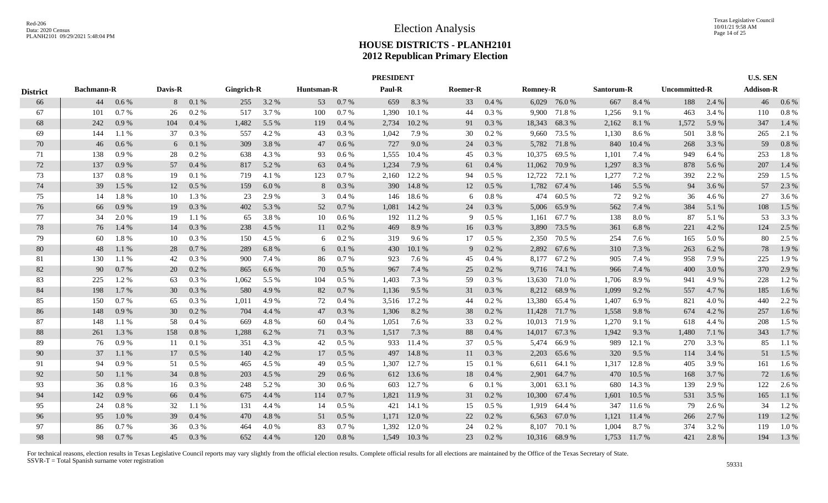|                 |                                    |       |         |         |                   | <b>PRESIDENT</b> |            |         |            |             |                 |          |                 |               |            | <b>U.S. SEN</b> |               |       |                  |         |
|-----------------|------------------------------------|-------|---------|---------|-------------------|------------------|------------|---------|------------|-------------|-----------------|----------|-----------------|---------------|------------|-----------------|---------------|-------|------------------|---------|
| <b>District</b> | <b>Bachmann-R</b><br>44<br>$0.6\%$ |       | Davis-R |         | <b>Gingrich-R</b> |                  | Huntsman-R |         | Paul-R     |             | <b>Roemer-R</b> |          | <b>Romney-R</b> |               | Santorum-R |                 | Uncommitted-R |       | <b>Addison-R</b> |         |
| 66              |                                    |       | 8       | 0.1%    | 255               | 3.2 %            | 53         | 0.7%    | 659        | 8.3%        | 33              | 0.4%     |                 | 6,029 76.0 %  | 667        | 8.4 %           | 188           | 2.4 % | 46               | $0.6\%$ |
| 67              | 101                                | 0.7%  | 26      | 0.2 %   | 517               | 3.7 %            | 100        | 0.7%    | 1,390      | 10.1 %      | 44              | 0.3%     | 9,900           | 71.8%         | 1,256      | 9.1 %           | 463           | 3.4 % | 110              | 0.8%    |
| 68              | 242                                | 0.9%  | 104     | 0.4%    | 1,482             | 5.5 %            | 119        | 0.4%    | 2,734      | 10.2%       | 91              | 0.3%     | 18,343          | 68.3%         | 2,162      | 8.1%            | 1,572         | 5.9 % | 347              | 1.4 %   |
| 69              | 144                                | 1.1%  | 37      | 0.3 %   | 557               | 4.2 %            | 43         | 0.3 %   | 1,042      | 7.9 %       | 30              | 0.2 %    | 9,660           | 73.5 %        | 1,130      | 8.6%            | 501           | 3.8 % | 265              | 2.1 %   |
| 70              | 46                                 | 0.6 % | 6       | 0.1%    | 309               | 3.8%             | 47         | $0.6\%$ | 727        | 9.0%        | 24              | 0.3 %    |                 | 5,782 71.8 %  | 840        | 10.4 %          | 268           | 3.3 % | 59               | 0.8%    |
| 71              | 138                                | 0.9%  | 28      | 0.2 %   | 638               | 4.3 %            | 93         | $0.6\%$ | 1,555      | 10.4 %      | 45              | 0.3%     | 10,375          | 69.5 %        | 1,101      | 7.4 %           | 949           | 6.4 % | 253              | 1.8%    |
| 72              | 137                                | 0.9%  | 57      | 0.4%    | 817               | 5.2 %            | 63         | 0.4%    | 1,234      | 7.9 %       | 61              | 0.4%     | 11,062          | 70.9 %        | 1,297      | 8.3%            | 878           | 5.6 % | 207              | 1.4 %   |
| 73              | 137                                | 0.8 % | 19      | 0.1%    | 719               | 4.1 %            | 123        | 0.7%    | 2.160      | 12.2 %      | 94              | 0.5 %    | 12,722          | 72.1 %        | 1,277      | 7.2 %           | 392           | 2.2 % | 259              | 1.5 %   |
| 74              | 39                                 | 1.5 % | 12      | $0.5\%$ | 159               | 6.0 $%$          | 8          | 0.3 %   | <b>390</b> | 14.8%       | 12              | $0.5\%$  |                 | 1,782 67.4 %  | 146        | 5.5 %           | 94            | 3.6 % | 57               | 2.3 %   |
| 75              | 14                                 | 1.8%  | 10      | 1.3 %   | 23                | 2.9 %            | 3          | 0.4%    | 146        | 18.6 %      | 6               | 0.8%     | 474             | 60.5 %        | 72         | 9.2%            | 36            | 4.6 % | 27               | 3.6 %   |
| 76              | 66                                 | 0.9%  | 19      | 0.3 %   | 402               | 5.3 %            | 52         | 0.7%    | 1,081      | 14.2 %      | 24              | $0.3~\%$ | 5,006           | 65.9%         | 562        | 7.4 %           | 384           | 5.1 % | 108              | 1.5 %   |
| 77              | 34                                 | 2.0 % | 19      | 1.1 %   | 65                | 3.8%             | 10         | $0.6\%$ | 192        | 11.2 %      | 9               | 0.5 %    | 1,161           | 67.7 %        | 138        | 8.0%            | 87            | 5.1 % | 53               | 3.3 %   |
| 78              | 76                                 | 1.4 % | 14      | 0.3%    | 238               | 4.5 %            | 11         | 0.2 %   | 469        | 8.9%        | 16              | 0.3%     | 3,890           | 73.5 %        | 361        | 6.8%            | 221           | 4.2 % | 124              | 2.5 %   |
| 79              | 60                                 | 1.8%  | 10      | $0.3\%$ | 150               | 4.5 %            | 6          | 0.2 %   | 319        | $9.6\%$     | 17              | $0.5\%$  | 2,350           | 70.5 %        | 254        | 7.6 %           | 165           | 5.0 % | 80               | 2.5 %   |
| 80              | 48                                 | 1.1%  | 28      | 0.7%    | 289               | 6.8%             | 6          | 0.1%    | 430        | 10.1%       | 9               | 0.2 %    | 2,892           | 67.6 %        | 310        | 7.3 %           | 263           | 6.2%  | 78               | 1.9%    |
| -81             | 130                                | 1.1 % | 42      | 0.3 %   | 900               | 7.4 %            | 86         | 0.7%    | 923        | 7.6 %       | 45              | 0.4%     |                 | 8,177 67.2 %  | 905        | 7.4 %           | 958           | 7.9 % | 225              | 1.9%    |
| 82              | 90                                 | 0.7%  | 20      | $0.2\%$ | 865               | 6.6%             | 70         | $0.5\%$ | 967        | 7.4 %       | 25              | 0.2 %    |                 | 9,716 74.1 %  | 966        | 7.4 %           | 400           | 3.0 % | 370              | 2.9 %   |
| 83              | 225                                | 1.2%  | 63      | $0.3\%$ | 1,062             | 5.5 %            | 104        | $0.5\%$ | 1,403      | 7.3 %       | 59              | 0.3%     |                 | 13,630 71.0 % | 1,706      | 8.9%            | 941           | 4.9%  | 228              | 1.2%    |
| 84              | 198                                | 1.7 % | 30      | 0.3%    | 580               | 4.9 %            | 82         | 0.7 %   | 1,136      | 9.5 %       | 31              | 0.3 %    | 8,212           | 68.9%         | 1,099      | 9.2 %           | 557           | 4.7 % | 185              | $1.6\%$ |
| 85              | 150                                | 0.7%  | 65      | 0.3 %   | 1,011             | 4.9 %            | 72         | 0.4%    | 3,516      | 17.2 %      | 44              | 0.2 %    | 13,380          | 65.4 %        | 1,407      | 6.9%            | 821           | 4.0 % | 440              | 2.2 %   |
| 86              | 148                                | 0.9%  | 30      | 0.2 %   | 704               | 4.4 %            | 47         | 0.3 %   | 1,306      | 8.2 %       | 38              | 0.2 %    | 11,428          | 71.7 %        | 1,558      | 9.8%            | 674           | 4.2 % | 257              | $1.6\%$ |
| 87              | 148                                | 1.1%  | 58      | 0.4%    | 669               | 4.8%             | 60         | 0.4%    | 1,051      | 7.6 %       | 33              | 0.2 %    |                 | 10,013 71.9 % | 1,270      | 9.1 %           | 618           | 4.4 % | 208              | 1.5 %   |
| 88              | 261                                | 1.3 % | 158     | 0.8 %   | 1,288             | 6.2 %            | 71         | 0.3%    | 1,517      | 7.3 %       | 88              | 0.4%     | 14,017          | 67.3%         | 1,942      | 9.3%            | 1,480         | 7.1 % | 343              | 1.7%    |
| 89              | 76                                 | 0.9%  | -11     | 0.1%    | 351               | 4.3 %            | 42         | 0.5%    | 933        | 11.4 %      | 37              | 0.5 %    | 5,474           | 66.9%         | 989        | 12.1 %          | 270           | 3.3 % | 85               | 1.1 %   |
| 90              | 37                                 | 1.1%  | 17      | 0.5%    | 140               | 4.2 %            | 17         | $0.5\%$ | 497        | 14.8%       | 11              | 0.3%     | 2,203           | 65.6 %        | 320        | 9.5 %           | 114           | 3.4 % | 51               | 1.5 %   |
| 91              | 94                                 | 0.9%  | 51      | $0.5\%$ | 465               | 4.5 %            | 49         | $0.5\%$ | 1,307      | 12.7 %      | 15              | 0.1 %    | 6,611           | 64.1 %        | 1,317      | 12.8%           | 405           | 3.9 % | 161              | 1.6 %   |
| 92              | 50                                 | 1.1%  | 34      | 0.8%    | 203               | 4.5 %            | 29         | 0.6 %   | 612        | 13.6 %      | 18              | 0.4 %    | 2,901           | 64.7 %        | 470        | 10.5 %          | 168           | 3.7 % | 72               | 1.6 %   |
| 93              | 36                                 | 0.8%  | 16      | 0.3%    | 248               | 5.2 %            | 30         | 0.6 %   | 603        | 12.7 %      | 6               | 0.1%     | 3,001           | 63.1 %        | 680        | 14.3 %          | 139           | 2.9 % | 122              | 2.6 %   |
| 94              | 142                                | 0.9%  | 66      | 0.4%    | 675               | 4.4 %            | 114        | 0.7 %   | 1,821      | 11.9%       | 31              | 0.2 %    | 10,300          | 67.4 %        | 1,601      | $10.5~\%$       | 531           | 3.5 % | 165              | 1.1 %   |
| 95              | -24                                | 0.8 % | 32      | 1.1 %   | 131               | 4.4 %            | 14         | $0.5\%$ | 421        | 14.1 %      | 15              | $0.5\%$  | 1,919           | 64.4 %        | 347        | 11.6 %          | 79            | 2.6 % | 34               | $1.2\%$ |
| 96              | 95                                 | 1.0%  | 39      | 0.4%    | 470               | 4.8%             | 51         | $0.5\%$ | 1,171      | 12.0 %      | 22              | 0.2 %    | 6,563           | 67.0%         | 1,121      | 11.4 %          | 266           | 2.7 % | 119              | $1.2\%$ |
| 97              | 86                                 | 0.7%  | 36      | 0.3%    | 464               | 4.0%             | 83         | 0.7%    | 1,392      | 12.0 %      | 24              | 0.2 %    | 8,107           | 70.1 %        | 1,004      | 8.7%            | 374           | 3.2 % | 119              | $1.0\%$ |
| 98              | 98                                 | 0.7%  | 45      | 0.3%    | 652               | 4.4 %            | 120        | 0.8%    |            | 1,549 10.3% | 23              | 0.2 %    |                 | 10,316 68.9%  | 1,753      | 11.7 %          | 421           | 2.8%  | 194              | 1.3 %   |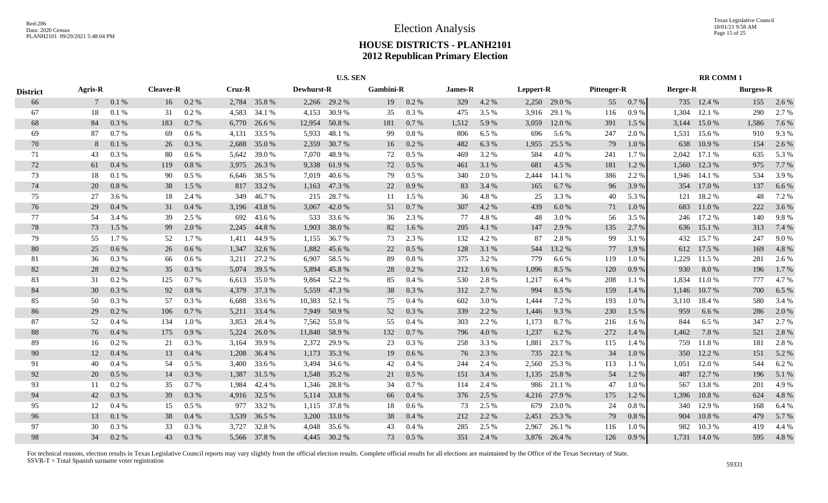|                 |                |          |                  |         |        |              |            | <b>U.S. SEN</b> |                  |           |         |       |           |              |             |         |                 | <b>RR COMM1</b> |                  |       |
|-----------------|----------------|----------|------------------|---------|--------|--------------|------------|-----------------|------------------|-----------|---------|-------|-----------|--------------|-------------|---------|-----------------|-----------------|------------------|-------|
| <b>District</b> | <b>Agris-R</b> |          | <b>Cleaver-R</b> |         | Cruz-R |              | Dewhurst-R |                 | <b>Gambini-R</b> |           | James-R |       | Leppert-R |              | Pittenger-R |         | <b>Berger-R</b> |                 | <b>Burgess-R</b> |       |
| 66              |                | 0.1 %    | 16               | 0.2 %   |        | 2,784 35.8 % |            | 2,266 29.2 %    | 19               | 0.2%      | 329     | 4.2 % | 2,250     | 29.0 %       | 55          | 0.7%    |                 | 735 12.4 %      | 155              | 2.6 % |
| 67              | 18             | 0.1%     | 31               | 0.2%    | 4,583  | 34.1 %       | 4,153      | 30.9%           | 35               | $0.3~\%$  | 475     | 3.5 % | 3,916     | 29.1 %       | 116         | 0.9%    | 1,304           | 12.1 %          | 290              | 2.7%  |
| 68              | 84             | 0.3%     | 183              | 0.7%    | 6,770  | 26.6 %       | 12,954     | 50.8%           | 181              | 0.7%      | 1,512   | 5.9 % | 3,059     | 12.0 %       | 391         | 1.5 %   | 3,144           | 15.0%           | 1,586            | 7.6 % |
| 69              | 87             | 0.7%     | 69               | $0.6\%$ | 4,131  | 33.5 %       | 5,933      | 48.1 %          | 99               | 0.8 %     | 806     | 6.5 % | 696       | 5.6 %        | 247         | 2.0 %   | 1,531           | 15.6 %          | 910              | 9.3%  |
| 70              | 8              | 0.1%     | 26               | 0.3 %   | 2,688  | 35.0%        | 2,359      | 30.7%           | 16               | 0.2 %     | 482     | 6.3%  | 1,955     | 25.5 %       | 79          | 1.0%    | 638             | 10.9%           | 154              | 2.6 % |
| 71              | 43             | 0.3 %    | 80               | 0.6 %   | 5,642  | 39.0%        | 7,070      | 48.9%           | 72               | 0.5 %     | 469     | 3.2%  | 584       | 4.0%         | 241         | 1.7%    | 2,042           | 17.1 %          | 635              | 5.3 % |
| 72              | 61             | $0.4~\%$ | 119              | 0.8 %   | 3,975  | 26.3%        | 9,338      | 61.9%           | 72               | 0.5 %     | 461     | 3.1 % | 681       | 4.5 %        | 181         | 1.2%    | 1,560           | 12.3 %          | 975              | 7.7 % |
| 73              | 18             | 0.1%     | 90               | $0.5\%$ | 6,646  | 38.5 %       | 7,019      | 40.6 %          | 79               | $0.5\ \%$ | 340     | 2.0 % | 2,444     | 14.1 %       | 386         | 2.2 %   | 1,946           | 14.1 %          | 534              | 3.9%  |
| 74              | 20             | 0.8%     | 38               | 1.5 %   | 817    | 33.2 %       |            | 1,163 47.3 %    | 22               | 0.9%      | 83      | 3.4 % | 165       | 6.7 %        | 96          | 3.9%    |                 | 354 17.0 %      | 137              | 6.6%  |
| 75              | 27             | 3.6 %    | 18               | 2.4 %   | 349    | 46.7%        | 215        | 28.7%           | 11               | 1.5 %     | 36      | 4.8%  | 25        | 3.3 %        | 40          | 5.3 %   | 121             | 18.2%           | 48               | 7.2 % |
| 76              | 29             | 0.4%     | 31               | 0.4%    | 3,196  | 43.8%        | 3,067      | 42.0%           | 51               | 0.7%      | 307     | 4.2 % | 439       | 6.0%         | 71          | 1.0%    | 683             | 11.0%           | 222              | 3.6%  |
| 77              | 54             | 3.4 %    | 39               | 2.5 %   | 692    | 43.6 %       | 533        | 33.6 %          | 36               | 2.3%      | 77      | 4.8%  | 48        | 3.0%         | 56          | 3.5 %   | 246             | 17.2 %          | 140              | 9.8%  |
| 78              | 73             | 1.5 %    | 99               | 2.0 %   | 2,245  | 44.8%        | 1,903      | 38.0%           | 82               | 1.6%      | 205     | 4.1 % | 147       | 2.9 %        | 135         | 2.7 %   | 636             | 15.1 %          | 313              | 7.4 % |
| 79              | 55             | 1.7%     | 52               | 1.7 %   | 1.411  | 44.9%        | 1,155      | 36.7%           | 73               | 2.3 %     | 132     | 4.2 % | 87        | 2.8%         | 99          | 3.1 %   |                 | 432 15.7 %      | 247              | 9.0%  |
| 80              | 25             | 0.6 %    | 26               | 0.6%    | 1.347  | 32.6 %       | 1,882      | 45.6 %          | 22               | 0.5 %     | 128     | 3.1 % | 544       | 13.2 %       | 77          | 1.9%    |                 | 612 17.5 %      | 169              | 4.8%  |
| 81              | 36             | $0.3~\%$ | 66               | 0.6 %   | 3,211  | 27.2 %       | 6,907      | 58.5 %          | 89               | $0.8~\%$  | 375     | 3.2%  | 779       | 6.6 %        | 119         | 1.0%    | 1,229           | 11.5 %          | 281              | 2.6 % |
| 82              | 28             | 0.2 %    | 35               | 0.3 %   | 5,074  | 39.5 %       | 5,894      | 45.8%           | 28               | 0.2 %     | 212     | 1.6 % | 1,096     | 8.5 %        | 120         | 0.9%    | 930             | 8.0%            | 196              | 1.7%  |
| 83              | 31             | 0.2 %    | 125              | 0.7%    | 6,613  | 35.0 %       | 9,864      | 52.2 %          | 85               | 0.4%      | 530     | 2.8 % | 1,217     | 6.4 %        | 208         | 1.1%    | 1,834           | 11.0 %          | 777              | 4.7%  |
| 84              | 30             | 0.3%     | 92               | 0.8 %   | 4,379  | 37.3 %       | 5,559      | 47.3 %          | 38               | 0.3%      | 312     | 2.7 % | 994       | 8.5 %        | 159         | 1.4 %   | 1,146           | 10.7 %          | 700              | 6.5%  |
| 85              | 50             | 0.3%     | 57               | 0.3%    | 6,688  | 33.6 %       | 10,383     | 52.1 %          | 75               | 0.4%      | 602     | 3.0 % | 1,444     | 7.2 %        | 193         | 1.0%    | 3,110           | 18.4 %          | 580              | 3.4 % |
| 86              | 29             | 0.2 %    | 106              | 0.7%    | 5,211  | 33.4 %       | 7,949      | 50.9%           | 52               | 0.3%      | 339     | 2.2 % | 1,446     | 9.3%         | 230         | 1.5 %   | 959             | 6.6 %           | 286              | 2.0 % |
| 87              | 52             | 0.4%     | 134              | 1.0%    | 3,853  | 28.4 %       |            | 7,562 55.8 %    | 55               | 0.4%      | 303     | 2.2 % | 1,173     | 8.7%         | 216         | $1.6\%$ | 844             | 6.5 %           | 347              | 2.7 % |
| 88              | 76             | 0.4%     | 175              | 0.9%    | 5,224  | 26.0 %       | 11,848     | 58.9%           | 132              | 0.7%      | 796     | 4.0%  | 1,237     | 6.2%         | 272         | 1.4 %   | 1,462           | 7.8 %           | 521              | 2.8%  |
| 89              | 16             | 0.2 %    | 21               | 0.3%    | 3,164  | 39.9%        | 2,372      | 29.9%           | 23               | 0.3%      | 258     | 3.3%  | 1,881     | 23.7 %       | 115         | 1.4 %   | 759             | 11.8%           | 181              | 2.8%  |
| 90              | 12             | 0.4%     | 13               | 0.4%    | 1,208  | 36.4 %       | 1,173      | 35.3 %          | 19               | 0.6 %     | 76      | 2.3 % | 735       | 22.1 %       | 34          | 1.0%    | 350             | 12.2 %          | 151              | 5.2 % |
| 91              | 40             | 0.4%     | 54               | 0.5%    | 3,400  | 33.6 %       | 3,494      | 34.6 %          | 42               | 0.4 %     | 244     | 2.4 % | 2,560     | 25.3 %       | 113         | 1.1%    | 1,051           | 12.0 %          | 544              | 6.2%  |
| 92              | 20             | 0.5%     | 14               | 0.3%    | 1,387  | 31.5 %       | 1,548      | 35.2 %          | 21               | 0.5%      | 151     | 3.4 % | 1,135     | 25.8 %       | 54          | 1.2%    | 487             | 12.7 %          | 196              | 5.1 % |
| 93              | 11             | 0.2 %    | 35               | 0.7%    | 1,984  | 42.4 %       | 1,346      | 28.8%           | 34               | 0.7 %     | 114     | 2.4 % | 986       | 21.1 %       | 47          | 1.0%    | 567             | 13.8%           | 201              | 4.9%  |
| 94              | 42             | 0.3%     | 39               | 0.3 %   | 4,916  | 32.5 %       | 5,114      | 33.8%           | 66               | 0.4%      | 376     | 2.5 % | 4,216     | 27.9 %       | 175         | 1.2%    | 1,396           | 10.8%           | 624              | 4.8%  |
| 95              | 12             | 0.4%     | 15               | $0.5\%$ | 977    | 33.2 %       |            | 1,115 37.8 %    | 18               | 0.6 %     | 73      | 2.5 % | 679       | 23.0 %       | 24          | 0.8%    | 340             | 12.9 %          | 168              | 6.4 % |
| 96              | 13             | 0.1%     | 38               | 0.4%    | 3,539  | 36.5 %       | 3,200      | 33.0 %          | 38               | 0.4%      | 212     | 2.2 % | 2,451     | 25.3 %       | 79          | 0.8%    | 904             | 10.8%           | 479              | 5.7 % |
| 97              | 30             | 0.3%     | 33               | 0.3%    | 3,727  | 32.8%        | 4,048      | 35.6 %          | 43               | 0.4%      | 285     | 2.5 % | 2,967     | 26.1 %       | 116         | 1.0%    | 982             | 10.3%           | 419              | 4.4 % |
| 98              | 34             | 0.2 %    | 43               | 0.3%    |        | 5,566 37.8 % |            | 4,445 30.2 %    | 73               | $0.5\%$   | 351     | 2.4 % |           | 3,876 26.4 % | 126         | 0.9%    |                 | 1,731 14.0 %    | 595              | 4.8%  |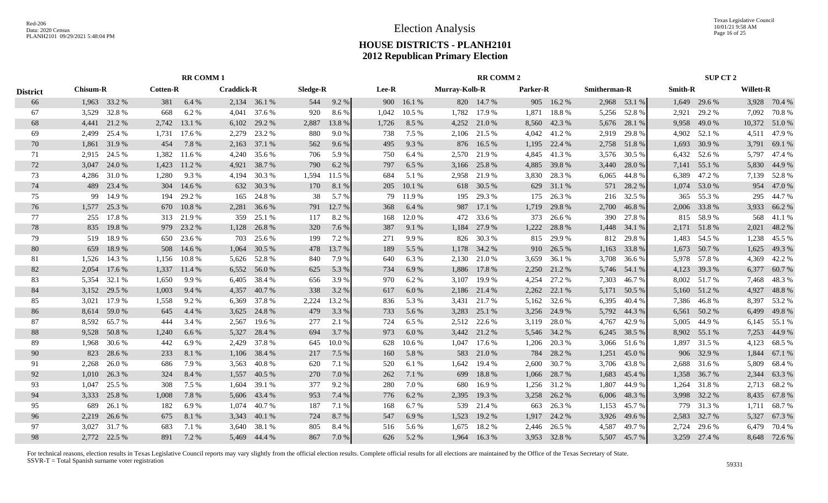Texas Legislative Council 10/01/21 9:58 AM Page 16 of 25

# **HOUSE DISTRICTS - PLANH2101 2012 Republican Primary Election**

|                 |       |                                                    |       | <b>RR COMM1</b> |                   |              |          |        |       |        |               | <b>RR COMM 2</b> |          |           |                     |              |                | SUP CT 2     |           |              |
|-----------------|-------|----------------------------------------------------|-------|-----------------|-------------------|--------------|----------|--------|-------|--------|---------------|------------------|----------|-----------|---------------------|--------------|----------------|--------------|-----------|--------------|
| <b>District</b> |       | <b>Cotten-R</b><br><b>Chisum-R</b><br>1,963 33.2 % |       |                 | <b>Craddick-R</b> |              | Sledge-R |        | Lee-R |        | Murray-Kolb-R |                  | Parker-R |           | <b>Smitherman-R</b> |              | <b>Smith-R</b> |              | Willett-R |              |
| 66              |       |                                                    | 381   | 6.4 %           |                   | 2,134 36.1 % | 544      | 9.2%   | 900   | 16.1%  |               | 820 14.7 %       |          | 905 16.2% |                     | 2,968 53.1 % |                | 1,649 29.6 % |           | 3,928 70.4 % |
| 67              | 3,529 | 32.8%                                              | 668   | 6.2%            | 4.041             | 37.6 %       | 920      | 8.6%   | 1,042 | 10.5 % | 1,782         | 17.9 %           | 1,871    | 18.8%     | 5,256               | 52.8%        | 2,921          | 29.2 %       | 7,092     | 70.8%        |
| 68              | 4,441 | 21.2 %                                             | 2,742 | 13.1 %          | 6,102             | 29.2 %       | 2,887    | 13.8 % | 1,726 | 8.5 %  | 4,252         | 21.0%            | 8,560    | 42.3 %    | 5,676               | 28.1 %       | 9,958          | 49.0 %       | 10,372    | 51.0%        |
| 69              | 2,499 | 25.4 %                                             | 1,731 | 17.6 %          | 2,279             | 23.2 %       | 880      | 9.0%   | 738   | 7.5 %  | 2,106         | 21.5 %           | 4,042    | 41.2 %    | 2,919               | 29.8%        | 4.902          | 52.1 %       | 4,511     | 47.9%        |
| 70              | 1,861 | 31.9%                                              | 454   | 7.8 %           | 2,163             | 37.1 %       | 562      | 9.6%   | 495   | 9.3%   | 876           | 16.5 %           | 1,195    | 22.4 %    | 2,758               | 51.8%        | 1,693          | 30.9%        | 3,791     | 69.1 %       |
| 71              | 2,915 | 24.5 %                                             | 1,382 | 11.6 %          | 4,240             | 35.6%        | 706      | 5.9%   | 750   | 6.4%   | 2.570         | 21.9%            | 4,845    | 41.3 %    | 3,576               | 30.5 %       | 6,432          | 52.6 %       | 5,797     | 47.4 %       |
| 72              | 3,047 | 24.0 %                                             | 1,423 | 11.2%           | 4,921             | 38.7%        | 790      | 6.2%   | 797   | 6.5 %  | 3,166         | 25.8%            | 4,885    | 39.8%     | 3,440               | 28.0%        |                | 7,141 55.1 % | 5,830     | 44.9%        |
| 73              | 4,286 | 31.0%                                              | 1,280 | 9.3 %           | 4,194             | 30.3 %       | 1,594    | 11.5 % | 684   | 5.1 %  | 2,958         | 21.9%            | 3,830    | 28.3 %    | 6,065               | 44.8%        | 6,389          | 47.2 %       | 7,139     | 52.8%        |
| 74              | 489   | 23.4 %                                             | 304   | 14.6 %          | 632               | 30.3 %       | 170      | 8.1 %  | 205   | 10.1%  |               | 618 30.5 %       | 629      | 31.1 %    | 571                 | 28.2 %       | 1,074          | 53.0 %       | 954       | 47.0%        |
| 75              | 99    | 14.9%                                              | 194   | 29.2 %          | 165               | 24.8%        | 38       | 5.7 %  | 79    | 11.9%  | 195           | 29.3 %           | 175      | 26.3%     | 216                 | 32.5 %       | 365            | 55.3 %       | 295       | 44.7%        |
| 76              | 1,577 | 25.3 %                                             | 670   | 10.8%           | 2,281             | 36.6 %       | 791      | 12.7 % | 368   | 6.4%   | 987           | 17.1 %           | 1,719    | 29.8%     | 2,700               | 46.8%        | 2,006          | 33.8%        | 3,933     | 66.2%        |
| 77              | 255   | 17.8%                                              |       | 313 21.9 %      | 359               | 25.1 %       | 117      | 8.2 %  | 168   | 12.0 % | 472           | 33.6 %           | 373      | 26.6 %    | 390                 | 27.8%        | 815            | 58.9%        | 568       | 41.1 %       |
| 78              | 835   | 19.8%                                              | 979   | 23.2 %          | 1,128             | 26.8%        | 320      | 7.6 %  | 387   | 9.1 %  | 1,184         | 27.9 %           | 1,222    | 28.8%     | 1,448               | 34.1 %       | 2,171          | 51.8%        | 2,021     | 48.2%        |
| 79              | 519   | 18.9%                                              | 650   | 23.6 %          | 703               | 25.6%        | 199      | 7.2 %  | 271   | 9.9%   | 826           | 30.3%            | 815      | 29.9%     | 812                 | 29.8%        | 1,483          | 54.5 %       | 1,238     | 45.5 %       |
| 80              | 659   | 18.9%                                              | 508   | 14.6 %          | 1,064             | 30.5 %       | 478      | 13.7 % | 189   | 5.5 %  | 1,178         | 34.2 %           | 910      | 26.5 %    | 1,163               | 33.8%        | 1,673          | 50.7%        | 1,625     | 49.3%        |
| 81              | 1,526 | 14.3 %                                             | 1,156 | 10.8%           |                   | 5,626 52.8%  | 840      | 7.9 %  | 640   | 6.3%   | 2,130         | 21.0%            | 3,659    | 36.1 %    | 3,708               | 36.6%        |                | 5,978 57.8 % | 4,369     | 42.2%        |
| 82              | 2,054 | 17.6 %                                             | 1,337 | 11.4 %          | 6,552             | 56.0 %       | 625      | 5.3 %  | 734   | 6.9%   | 1,886         | 17.8 %           | 2,250    | 21.2 %    | 5,746               | 54.1 %       |                | 4,123 39.3 % | 6,377     | 60.7%        |
| 83              | 5,354 | 32.1 %                                             | 1,650 | 9.9%            | 6,405             | 38.4 %       | 656      | 3.9 %  | 970   | 6.2%   | 3,107         | 19.9%            | 4,254    | 27.2 %    | 7,303               | 46.7 %       |                | 8,002 51.7 % | 7,468     | 48.3%        |
| 84              | 3,152 | 29.5 %                                             | 1,003 | 9.4 %           | 4,357             | 40.7%        | 338      | 3.2 %  | 617   | 6.0%   | 2,186         | 21.4 %           | 2,262    | 22.1 %    | 5,171               | 50.5 %       | 5,160          | 51.2 %       | 4,927     | 48.8%        |
| 85              | 3,021 | 17.9%                                              | 1,558 | 9.2%            | 6,369             | 37.8%        | 2,224    | 13.2 % | 836   | 5.3 %  | 3,431         | 21.7 %           | 5,162    | 32.6 %    | 6,395               | 40.4 %       | 7,386          | 46.8%        | 8,397     | 53.2 %       |
| 86              | 8,614 | 59.0%                                              | 645   | 4.4 %           | 3,625             | 24.8%        | 479      | 3.3 %  | 733   | 5.6 %  | 3,283         | 25.1 %           | 3,256    | 24.9 %    | 5,792               | 44.3 %       | 6,561          | 50.2 %       | 6,499     | 49.8%        |
| 87              | 8,592 | 65.7%                                              | 444   | 3.4 %           | 2,567             | 19.6 %       | 277      | 2.1 %  | 724   | 6.5%   | 2,512         | 22.6 %           | 3,119    | 28.0%     | 4,767               | 42.9%        | 5,005          | 44.9 %       | 6,145     | 55.1 %       |
| 88              | 9,528 | 50.8%                                              | 1,240 | 6.6 %           | 5,327             | 28.4 %       | 694      | 3.7%   | 973   | 6.0%   | 3,442         | 21.2%            | 5,546    | 34.2 %    | 6,245               | 38.5 %       | 8,902          | 55.1 %       | 7,253     | 44.9%        |
| 89              | 1,968 | 30.6 %                                             | 442   | 6.9%            | 2,429             | 37.8%        | 645      | 10.0%  | 628   | 10.6%  | 1,047         | 17.6 %           | 1,206    | 20.3 %    | 3,066               | 51.6%        | 1,897          | 31.5 %       | 4,123     | 68.5%        |
| 90              | 823   | 28.6%                                              | 233   | 8.1%            | 1,106             | 38.4 %       | 217      | 7.5 %  | 160   | 5.8%   | 583           | 21.0%            | 784      | 28.2 %    | 1,251               | 45.0%        | 906            | 32.9 %       | 1,844     | 67.1 %       |
| 91              | 2,268 | 26.0%                                              | 686   | 7.9 %           | 3,563             | 40.8%        | 620      | 7.1 %  | 520   | 6.1 %  | 1,642         | 19.4 %           | 2,600    | 30.7 %    | 3,706               | 43.8%        |                | 2,688 31.6 % | 5,809     | 68.4%        |
| 92              | 1,010 | 26.3 %                                             | 324   | 8.4%            | 1,557             | 40.5 %       | 270      | 7.0 %  | 262   | 7.1 %  | 699           | 18.8 %           | 1,066    | 28.7 %    | 1,683               | 45.4 %       | 1,358          | 36.7 %       | 2,344     | 63.3%        |
| 93              | 1,047 | 25.5 %                                             | 308   | 7.5 %           | 1,604             | 39.1 %       | 377      | 9.2%   | 280   | 7.0%   | 680           | 16.9%            | 1,256    | 31.2%     | 1,807               | 44.9%        | 1,264          | 31.8%        | 2,713     | 68.2%        |
| 94              | 3,333 | 25.8 %                                             | 1,008 | 7.8 %           | 5,606             | 43.4 %       | 953      | 7.4 %  | 776   | 6.2%   | 2,395         | 19.3 %           | 3,258    | 26.2 %    | 6,006               | 48.3%        |                | 3,998 32.2 % | 8,435     | 67.8%        |
| 95              | 689   | 26.1 %                                             | 182   | 6.9%            | 1.074             | 40.7%        | 187      | 7.1 %  | 168   | 6.7%   | 539           | 21.4 %           | 663      | 26.3 %    | 1,153               | 45.7 %       |                | 779 31.3 %   | 1,711     | 68.7%        |
| 96              | 2,219 | 26.6%                                              | 675   | 8.1%            | 3,343             | 40.1 %       | 724      | 8.7%   | 547   | 6.9%   | 1,523         | 19.2 %           | 1,917    | 24.2 %    | 3,926               | 49.6%        | 2,583          | 32.7 %       | 5,327     | 67.3 %       |
| 97              | 3.027 | 31.7%                                              | 683   | 7.1 %           | 3,640             | 38.1 %       | 805      | 8.4 %  | 516   | 5.6%   | 1,675         | 18.2%            | 2,446    | 26.5 %    | 4,587               | 49.7%        | 2.724          | 29.6 %       | 6,479     | 70.4 %       |
| 98              | 2.772 | 22.5 %                                             | 891   | 7.2 %           |                   | 5,469 44.4 % | 867      | 7.0%   | 626   | 5.2 %  | 1.964         | 16.3%            | 3,953    | 32.8%     | 5,507               | 45.7%        |                | 3,259 27.4 % |           | 8,648 72.6 % |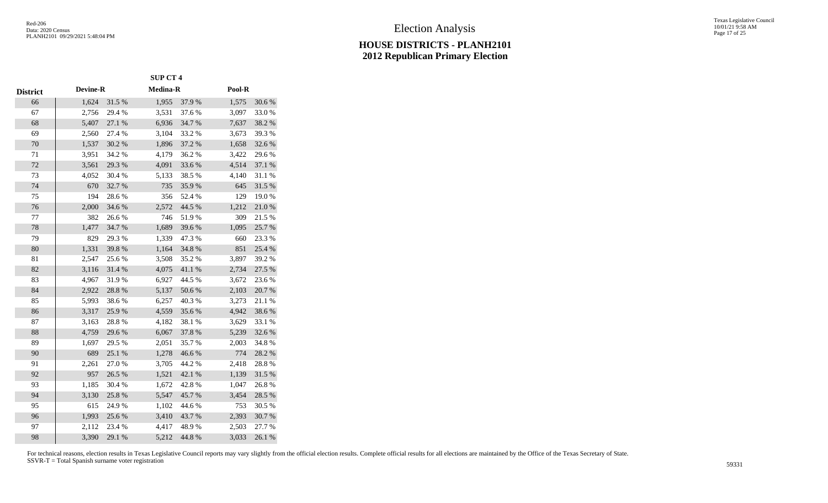Texas Legislative Council 10/01/21 9:58 AM Page 17 of 25

|                 |                 |           | <b>SUP CT 4</b> |        |        |            |
|-----------------|-----------------|-----------|-----------------|--------|--------|------------|
| <b>District</b> | <b>Devine-R</b> |           | Medina-R        |        | Pool-R |            |
| 66              | 1,624           | 31.5 %    | 1,955           | 37.9%  | 1,575  | 30.6%      |
| 67              | 2,756           | 29.4 %    | 3,531           | 37.6%  | 3,097  | 33.0%      |
| 68              | 5,407           | 27.1 %    | 6,936           | 34.7%  | 7,637  | 38.2 %     |
| 69              | 2,560           | 27.4 %    | 3,104           | 33.2 % | 3,673  | 39.3%      |
| 70              | 1,537           | 30.2%     | 1,896           | 37.2 % | 1,658  | 32.6%      |
| 71              | 3,951           | 34.2 %    | 4,179           | 36.2%  | 3,422  | 29.6%      |
| 72              | 3,561           | 29.3 %    | 4,091           | 33.6%  | 4,514  | 37.1 %     |
| 73              | 4,052           | 30.4 %    | 5,133           | 38.5 % | 4,140  | 31.1 %     |
| 74              | 670             | 32.7 %    | 735             | 35.9%  | 645    | 31.5 %     |
| 75              | 194             | 28.6%     | 356             | 52.4 % | 129    | 19.0%      |
| 76              | 2,000           | 34.6%     | 2,572           | 44.5 % | 1,212  | $21.0\ \%$ |
| 77              | 382             | 26.6%     | 746             | 51.9%  | 309    | 21.5 %     |
| 78              | 1,477           | 34.7%     | 1,689           | 39.6%  | 1,095  | 25.7%      |
| 79              | 829             | 29.3 %    | 1,339           | 47.3 % | 660    | 23.3 %     |
| 80              | 1,331           | 39.8%     | 1,164           | 34.8%  | 851    | 25.4 %     |
| 81              | 2,547           | 25.6%     | 3,508           | 35.2%  | 3,897  | 39.2%      |
| 82              | 3,116           | 31.4 %    | 4,075           | 41.1 % | 2,734  | 27.5 %     |
| 83              | 4,967           | 31.9%     | 6,927           | 44.5 % | 3,672  | 23.6%      |
| 84              | 2,922           | 28.8 %    | 5,137           | 50.6%  | 2,103  | 20.7 %     |
| 85              | 5,993           | 38.6%     | 6,257           | 40.3%  | 3,273  | 21.1%      |
| 86              | 3,317           | 25.9%     | 4,559           | 35.6%  | 4,942  | 38.6%      |
| 87              | 3,163           | 28.8%     | 4,182           | 38.1 % | 3,629  | 33.1 %     |
| 88              | 4,759           | 29.6%     | 6,067           | 37.8%  | 5,239  | 32.6%      |
| 89              | 1,697           | 29.5 %    | 2,051           | 35.7%  | 2,003  | 34.8%      |
| 90              | 689             | 25.1 %    | 1,278           | 46.6%  | 774    | 28.2 %     |
| 91              | 2,261           | 27.0%     | 3,705           | 44.2%  | 2,418  | 28.8%      |
| 92              | 957             | 26.5 %    | 1,521           | 42.1 % | 1,139  | 31.5 %     |
| 93              | 1,185           | $30.4~\%$ | 1,672           | 42.8%  | 1,047  | 26.8%      |
| 94              | 3,130           | 25.8 %    | 5,547           | 45.7%  | 3,454  | 28.5 %     |
| 95              | 615             | 24.9%     | 1,102           | 44.6 % | 753    | 30.5 %     |
| 96              | 1,993           | 25.6%     | 3,410           | 43.7%  | 2,393  | 30.7%      |
| 97              | 2,112           | 23.4 %    | 4,417           | 48.9%  | 2,503  | 27.7 %     |
| 98              | 3,390           | 29.1 %    | 5,212           | 44.8%  | 3,033  | 26.1%      |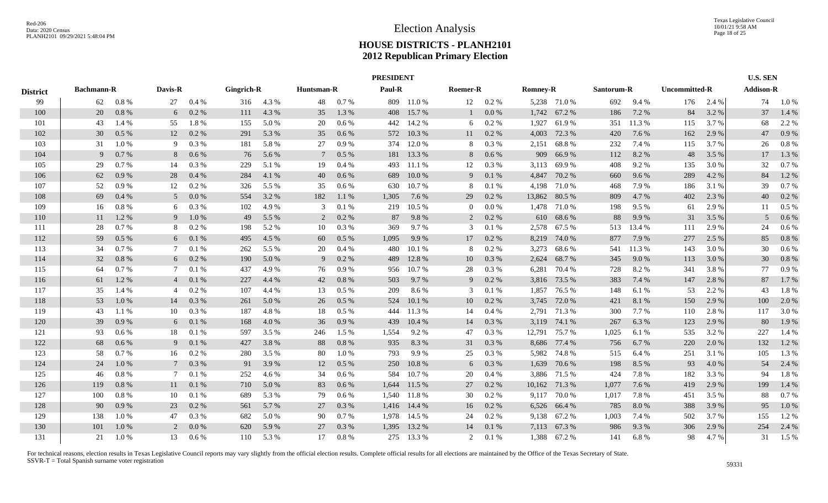|     |          |                   |         |                                                                              |       |                 |         |            |        |                                                                                                                                             |          |                          |        |                                                                                                                                                                                                                                                                                                                      |        | <b>U.S. SEN</b>     |       |                      |                  |
|-----|----------|-------------------|---------|------------------------------------------------------------------------------|-------|-----------------|---------|------------|--------|---------------------------------------------------------------------------------------------------------------------------------------------|----------|--------------------------|--------|----------------------------------------------------------------------------------------------------------------------------------------------------------------------------------------------------------------------------------------------------------------------------------------------------------------------|--------|---------------------|-------|----------------------|------------------|
|     |          |                   |         |                                                                              |       |                 |         |            |        |                                                                                                                                             |          |                          |        |                                                                                                                                                                                                                                                                                                                      |        |                     |       |                      |                  |
| 62  | $0.8 \%$ | 27                | 0.4%    | 316                                                                          | 4.3 % | 48              | 0.7 %   | 809        |        | 12                                                                                                                                          | 0.2 %    |                          |        | 692                                                                                                                                                                                                                                                                                                                  | 9.4 %  | 176                 | 2.4 % | 74                   | $1.0\%$          |
| 20  | 0.8%     |                   | 0.2 %   | 111                                                                          | 4.3 % | 35              | 1.3 %   | 408        |        | 1                                                                                                                                           | 0.0 %    |                          |        | 186                                                                                                                                                                                                                                                                                                                  | 7.2 %  | 84                  | 3.2 % | 37                   | 1.4 %            |
| 43  | 1.4 %    | 55                | 1.8%    | 155                                                                          | 5.0 % | 20              | $0.6\%$ | 442        | 14.2 % | 6                                                                                                                                           | 0.2 %    | 1,927                    | 61.9%  | 351                                                                                                                                                                                                                                                                                                                  | 11.3 % | 115                 | 3.7 % | 68                   | 2.2 %            |
| 30  | 0.5%     |                   | 0.2 %   | 291                                                                          | 5.3 % | 35              | 0.6 %   | 572        |        | 11                                                                                                                                          | 0.2 %    |                          | 72.3 % | 420                                                                                                                                                                                                                                                                                                                  | 7.6 %  | 162                 | 2.9 % | 47                   | 0.9%             |
| 31  | 1.0%     | 9                 | 0.3%    | 181                                                                          | 5.8%  | 27              | 0.9%    | 374        | 12.0 % | 8                                                                                                                                           | 0.3%     | 2,151                    | 68.8%  | 232                                                                                                                                                                                                                                                                                                                  | 7.4 %  | 115                 | 3.7 % | 26                   | 0.8%             |
| 9   | 0.7 %    | 8                 | $0.6\%$ | 76                                                                           | 5.6 % | $7\phantom{.0}$ | $0.5\%$ |            |        | 8                                                                                                                                           | 0.6 %    | 909                      | 66.9%  | 112                                                                                                                                                                                                                                                                                                                  | 8.2%   | 48                  | 3.5 % | 17                   | 1.3 %            |
| 29  | $0.7\%$  | 14                | 0.3 %   | 229                                                                          | 5.1 % | 19              | 0.4%    | 493        |        | 12                                                                                                                                          | 0.3 %    |                          |        | 408                                                                                                                                                                                                                                                                                                                  | 9.2%   | 135                 | 3.0 % | 32                   | 0.7%             |
| 62  | 0.9%     | 28                | 0.4%    | 284                                                                          | 4.1 % | 40              | 0.6 %   | 689        | 10.0%  | 9                                                                                                                                           | 0.1%     | 4,847                    | 70.2 % | 660                                                                                                                                                                                                                                                                                                                  | 9.6%   | 289                 | 4.2 % | 84                   | 1.2%             |
| 52  | $0.9\%$  | 12                | 0.2 %   | 326                                                                          | 5.5 % | 35              | 0.6 %   | 630        | 10.7%  | 8                                                                                                                                           | 0.1%     | 4,198                    | 71.0%  | 468                                                                                                                                                                                                                                                                                                                  | 7.9 %  | 186                 | 3.1 % | 39                   | 0.7%             |
| 69  | $0.4\%$  |                   | 0.0 %   | 554                                                                          | 3.2 % | 182             | 1.1%    | 1,305      | 7.6 %  | 29                                                                                                                                          | 0.2 %    |                          | 80.5 % | 809                                                                                                                                                                                                                                                                                                                  | 4.7 %  | 402                 | 2.3 % | 40                   | $0.2\%$          |
| 16  | $0.8 \%$ |                   | $0.3\%$ | 102                                                                          | 4.9%  | 3               | 0.1%    | 219        | 10.5 % | $\overline{0}$                                                                                                                              | 0.0 %    |                          | 71.0 % | 198                                                                                                                                                                                                                                                                                                                  | 9.5 %  | 61                  | 2.9 % | 11                   | $0.5\%$          |
| 11  | 1.2 %    |                   | 1.0%    | 49                                                                           | 5.5 % | 2               | $0.2\%$ | 87         | 9.8%   | 2                                                                                                                                           | 0.2 %    |                          |        | 88                                                                                                                                                                                                                                                                                                                   | 9.9%   | 31                  | 3.5 % | 5                    | 0.6 %            |
| 28  | 0.7 %    | 8                 | $0.2\%$ | 198                                                                          | 5.2 % | 10              | 0.3 %   | 369        | 9.7%   | 3                                                                                                                                           | 0.1%     |                          |        | 513                                                                                                                                                                                                                                                                                                                  | 13.4 % | 111                 | 2.9 % | 24                   | 0.6%             |
| 59  | $0.5\%$  |                   | 0.1%    | 495                                                                          | 4.5 % | 60              | 0.5%    | 1,095      | 9.9%   | 17                                                                                                                                          | $0.2 \%$ |                          | 74.0 % | 877                                                                                                                                                                                                                                                                                                                  | 7.9 %  | 277                 | 2.5 % | 85                   | 0.8%             |
| 34  | $0.7\%$  | 7                 | 0.1%    | 262                                                                          | 5.5 % | 20              | $0.4\%$ | 480        | 10.1%  | 8                                                                                                                                           | 0.2 %    |                          | 68.6%  | 541                                                                                                                                                                                                                                                                                                                  | 11.3 % | 143                 | 3.0 % | 30                   | 0.6%             |
| 32  | 0.8%     |                   | $0.2\%$ | 190                                                                          | 5.0%  | 9               | $0.2\%$ | 489        | 12.8%  | 10                                                                                                                                          | 0.3%     |                          |        | 345                                                                                                                                                                                                                                                                                                                  | 9.0%   | 113                 | 3.0 % | 30                   | 0.8%             |
| 64  | $0.7\%$  |                   | 0.1%    | 437                                                                          | 4.9%  | 76              | 0.9%    | 956        | 10.7%  | 28                                                                                                                                          | 0.3%     | 6,281                    | 70.4 % | 728                                                                                                                                                                                                                                                                                                                  | 8.2%   | 341                 | 3.8%  | 77                   | 0.9%             |
| 61  | 1.2 %    | $\overline{4}$    | 0.1%    | 227                                                                          | 4.4 % | 42              | 0.8 %   | 503        | 9.7%   | 9                                                                                                                                           | 0.2 %    |                          | 73.5 % | 383                                                                                                                                                                                                                                                                                                                  | 7.4 %  | 147                 | 2.8 % | 87                   | 1.7 %            |
| 35  | 1.4 %    | 4                 | 0.2 %   | 107                                                                          | 4.4 % | 13              | $0.5\%$ | 209        | 8.6%   | 3                                                                                                                                           | 0.1%     | 1,857                    | 76.5 % | 148                                                                                                                                                                                                                                                                                                                  | 6.1 %  | 53                  | 2.2 % | 43                   | 1.8%             |
| 53  | $1.0\%$  | 14                | 0.3 %   | 261                                                                          | 5.0 % | 26              | 0.5%    | 524        | 10.1 % | 10                                                                                                                                          | $0.2 \%$ |                          | 72.0 % | 421                                                                                                                                                                                                                                                                                                                  | 8.1 %  | 150                 | 2.9 % | 100                  | 2.0 %            |
| 43  | 1.1 %    | 10                | 0.3 %   | 187                                                                          | 4.8%  | 18              | $0.5\%$ | 444        |        | 14                                                                                                                                          | 0.4%     |                          |        | 300                                                                                                                                                                                                                                                                                                                  | 7.7 %  | 110                 | 2.8 % | 117                  | 3.0 %            |
| 39  | 0.9%     |                   | 0.1%    | 168                                                                          | 4.0 % | 36              | 0.9%    | 439        | 10.4 % | 14                                                                                                                                          | 0.3 %    |                          | 74.1 % | 267                                                                                                                                                                                                                                                                                                                  | 6.3%   | 123                 | 2.9 % | 80                   | 1.9%             |
| 93  | $0.6\%$  | 18                | 0.1%    | 597                                                                          | 3.5 % | 246             | 1.5 %   | 1,554      | 9.2%   | 47                                                                                                                                          | 0.3%     | 12,791                   | 75.7 % | 1,025                                                                                                                                                                                                                                                                                                                | 6.1 %  | 535                 | 3.2%  | 227                  | 1.4 %            |
| 68  | $0.6\%$  | 9                 | 0.1%    | 427                                                                          | 3.8%  | 88              | 0.8 %   | 935        |        | 31                                                                                                                                          |          |                          | 77.4 % | 756                                                                                                                                                                                                                                                                                                                  | 6.7 %  | 220                 | 2.0 % | 132                  | 1.2%             |
| 58  | $0.7\%$  |                   | $0.2\%$ | 280                                                                          | 3.5 % | 80              | 1.0%    | 793        | 9.9%   | 25                                                                                                                                          | 0.3%     |                          | 74.8 % | 515                                                                                                                                                                                                                                                                                                                  | 6.4 %  | 251                 | 3.1 % | 105                  | 1.3 %            |
| 24  | 1.0%     | $\overline{7}$    | 0.3%    | 91                                                                           | 3.9%  | 12              | 0.5%    | 250        | 10.8%  | 6                                                                                                                                           |          | 1,639                    | 70.6 % | 198                                                                                                                                                                                                                                                                                                                  |        | 93                  | 4.0%  | 54                   | 2.4 %            |
| 46  | $0.8 \%$ | 7                 | 0.1%    | 252                                                                          | 4.6 % | 34              | 0.6 %   | 584        | 10.7 % | 20                                                                                                                                          | 0.4%     |                          | 71.5 % | 424                                                                                                                                                                                                                                                                                                                  | 7.8%   | 182                 | 3.3 % | 94                   | 1.8%             |
| 119 | $0.8\%$  |                   | 0.1%    | 710                                                                          | 5.0 % | 83              | 0.6 %   | 1,644      | 11.5 % | 27                                                                                                                                          | $0.2 \%$ |                          | 71.3 % | 1,077                                                                                                                                                                                                                                                                                                                | 7.6 %  | 419                 | 2.9 % | 199                  | 1.4 %            |
| 100 | $0.8\%$  | 10                | 0.1%    | 689                                                                          | 5.3 % | 79              | 0.6 %   | 1,540      |        | 30                                                                                                                                          | 0.2 %    |                          |        | 1,017                                                                                                                                                                                                                                                                                                                | 7.8%   | 451                 | 3.5 % | 88                   | 0.7%             |
| 90  | 0.9%     | 23                | 0.2 %   | 561                                                                          | 5.7 % | 27              | 0.3 %   | 1,416      |        | 16                                                                                                                                          | $0.2 \%$ |                          | 66.4 % | 785                                                                                                                                                                                                                                                                                                                  | 8.0%   | 388                 | 3.9 % | 95                   | 1.0%             |
| 138 | 1.0%     | 47                | $0.3\%$ | 682                                                                          | 5.0%  | 90              | 0.7%    | 1,978      |        | 24                                                                                                                                          | 0.2 %    |                          |        | 1,003                                                                                                                                                                                                                                                                                                                | 7.4 %  | 502                 | 3.7 % | 155                  | 1.2%             |
| 101 | 1.0%     |                   | 0.0 %   | 620                                                                          | 5.9%  | 27              | 0.3%    | 1,395      | 13.2 % | 14                                                                                                                                          | 0.1%     |                          |        | 986                                                                                                                                                                                                                                                                                                                  | 9.3%   | 306                 | 2.9 % | 254                  | 2.4 %            |
| 21  | $1.0\%$  |                   | $0.6\%$ | 110                                                                          | 5.3 % | 17              | 0.8%    |            |        | 2                                                                                                                                           | 0.1%     |                          |        | 141                                                                                                                                                                                                                                                                                                                  | 6.8%   | 98                  | 4.7 % | 31                   | 1.5 %            |
|     |          | <b>Bachmann-R</b> |         | Davis-R<br>6<br>12<br>5<br>6<br>9<br>6<br>6<br>7<br>6<br>16<br>11<br>2<br>13 |       | Gingrich-R      |         | Huntsman-R |        | <b>PRESIDENT</b><br>Paul-R<br>11.0%<br>15.7 %<br>10.3%<br>181 13.3 %<br>11.1 %<br>11.3 %<br>8.3%<br>11.8%<br>14.4 %<br>14.5 %<br>275 13.3 % |          | Roemer-R<br>0.3%<br>0.3% |        | <b>Romney-R</b><br>5,238 71.0 %<br>1,742 67.2 %<br>4,003<br>3,113 69.9 %<br>13,862<br>1,478<br>610 68.6 %<br>2,578 67.5 %<br>8,219<br>3,273<br>2,624 68.7 %<br>3,816<br>3,745<br>2,791 71.3 %<br>3,119<br>8,686<br>5,982<br>3,886<br>10,162<br>9,117 70.0 %<br>6,526<br>9,138 67.2 %<br>7,113 67.3 %<br>1,388 67.2 % |        | Santorum-R<br>8.5 % |       | <b>Uncommitted-R</b> | <b>Addison-R</b> |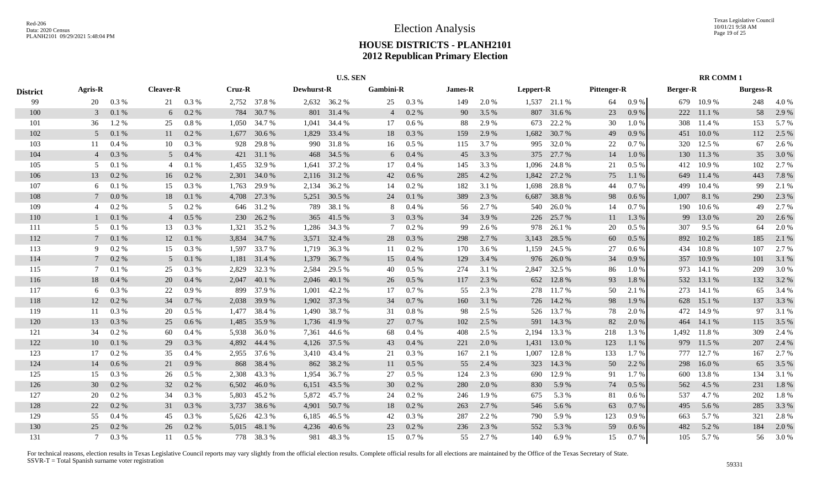|                 |                |           |                  |         |        |              |                   | <b>U.S. SEN</b> |                  |           |         |       |           |              |                    |         |                 | <b>RR COMM1</b> |                  |       |
|-----------------|----------------|-----------|------------------|---------|--------|--------------|-------------------|-----------------|------------------|-----------|---------|-------|-----------|--------------|--------------------|---------|-----------------|-----------------|------------------|-------|
| <b>District</b> | <b>Agris-R</b> |           | <b>Cleaver-R</b> |         | Cruz-R |              | <b>Dewhurst-R</b> |                 | <b>Gambini-R</b> |           | James-R |       | Leppert-R |              | <b>Pittenger-R</b> |         | <b>Berger-R</b> |                 | <b>Burgess-R</b> |       |
| 99              | 20             | 0.3%      | 21               | 0.3%    |        | 2,752 37.8 % |                   | 2,632 36.2 %    | 25               | 0.3 %     | 149     | 2.0%  |           | 1,537 21.1 % | 64                 | 0.9%    |                 | 679 10.9%       | 248              | 4.0%  |
| 100             | 3              | $0.1~\%$  | 6                | 0.2 %   | 784    | 30.7%        | 801               | 31.4 %          | $\overline{4}$   | 0.2 %     | 90      | 3.5 % | 807       | 31.6%        | 23                 | 0.9%    | 222             | 11.1 %          | 58               | 2.9%  |
| 101             | 36             | 1.2%      | 25               | 0.8%    | 1,050  | 34.7 %       | 1,041             | 34.4 %          | 17               | 0.6 %     | 88      | 2.9 % | 673       | 22.2 %       | 30                 | 1.0%    | 308             | 11.4 %          | 153              | 5.7%  |
| 102             | 5              | 0.1%      | 11               | 0.2 %   | 1,677  | 30.6 %       | 1,829             | 33.4 %          | 18               | 0.3 %     | 159     | 2.9 % | 1,682     | 30.7%        | 49                 | 0.9%    | 451             | 10.0%           | 112              | 2.5 % |
| 103             | 11             | 0.4%      | 10               | 0.3 %   | 928    | 29.8%        | 990               | 31.8%           | 16               | $0.5\%$   | 115     | 3.7%  | 995       | 32.0 %       | 22                 | 0.7%    | 320             | 12.5 %          | 67               | 2.6 % |
| 104             | $\overline{4}$ | 0.3 %     | 5 <sup>5</sup>   | 0.4%    | 421    | 31.1 %       | 468               | 34.5 %          | 6                | 0.4 %     | 45      | 3.3 % | 375       | 27.7 %       | 14                 | 1.0%    | 130             | 11.3 %          | 35               | 3.0%  |
| 105             | 5              | $0.1~\%$  | $\overline{4}$   | 0.1%    | 1,455  | 32.9%        | 1,641             | 37.2 %          | 17               | 0.4%      | 145     | 3.3%  | 1,096     | 24.8%        | 21                 | 0.5 %   | 412             | 10.9%           | 102              | 2.7%  |
| 106             | 13             | 0.2 %     | 16               | 0.2 %   | 2,301  | 34.0%        |                   | 2,116 31.2 %    | 42               | 0.6 %     | 285     | 4.2 % | 1,842     | 27.2 %       | 75                 | 1.1%    | 649             | 11.4 %          | 443              | 7.8 % |
| 107             | 6              | 0.1%      | 15               | 0.3 %   | 1,763  | 29.9 %       | 2,134             | 36.2 %          | 14               | 0.2 %     | 182     | 3.1 % | 1,698     | 28.8%        | 44                 | 0.7%    | 499             | 10.4 %          | 99               | 2.1 % |
| 108             |                | 0.0 %     | 18               | 0.1%    | 4,708  | 27.3 %       | 5,251             | 30.5 %          | 24               | $0.1~\%$  | 389     | 2.3 % | 6,687     | 38.8%        | 98                 | 0.6 %   | 1,007           | 8.1 %           | 290              | 2.3 % |
| 109             | $\overline{4}$ | 0.2%      | 5                | 0.2%    | 646    | 31.2%        | 789               | 38.1%           | 8                | 0.4%      | 56      | 2.7 % | 540       | 26.0%        | 14                 | 0.7%    | 190             | 10.6%           | 49               | 2.7 % |
| 110             |                | 0.1%      | $\overline{4}$   | 0.5%    | 230    | 26.2 %       | 365               | 41.5 %          | $\mathfrak{Z}$   | 0.3%      | 34      | 3.9%  | 226       | 25.7 %       | 11                 | 1.3 %   | 99              | 13.0%           | 20               | 2.6 % |
| 111             | .5             | 0.1%      | 13               | 0.3%    | 1,321  | 35.2 %       | 1,286             | 34.3 %          | 7                | $0.2 \%$  | 99      | 2.6 % | 978       | 26.1 %       | 20                 | 0.5 %   | 307             | 9.5 %           | 64               | 2.0 % |
| 112             |                | 0.1%      | 12               | 0.1 %   | 3,834  | 34.7 %       | 3,571             | 32.4 %          | 28               | 0.3 %     | 298     | 2.7%  | 3,143     | 28.5 %       | 60                 | 0.5%    | 892             | 10.2%           | 185              | 2.1 % |
| 113             | Q              | 0.2 %     | 15               | 0.3%    | 1.597  | 33.7 %       | 1,719             | 36.3%           | 11               | 0.2 %     | 170     | 3.6 % | 1,159     | 24.5 %       | 27                 | 0.6%    | 434             | 10.8%           | 107              | 2.7%  |
| 114             |                | 0.2 %     | 5                | 0.1%    | 1,181  | 31.4 %       | 1,379             | 36.7%           | 15               | $0.4~\%$  | 129     | 3.4 % | 976       | 26.0%        | 34                 | 0.9%    | 357             | 10.9%           | 101              | 3.1 % |
| 115             | 7              | 0.1%      | 25               | 0.3 %   | 2,829  | 32.3 %       | 2,584             | 29.5 %          | 40               | $0.5\%$   | 274     | 3.1 % |           | 2,847 32.5 % | 86                 | 1.0%    |                 | 973 14.1 %      | 209              | 3.0 % |
| 116             | 18             | 0.4%      | 20               | 0.4%    | 2,047  | 40.1 %       | 2,046             | 40.1 %          | 26               | $0.5\%$   | 117     | 2.3 % | 652       | 12.8%        | 93                 | 1.8%    | 532             | 13.1 %          | 132              | 3.2 % |
| 117             | 6              | 0.3%      | 22               | 0.9%    | 899    | 37.9 %       | 1,001             | 42.2 %          | 17               | 0.7 %     | 55      | 2.3 % | 278       | 11.7 %       | 50                 | 2.1 %   | 273             | 14.1 %          | 65               | 3.4 % |
| 118             | 12             | 0.2 %     | 34               | 0.7 %   | 2,038  | 39.9%        | 1,902             | 37.3 %          | 34               | $0.7~\%$  | 160     | 3.1 % |           | 726 14.2 %   | 98                 | 1.9 %   | 628             | 15.1 %          | 137              | 3.3 % |
| 119             | 11             | 0.3%      | 20               | $0.5\%$ | 1,477  | 38.4 %       | 1,490             | 38.7%           | 31               | 0.8%      | 98      | 2.5 % |           | 526 13.7 %   | 78                 | 2.0 %   | 472             | 14.9 %          | 97               | 3.1 % |
| 120             | 13             | 0.3 %     | 25               | 0.6 %   | 1,485  | 35.9%        | 1,736             | 41.9%           | 27               | 0.7 %     | 102     | 2.5 % | 591       | 14.3 %       | 82                 | 2.0 %   | 464             | 14.1 %          | 115              | 3.5 % |
| 121             | 34             | 0.2 %     | 60               | 0.4%    | 5,938  | 36.0%        | 7,361             | 44.6 %          | 68               | 0.4 %     | 408     | 2.5 % | 2,194     | 13.3 %       | 218                | 1.3%    | 1,492           | 11.8%           | 309              | 2.4 % |
| 122             | 10             | 0.1%      | 29               | 0.3 %   | 4,892  | 44.4 %       | 4,126             | 37.5 %          | 43               | $0.4~\%$  | 221     | 2.0%  | 1,431     | 13.0 %       | 123                | 1.1%    | 979             | 11.5 %          | 207              | 2.4 % |
| 123             | 17             | 0.2 %     | 35               | 0.4%    | 2,955  | 37.6 %       | 3,410             | 43.4 %          | 21               | $0.3\ \%$ | 167     | 2.1 % | 1,007     | 12.8%        | 133                | 1.7%    | 777             | 12.7 %          | 167              | 2.7 % |
| 124             | 14             | $0.6\,\%$ | 21               | 0.9%    | 868    | 38.4 %       |                   | 862 38.2 %      | 11               | $0.5\ \%$ | 55      | 2.4 % | 323       | 14.3 %       | 50                 | 2.2 %   | 298             | 16.0%           | 65               | 3.5 % |
| 125             | 15             | 0.3 %     | 26               | 0.5 %   | 2,308  | 43.3 %       | 1,954             | 36.7%           | 27               | $0.5~\%$  | 124     | 2.3 % | 690       | 12.9%        | 91                 | 1.7%    | 600             | 13.8%           | 134              | 3.1 % |
| 126             | 30             | 0.2 %     | 32               | 0.2 %   | 6,502  | 46.0%        | 6,151             | 43.5 %          | 30               | 0.2 %     | 280     | 2.0%  | 830       | 5.9 %        | 74                 | $0.5\%$ | 562             | 4.5 %           | 231              | 1.8%  |
| 127             | 20             | $0.2 \%$  | 34               | 0.3%    | 5,803  | 45.2%        | 5,872             | 45.7%           | 24               | 0.2 %     | 246     | 1.9%  | 675       | 5.3 %        | 81                 | 0.6 %   | 537             | 4.7%            | 202              | 1.8%  |
| 128             | 22             | 0.2 %     | 31               | 0.3%    | 3,737  | 38.6%        | 4,901             | 50.7%           | 18               | 0.2 %     | 263     | 2.7%  | 546       | 5.6 %        | 63                 | 0.7%    | 495             | 5.6%            | 285              | 3.3 % |
| 129             | 55             | 0.4%      | 45               | 0.3%    |        | 5,626 42.3 % | 6,185             | 46.5 %          | 42               | 0.3%      | 287     | 2.2 % | 790       | 5.9%         | 123                | 0.9%    | 663             | 5.7 %           | 321              | 2.8%  |
| 130             | 25             | 0.2 %     | 26               | 0.2 %   | 5.015  | 48.1 %       | 4,236             | 40.6%           | 23               | 0.2 %     | 236     | 2.3 % | 552       | 5.3 %        | 59                 | 0.6 %   | 482             | 5.2%            | 184              | 2.0%  |
| 131             |                | $0.3\%$   | 11               | 0.5%    |        | 778 38.3 %   |                   | 981 48.3 %      | 15               | 0.7%      | 55      | 2.7 % | 140       | 6.9%         | 15                 | 0.7 %   | 105             | 5.7 %           | 56               | 3.0 % |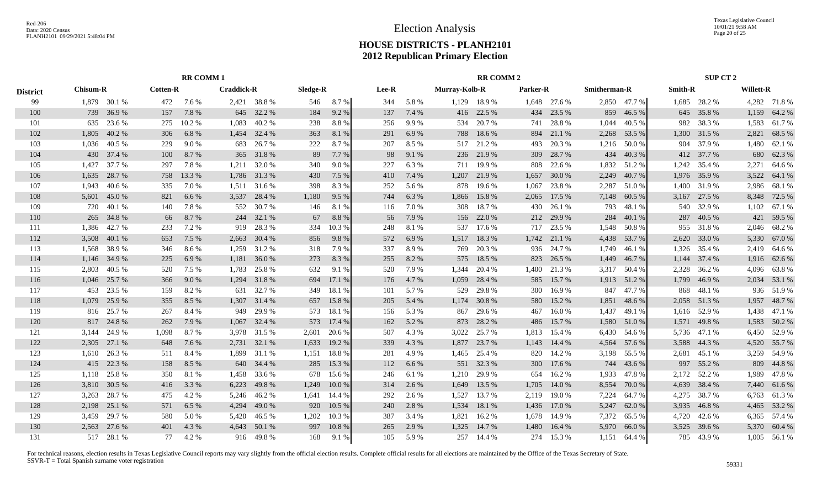Texas Legislative Council 10/01/21 9:58 AM Page 20 of 25

# **HOUSE DISTRICTS - PLANH2101 2012 Republican Primary Election**

|                 |       |                                                    |       | <b>RR COMM1</b> |                   |             |          |        |       |       |                      | <b>RR COMM 2</b> |          |              |                     |              |                | SUP CT 2     |                  |              |
|-----------------|-------|----------------------------------------------------|-------|-----------------|-------------------|-------------|----------|--------|-------|-------|----------------------|------------------|----------|--------------|---------------------|--------------|----------------|--------------|------------------|--------------|
| <b>District</b> |       | <b>Cotten-R</b><br><b>Chisum-R</b><br>1,879 30.1 % |       |                 | <b>Craddick-R</b> |             | Sledge-R |        | Lee-R |       | <b>Murray-Kolb-R</b> |                  | Parker-R |              | <b>Smitherman-R</b> |              | <b>Smith-R</b> |              | <b>Willett-R</b> |              |
| 99              |       |                                                    | 472   | 7.6 %           |                   | 2,421 38.8% | 546      | 8.7%   | 344   | 5.8%  | 1,129                | 18.9 %           |          | 1,648 27.6 % |                     | 2,850 47.7 % |                | 1,685 28.2 % |                  | 4,282 71.8 % |
| 100             | 739   | 36.9%                                              | 157   | 7.8%            | 645               | 32.2 %      | 184      | 9.2%   | 137   | 7.4 % | 416                  | 22.5 %           | 434      | 23.5 %       | 859                 | 46.5 %       | 645            | 35.8%        | 1,159            | 64.2 %       |
| 101             | 635   | 23.6 %                                             | 275   | 10.2%           | 1,083             | 40.2%       | 238      | 8.8%   | 256   | 9.9%  | 534                  | 20.7%            | 741      | 28.8%        | 1,044               | 40.5 %       | 982            | 38.3%        | 1,583            | 61.7%        |
| 102             | 1,805 | 40.2%                                              | 306   | 6.8%            | 1,454             | 32.4 %      | 363      | 8.1 %  | 291   | 6.9%  | 788                  | 18.6%            | 894      | 21.1 %       | 2,268               | 53.5 %       | 1,300          | 31.5 %       | 2,821            | 68.5 %       |
| 103             | 1.036 | 40.5 %                                             | 229   | 9.0%            | 683               | 26.7%       | 222      | 8.7%   | 207   | 8.5 % | 517                  | 21.2%            | 493      | 20.3%        | 1,216               | 50.0%        | 904            | 37.9 %       | 1,480            | 62.1 %       |
| 104             | 430   | 37.4 %                                             | 100   | 8.7%            | 365               | 31.8%       | 89       | 7.7 %  | 98    | 9.1%  | 236                  | 21.9%            | 309      | 28.7%        | 434                 | 40.3%        |                | 412 37.7 %   | 680              | 62.3%        |
| 105             | 1,427 | 37.7 %                                             | 297   | 7.8%            | 1,211             | 32.0 %      | 340      | 9.0%   | 227   | 6.3%  | 711                  | 19.9%            | 808      | 22.6 %       | 1,832               | 51.2%        | 1,242          | 35.4 %       | 2,271            | 64.6 %       |
| 106             | 1,635 | 28.7 %                                             | 758   | 13.3 %          | 1,786             | 31.3%       | 430      | 7.5 %  | 410   | 7.4 % | 1,207                | 21.9%            | 1,657    | 30.0%        | 2,249               | 40.7%        | 1,976          | 35.9%        | 3,522            | 64.1 %       |
| 107             | 1.943 | 40.6%                                              | 335   | 7.0%            | 1,511             | 31.6%       | 398      | 8.3%   | 252   | 5.6 % | 878                  | 19.6 %           | 1,067    | 23.8%        | 2,287               | 51.0%        | 1.400          | 31.9%        | 2,986            | 68.1 %       |
| 108             | 5,601 | 45.0%                                              | 821   | 6.6%            | 3,537             | 28.4 %      | 1,180    | 9.5%   | 744   | 6.3%  | 1,866                | 15.8%            | 2,065    | 17.5 %       | 7,148               | 60.5 %       | 3,167          | 27.5 %       | 8,348            | 72.5 %       |
| 109             | 720   | 40.1 %                                             | 140   | 7.8%            | 552               | 30.7%       | 146      | 8.1%   | 116   | 7.0%  | 308                  | 18.7%            | 430      | 26.1 %       | 793                 | 48.1%        | 540            | 32.9%        | 1,102            | 67.1 %       |
| 110             | 265   | 34.8%                                              | 66    | 8.7%            | 244               | 32.1 %      | 67       | 8.8%   | 56    | 7.9 % | 156                  | 22.0%            | 212      | 29.9%        | 284                 | 40.1%        | 287            | 40.5 %       | 421              | 59.5 %       |
| 111             | 1,386 | 42.7 %                                             | 233   | 7.2 %           | 919               | 28.3%       | 334      | 10.3%  | 248   | 8.1%  | 537                  | 17.6 %           | 717      | 23.5 %       | 1,548               | 50.8%        |                | 955 31.8 %   |                  | 2,046 68.2 % |
| 112             | 3,508 | 40.1%                                              | 653   | 7.5 %           | 2,663             | 30.4 %      | 856      | 9.8%   | 572   | 6.9%  | 1,517                | 18.3%            | 1,742    | 21.1 %       | 4,438               | 53.7%        | 2,620          | 33.0 %       | 5,330            | 67.0 %       |
| 113             | 1.568 | 38.9%                                              | 346   | 8.6 %           | 1,259             | 31.2 %      | 318      | 7.9 %  | 337   | 8.9%  | 769                  | 20.3 %           |          | 936 24.7 %   | 1,749               | 46.1%        | 1,326          | 35.4 %       |                  | 2,419 64.6 % |
| 114             | 1,146 | 34.9%                                              | 225   | 6.9%            | 1,181             | 36.0%       | 273      | 8.3%   | 255   | 8.2%  | 575                  | 18.5 %           | 823      | 26.5 %       | 1,449               | 46.7%        | 1,144          | 37.4 %       |                  | 1,916 62.6%  |
| 115             | 2,803 | 40.5 %                                             | 520   | 7.5 %           | 1,783             | 25.8%       | 632      | 9.1 %  | 520   | 7.9%  | 1,344                | 20.4 %           |          | 1,400 21.3 % | 3,317               | 50.4 %       | 2,328          | 36.2 %       |                  | 4,096 63.8%  |
| 116             | 1,046 | 25.7 %                                             | 366   | 9.0%            | 1,294             | 31.8%       | 694      | 17.1 % | 176   | 4.7%  | 1,059                | 28.4 %           | 585      | 15.7%        | 1,913               | 51.2%        | 1,799          | 46.9%        |                  | 2,034 53.1 % |
| 117             | 453   | 23.5 %                                             | 159   | 8.2%            | 631               | 32.7 %      | 349      | 18.1 % | 101   | 5.7%  | 529                  | 29.8%            | 300      | 16.9%        | 847                 | 47.7%        | 868            | 48.1 %       | 936              | 51.9%        |
| 118             | 1,079 | 25.9%                                              | 355   | 8.5 %           | 1,307             | 31.4 %      | 657      | 15.8%  | 205   | 5.4 % | 1,174                | 30.8%            | 580      | 15.2 %       | 1,851               | 48.6 %       | 2,058          | 51.3%        | 1,957            | 48.7%        |
| 119             | 816   | 25.7 %                                             | 267   | 8.4 %           | 949               | 29.9%       | 573      | 18.1 % | 156   | 5.3 % | 867                  | 29.6%            | 467      | 16.0%        | 1,437               | 49.1 %       | 1,616          | 52.9 %       | 1,438            | 47.1 %       |
| 120             | 817   | 24.8%                                              | 262   | 7.9 %           | 1,067             | 32.4 %      | 573      | 17.4 % | 162   | 5.2 % | 873                  | 28.2 %           | 486      | 15.7%        | 1,580               | 51.0%        | 1,571          | 49.8%        | 1,583            | 50.2 %       |
| 121             | 3,144 | 24.9%                                              | 1,098 | 8.7%            | 3,978             | 31.5 %      | 2,601    | 20.6 % | 507   | 4.3 % | 3,022                | 25.7%            | 1,813    | 15.4 %       | 6,430               | 54.6 %       | 5,736          | 47.1 %       | 6,450            | 52.9%        |
| 122             | 2,305 | 27.1 %                                             | 648   | 7.6 %           | 2,731             | 32.1 %      | 1,633    | 19.2 % | 339   | 4.3 % | 1,877                | 23.7 %           | 1,143    | 14.4 %       | 4,564               | 57.6%        | 3,588          | 44.3 %       | 4,520            | 55.7 %       |
| 123             | 1,610 | 26.3 %                                             | 511   | 8.4%            | 1,899             | 31.1 %      | 1,151    | 18.8%  | 281   | 4.9%  | 1,465                | 25.4 %           | 820      | 14.2 %       | 3,198               | 55.5 %       | 2,681          | 45.1 %       |                  | 3,259 54.9 % |
| 124             | 415   | 22.3 %                                             | 158   | 8.5 %           | 640               | 34.4 %      | 285      | 15.3 % | 112   | 6.6%  |                      | 551 32.3 %       | 300      | 17.6 %       | 744                 | 43.6 %       | 997            | 55.2%        | 809              | 44.8%        |
| 125             | 1,118 | 25.8%                                              | 350   | 8.1%            | 1,458             | 33.6%       | 678      | 15.6 % | 246   | 6.1%  | 1,210                | 29.9%            | 654      | 16.2%        | 1,933               | 47.8%        | 2,172          | 52.2 %       | 1,989            | 47.8%        |
| 126             | 3,810 | 30.5 %                                             | 416   | 3.3 %           | 6,223             | 49.8%       | 1,249    | 10.0%  | 314   | 2.6 % | 1,649                | 13.5 %           | 1,705    | 14.0 %       | 8,554               | 70.0%        | 4,639          | 38.4 %       | 7,440            | 61.6%        |
| 127             | 3,263 | 28.7%                                              | 475   | 4.2 %           | 5,246             | 46.2%       | 1,641    | 14.4 % | 292   | 2.6 % | 1,527                | 13.7 %           | 2,119    | 19.0%        | 7,224               | 64.7%        | 4,275          | 38.7%        |                  | 6,763 61.3%  |
| 128             | 2,198 | 25.1 %                                             | 571   | 6.5 %           | 4,294             | 49.0 %      | 920      | 10.5 % | 240   | 2.8%  | 1,534                | 18.1 %           | 1,436    | 17.0 %       | 5,247               | 62.0%        | 3,935          | 46.8%        |                  | 4,465 53.2 % |
| 129             | 3.459 | 29.7 %                                             | 580   | 5.0%            | 5,420             | 46.5 %      | 1,202    | 10.3 % | 387   | 3.4 % | 1,821                | 16.2%            | 1,678    | 14.9 %       | 7,372               | 65.5 %       | 4,720          | 42.6 %       |                  | 6,365 57.4 % |
| 130             | 2.563 | 27.6 %                                             | 401   | 4.3 %           | 4,643             | 50.1 %      | 997      | 10.8 % | 265   | 2.9 % | 1,325                | 14.7%            | 1,480    | 16.4 %       | 5,970               | 66.0%        | 3,525          | 39.6%        |                  | 5,370 60.4 % |
| 131             |       | 517 28.1 %                                         | 77    | 4.2 %           |                   | 916 49.8%   | 168      | 9.1 %  | 105   | 5.9%  | 257                  | 14.4 %           |          | 274 15.3 %   |                     | 1,151 64.4 % |                | 785 43.9 %   |                  | 1,005 56.1 % |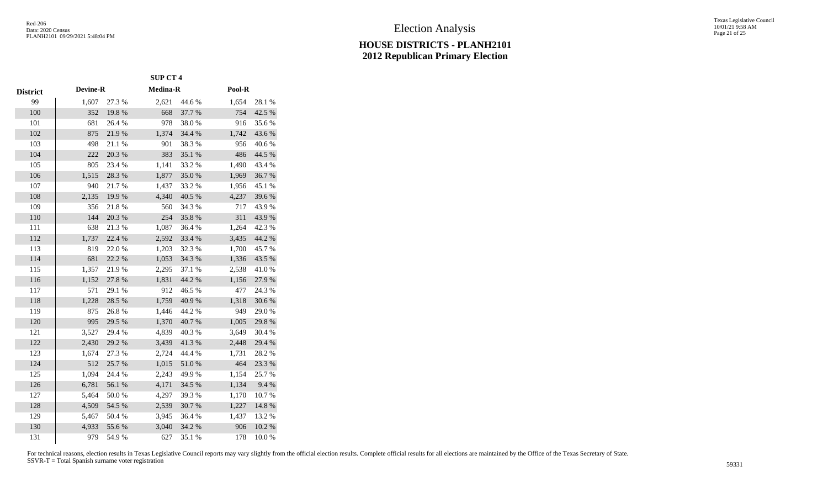|                 |                 |        | <b>SUP CT 4</b> |        |        |        |
|-----------------|-----------------|--------|-----------------|--------|--------|--------|
| <b>District</b> | <b>Devine-R</b> |        | Medina-R        |        | Pool-R |        |
| 99              | 1,607           | 27.3 % | 2,621           | 44.6 % | 1,654  | 28.1 % |
| 100             | 352             | 19.8%  | 668             | 37.7 % | 754    | 42.5 % |
| 101             | 681             | 26.4 % | 978             | 38.0%  | 916    | 35.6%  |
| 102             | 875             | 21.9%  | 1,374           | 34.4 % | 1,742  | 43.6%  |
| 103             | 498             | 21.1%  | 901             | 38.3%  | 956    | 40.6%  |
| 104             | 222             | 20.3 % | 383             | 35.1 % | 486    | 44.5 % |
| 105             | 805             | 23.4 % | 1,141           | 33.2 % | 1,490  | 43.4 % |
| 106             | 1,515           | 28.3 % | 1,877           | 35.0%  | 1,969  | 36.7%  |
| 107             | 940             | 21.7%  | 1,437           | 33.2 % | 1,956  | 45.1 % |
| 108             | 2,135           | 19.9%  | 4,340           | 40.5 % | 4,237  | 39.6%  |
| 109             | 356             | 21.8%  | 560             | 34.3 % | 717    | 43.9%  |
| 110             | 144             | 20.3 % | 254             | 35.8%  | 311    | 43.9%  |
| 111             | 638             | 21.3%  | 1,087           | 36.4%  | 1,264  | 42.3 % |
| 112             | 1,737           | 22.4 % | 2,592           | 33.4 % | 3,435  | 44.2 % |
| 113             | 819             | 22.0%  | 1,203           | 32.3 % | 1,700  | 45.7%  |
| 114             | 681             | 22.2 % | 1,053           | 34.3 % | 1,336  | 43.5 % |
| 115             | 1,357           | 21.9%  | 2,295           | 37.1 % | 2,538  | 41.0%  |
| 116             | 1,152           | 27.8 % | 1,831           | 44.2 % | 1,156  | 27.9%  |
| 117             | 571             | 29.1 % | 912             | 46.5 % | 477    | 24.3 % |
| 118             | 1,228           | 28.5 % | 1,759           | 40.9%  | 1,318  | 30.6%  |
| 119             | 875             | 26.8%  | 1,446           | 44.2 % | 949    | 29.0%  |
| 120             | 995             | 29.5 % | 1,370           | 40.7%  | 1,005  | 29.8%  |
| 121             | 3,527           | 29.4 % | 4,839           | 40.3%  | 3,649  | 30.4 % |
| 122             | 2,430           | 29.2 % | 3,439           | 41.3%  | 2,448  | 29.4 % |
| 123             | 1,674           | 27.3 % | 2,724           | 44.4 % | 1,731  | 28.2%  |
| 124             | 512             | 25.7%  | 1,015           | 51.0 % | 464    | 23.3 % |
| 125             | 1,094           | 24.4 % | 2,243           | 49.9%  | 1,154  | 25.7%  |
| 126             | 6,781           | 56.1 % | 4,171           | 34.5 % | 1,134  | 9.4 %  |
| 127             | 5,464           | 50.0%  | 4,297           | 39.3%  | 1,170  | 10.7%  |
| 128             | 4,509           | 54.5 % | 2,539           | 30.7%  | 1,227  | 14.8%  |
| 129             | 5,467           | 50.4 % | 3,945           | 36.4%  | 1,437  | 13.2 % |
| 130             | 4,933           | 55.6%  | 3,040           | 34.2 % | 906    | 10.2%  |
| 131             | 979             | 54.9%  | 627             | 35.1 % | 178    | 10.0%  |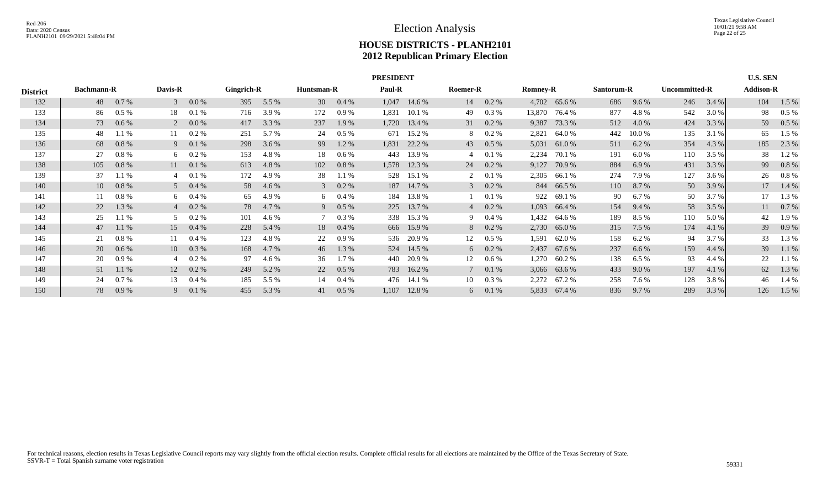|                 | <b>PRESIDENT</b><br><b>U.S. SEN</b><br><b>Addison-R</b><br>Davis-R<br>Gingrich-R<br><b>Paul-R</b><br><b>Bachmann-R</b><br>Roemer-R<br><b>Uncommitted-R</b><br>Huntsman-R<br><b>Romney-R</b><br>Santorum-R |         |                |                |     |       |             |                |       |                |                |          |        |              |     |         |     |       |     |         |
|-----------------|-----------------------------------------------------------------------------------------------------------------------------------------------------------------------------------------------------------|---------|----------------|----------------|-----|-------|-------------|----------------|-------|----------------|----------------|----------|--------|--------------|-----|---------|-----|-------|-----|---------|
| <b>District</b> |                                                                                                                                                                                                           |         |                |                |     |       |             |                |       |                |                |          |        |              |     |         |     |       |     |         |
| 132             | 48                                                                                                                                                                                                        | 0.7%    | $\mathcal{E}$  | 0.0 %          | 395 | 5.5 % | 30          | $0.4\%$        |       | $1,047$ 14.6 % | 14             | $0.2 \%$ |        | 4,702 65.6 % | 686 | 9.6 %   | 246 | 3.4 % | 104 | 1.5 %   |
| 133             | 86                                                                                                                                                                                                        | $0.5\%$ | 18             | 0.1%           | 716 | 3.9 % | 172         | 0.9%           | 1,831 | 10.1 %         | 49             | 0.3 %    | 13,870 | 76.4 %       | 877 | 4.8%    | 542 | 3.0 % | 98  | $0.5\%$ |
| 134             | 73                                                                                                                                                                                                        | 0.6 %   | $\overline{2}$ | 0.0 %          | 417 | 3.3 % | 237         | 1.9 %          | 1,720 | 13.4 %         | 31             | $0.2\%$  | 9,387  | 73.3 %       | 512 | 4.0 %   | 424 | 3.3 % | 59  | $0.5\%$ |
| 135             | 48                                                                                                                                                                                                        | 1.1%    | 11             | $0.2\%$        | 251 | 5.7 % | 24          | $0.5\%$        | 671   | 15.2 %         | 8              | $0.2 \%$ | 2,821  | 64.0 %       | 442 | 10.0 %  | 135 | 3.1 % | 65  | 1.5 %   |
| 136             | 68                                                                                                                                                                                                        | 0.8%    | 9              | 0.1%           | 298 | 3.6 % | 99          | 1.2%           | 1,831 | 22.2 %         | 43             | $0.5\%$  | 5,031  | 61.0 %       | 511 | 6.2%    | 354 | 4.3 % | 185 | 2.3 %   |
| 137             | 27                                                                                                                                                                                                        | 0.8 %   |                | 6 $0.2\%$      | 153 | 4.8%  | 18          | 0.6 %          | 443   | 13.9 %         | 4              | 0.1%     | 2,234  | 70.1 %       | 191 | 6.0 %   | 110 | 3.5 % | 38  | 1.2%    |
| 138             | 105                                                                                                                                                                                                       | 0.8%    |                | $11 \t 0.1 \%$ | 613 | 4.8%  | 102         | 0.8%           | 1,578 | 12.3 %         | 24             | $0.2 \%$ | 9,127  | 70.9 %       | 884 | 6.9%    | 431 | 3.3 % | 99  | 0.8%    |
| 139             | 37                                                                                                                                                                                                        | 1.1 %   |                | 0.1%           | 172 | 4.9 % | 38          | 1.1%           | 528   | 15.1 %         | 2              | 0.1 %    | 2,305  | 66.1 %       | 274 | 7.9 %   | 127 | 3.6 % | 26  | $0.8\%$ |
| 140             | 10                                                                                                                                                                                                        | 0.8 %   |                | $5\quad 0.4\%$ | 58  | 4.6 % |             | $3\quad 0.2\%$ |       | 187 14.7 %     | $\mathcal{E}$  | $0.2 \%$ | 844    | 66.5 %       | 110 | 8.7%    | 50  | 3.9 % | 17  | 1.4 %   |
| 141             | 11                                                                                                                                                                                                        | 0.8 %   |                | 6 $0.4\%$      | 65  | 4.9 % | 6           | $0.4\%$        | 184   | 13.8 %         |                | 0.1%     | 922    | 69.1 %       | 90  | 6.7%    | 50  | 3.7 % |     | 1.3 %   |
| 142             | 22                                                                                                                                                                                                        | 1.3 %   |                | $40.2\%$       | 78  | 4.7 % | 9           | $0.5\%$        | 225   | 13.7 %         | $\overline{4}$ | $0.2 \%$ | 1,093  | 66.4 %       | 154 | 9.4 %   | 58  | 3.5 % | 11  | $0.7\%$ |
| 143             | 25                                                                                                                                                                                                        | 1.1%    | $5^{\circ}$    | $0.2 \%$       | 101 | 4.6 % | $7^{\circ}$ | $0.3\%$        |       | 338 15.3 %     | 9              | $0.4\%$  | 1,432  | 64.6 %       | 189 | 8.5 %   | 110 | 5.0 % | 42  | 1.9%    |
| 144             | 47                                                                                                                                                                                                        | $1.1\%$ |                | 15 0.4 %       | 228 | 5.4 % | 18          | $0.4\%$        |       | 666 15.9 %     | 8              | $0.2\%$  | 2,730  | 65.0 %       | 315 | 7.5 %   | 174 | 4.1 % | 39  | 0.9%    |
| 145             | 21                                                                                                                                                                                                        | 0.8 %   | 11             | $0.4\%$        | 123 | 4.8%  | 22          | 0.9%           |       | 536 20.9 %     | 12             | $0.5\%$  | 1,591  | 62.0 %       | 158 | 6.2 %   | 94  | 3.7 % | 33  | 1.3%    |
| 146             | 20                                                                                                                                                                                                        | 0.6 %   | 10             | 0.3 %          | 168 | 4.7 % | 46          | 1.3 %          |       | 524 14.5 %     | 6              | $0.2\%$  | 2,437  | 67.6 %       | 237 | 6.6%    | 159 | 4.4 % | 39  | 1.1%    |
| 147             | 20                                                                                                                                                                                                        | 0.9%    |                | $0.2 \%$       | 97  | 4.6 % | 36          | 1.7 %          |       | 440 20.9 %     | 12             | 0.6 %    | 1,270  | 60.2%        | 138 | $6.5\%$ | 93  | 4.4 % | 22  | 1.1 %   |
| 148             | 51                                                                                                                                                                                                        | 1.1%    | 12             | $0.2\%$        | 249 | 5.2 % | 22          | $0.5\%$        |       | 783 16.2 %     | 7              | 0.1%     |        | 3,066 63.6 % | 433 | 9.0 %   | 197 | 4.1 % | 62  | 1.3 %   |
| 149             | 24                                                                                                                                                                                                        | 0.7%    | 13             | $0.4\%$        | 185 | 5.5 % | 14          | $0.4\%$        |       | 476 14.1 %     | 10             | 0.3 %    | 2,272  | 67.2%        | 258 | 7.6 %   | 128 | 3.8%  | 46  | 1.4 %   |
| 150             | 78                                                                                                                                                                                                        | 0.9%    | 9              | 0.1%           | 455 | 5.3 % | 41          | $0.5\%$        | 1,107 | 12.8 %         | 6              | 0.1%     | 5,833  | 67.4 %       | 836 | 9.7 %   | 289 | 3.3 % | 126 | 1.5 %   |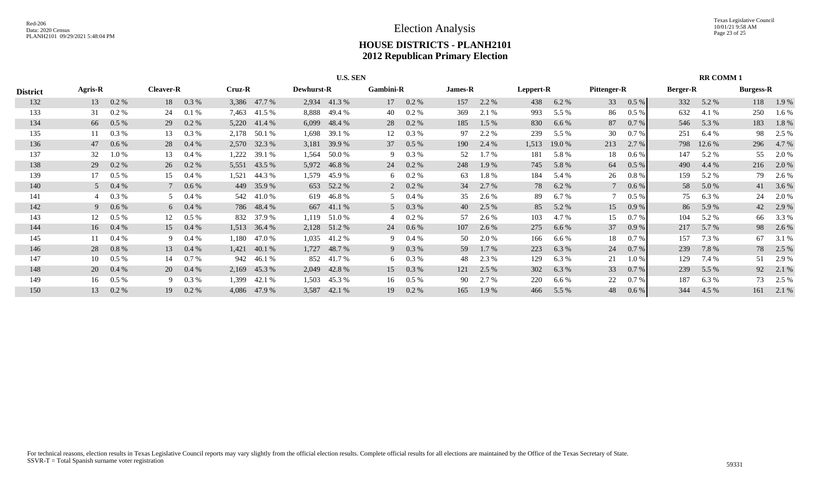|                 |                |         |                  |                                 |       |              |       | <b>U.S. SEN</b>   |                |                |                |         |           |         |             |         |                 | <b>RR COMM1</b> |                  |       |
|-----------------|----------------|---------|------------------|---------------------------------|-------|--------------|-------|-------------------|----------------|----------------|----------------|---------|-----------|---------|-------------|---------|-----------------|-----------------|------------------|-------|
| <b>District</b> | Agris-R        |         | <b>Cleaver-R</b> | Cruz-R<br>0.3 %<br>3,386 47.7 % |       |              |       | <b>Dewhurst-R</b> | Gambini-R      |                | <b>James-R</b> |         | Leppert-R |         | Pittenger-R |         | <b>Berger-R</b> |                 | <b>Burgess-R</b> |       |
| 132             | 13             | 0.2 %   | 18               |                                 |       |              | 2,934 | 41.3%             | 17             | $0.2 \%$       | 157            | 2.2 %   | 438       | 6.2%    | 33          | 0.5 %   | 332             | 5.2 %           | 118              | 1.9 % |
| 133             | 31             | 0.2 %   | 24               | 0.1%                            | 7,463 | 41.5 %       | 8,888 | 49.4 %            | 40             | 0.2 %          | 369            | 2.1 %   | 993       | 5.5 %   | 86          | $0.5\%$ | 632             | 4.1 %           | 250              | 1.6 % |
| 134             | 66             | $0.5\%$ | 29               | $0.2\%$                         |       | 5,220 41.4 % | 6,099 | 48.4 %            | 28             | $0.2 \%$       | 185            | $1.5\%$ | 830       | 6.6%    | 87          | 0.7 %   | 546             | 5.3 %           | 183              | 1.8%  |
| 135             |                | 0.3 %   | 13               | 0.3 %                           |       | 2,178 50.1 % | 1,698 | 39.1 %            | 12             | 0.3 %          | 97             | 2.2 %   | 239       | 5.5 %   | 30          | $0.7\%$ | 251             | 6.4%            | 98               | 2.5 % |
| 136             | 47             | 0.6 %   | 28               | $0.4\%$                         |       | 2,570 32.3 % | 3,181 | 39.9 %            | 37             | $0.5\%$        | 190            | 2.4 %   | 1,513     | 19.0 %  | 213         | 2.7%    | 798             | 12.6 %          | 296              | 4.7 % |
| 137             | 32             | 1.0%    | 13               | $0.4\%$                         | 1,222 | 39.1 %       | 1,564 | 50.0 %            | 9              | $0.3\%$        | 52             | $1.7\%$ | 181       | 5.8%    | 18          | $0.6\%$ | 147             | 5.2 %           | 55               | 2.0 % |
| 138             | 29             | 0.2 %   | 26               | $0.2\%$                         |       | 5,551 43.5 % |       | 5,972 46.8 %      | 24             | $0.2 \%$       | 248            | 1.9 %   | 745       | 5.8 %   | 64          | 0.5 %   | 490             | 4.4 %           | 216              | 2.0 % |
| 139             | 17             | $0.5\%$ | 15               | $0.4\%$                         | 1,521 | 44.3 %       | 1,579 | 45.9 %            | 6              | $0.2 \%$       | 63             | 1.8%    | 184       | 5.4 %   | 26          | $0.8\%$ | 159             | 5.2 %           | 79               | 2.6 % |
| 140             | 5 <sup>5</sup> | 0.4%    |                  | $0.6\%$                         |       | 449 35.9 %   |       | 653 52.2 %        |                | $2\quad 0.2\%$ | 34             | 2.7 %   | 78        | 6.2 %   |             | 0.6 %   | 58              | 5.0%            | 41               | 3.6 % |
| 141             |                | 0.3%    | 5                | $0.4\%$                         | 542   | 41.0 %       | 619   | 46.8 %            |                | $0.4\%$        | 35             | 2.6 %   | 89        | 6.7%    |             | $0.5\%$ | 75              | $6.3\%$         | 24               | 2.0 % |
| 142             | 9              | $0.6\%$ |                  | 6 $0.4\%$                       |       | 786 48.4 %   |       | 667 41.1 %        | 5 <sup>5</sup> | $0.3\%$        | 40             | 2.5 %   | 85        | 5.2 %   | 15          | 0.9%    | 86              | 5.9 %           | 42               | 2.9 % |
| 143             | 12             | $0.5\%$ | 12               | $0.5\%$                         |       | 832 37.9 %   | 1,119 | 51.0 %            |                | $0.2 \%$       | 57             | 2.6 %   | 103       | 4.7 %   | 15          | 0.7 %   | 104             | 5.2 %           | 66               | 3.3 % |
| 144             | 16             | $0.4\%$ | 15               | $0.4\%$                         | 1,513 | 36.4 %       | 2,128 | 51.2 %            | 24             | $0.6\%$        | 107            | 2.6 %   | 275       | 6.6%    | 37          | 0.9%    | 217             | 5.7 %           | 98               | 2.6 % |
| 145             |                | 0.4%    | 9                | $0.4\%$                         | 1,180 | 47.0 %       | 1,035 | 41.2 %            | 9              | $0.4\%$        | 50             | 2.0 %   | 166       | $6.6\%$ | 18          | 0.7%    | 157             | 7.3 %           | 67               | 3.1 % |
| 146             | 28             | 0.8%    | 13               | $0.4\%$                         | 1,421 | 40.1 %       | 1,727 | 48.7 %            | 9              | $0.3\%$        | 59             | 1.7 %   | 223       | 6.3%    | 24          | $0.7\%$ | 239             | 7.8 %           | 78               | 2.5 % |
| 147             | 10             | $0.5\%$ | 14               | 0.7 %                           | 942   | 46.1 %       |       | 852 41.7 %        | 6              | $0.3\%$        | 48             | 2.3 %   | 129       | 6.3%    | 21          | $1.0\%$ | 129             | 7.4 %           | 51               | 2.9 % |
| 148             | 20             | 0.4%    | 20               | $0.4\%$                         | 2,169 | 45.3 %       | 2,049 | 42.8%             | 15             | $0.3\%$        | 121            | 2.5 %   | 302       | 6.3%    | 33          | 0.7 %   | 239             | 5.5 %           | 92               | 2.1 % |
| 149             | 16             | $0.5\%$ | 9                | 0.3 %                           | 1,399 | 42.1 %       | 1,503 | 45.3 %            | 16             | $0.5\%$        | 90             | 2.7 %   | 220       | 6.6 %   | 22          | $0.7\%$ | 187             | 6.3 %           | 73               | 2.5 % |
| 150             | 13             | 0.2%    | 19               | $0.2\%$                         | 4,086 | 47.9 %       | 3,587 | 42.1 %            | 19             | $0.2\%$        | 165            | 1.9 %   | 466       | 5.5 %   | 48          | 0.6 %   | 344             | 4.5 %           | 161              | 2.1 % |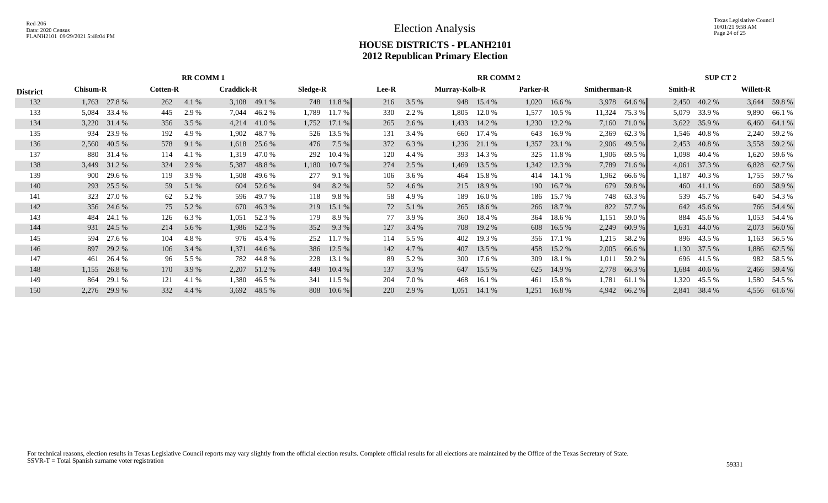Texas Legislative Council 10/01/21 9:58 AM Page 24 of 25

# **HOUSE DISTRICTS - PLANH2101 2012 Republican Primary Election**

|                 |                                                      |                                                                                                      |                 |       | <b>RR COMM1</b>   |              |            |            |       |         |                      | <b>RR COMM 2</b> |                 |            |              |              |                | SUP CT 2     |                  |              |
|-----------------|------------------------------------------------------|------------------------------------------------------------------------------------------------------|-----------------|-------|-------------------|--------------|------------|------------|-------|---------|----------------------|------------------|-----------------|------------|--------------|--------------|----------------|--------------|------------------|--------------|
| <b>District</b> | <b>Chisum-R</b>                                      |                                                                                                      | <b>Cotten-R</b> |       | <b>Craddick-R</b> |              | Sledge-R   |            | Lee-R |         | <b>Murray-Kolb-R</b> |                  | <b>Parker-R</b> |            | Smitherman-R |              | <b>Smith-R</b> |              | <b>Willett-R</b> |              |
| 132             | 1,763                                                | 27.8 %                                                                                               | 262             | 4.1 % |                   | 3,108 49.1 % |            | 748 11.8 % | 216   | $3.5\%$ |                      | 948 15.4 %       | 1,020           | 16.6%      |              | 3,978 64.6 % |                | 2,450 40.2 % |                  | 3,644 59.8 % |
| 133             | 5,084                                                | 33.4 %                                                                                               | 445             | 2.9 % | 7,044             | 46.2 %       | 1,789      | 11.7 %     | 330   | 2.2 %   | 1,805                | 12.0 %           | 1,577           | 10.5 %     | 11,324       | 75.3 %       | 5,079          | 33.9 %       | 9,890            | 66.1%        |
| 134             | 3,220                                                | 31.4 %                                                                                               | 356             | 3.5%  |                   | 4,214 41.0 % | 1,752      | 17.1 %     | 265   | 2.6 %   | 1,433                | 14.2 %           | 1,230           | 12.2 %     | 7,160        | 71.0 %       |                | 3,622 35.9 % |                  | 6,460 64.1 % |
| 135             | 934                                                  | 23.9 %                                                                                               | 192             | 4.9 % | 1,902             | 48.7 %       | 526        | 13.5 %     | 131   | 3.4 %   |                      | 660 17.4 %       | 643             | 16.9%      | 2,369        | 62.3 %       |                | 1,546 40.8 % |                  | 2,240 59.2 % |
| 136             |                                                      | 2,560 40.5 %                                                                                         | 578             | 9.1 % |                   | 1,618 25.6 % |            | 476 7.5 %  | 372   | 6.3 %   |                      | 1,236 21.1 %     | 1,357           | 23.1 %     | 2,906        | 49.5 %       |                | 2,453 40.8 % |                  | 3,558 59.2 % |
| 137             |                                                      | 880 31.4 %                                                                                           | 114             | 4.1 % | 1,319             | 47.0 %       | 292        | 10.4 %     | 120   | 4.4 %   | 393                  | 14.3 %           | 325             | 11.8%      | 1,906        | 69.5 %       | 1,098          | 40.4 %       | 1,620            | 59.6 %       |
| 138             |                                                      | 31.2 %<br>2.9 %<br>324<br>5,387<br>48.8%<br>3,449<br>900<br>29.6 %<br>119<br>3.9%<br>1,508<br>49.6 % |                 |       |                   |              | 1,180      | 10.7 %     | 274   | 2.5 %   | 1,469                | 13.5 %           | 1,342           | 12.3 %     | 7,789        | 71.6 %       | 4,061          | 37.3 %       |                  | 6,828 62.7 % |
| 139             |                                                      |                                                                                                      |                 |       |                   | 277          | 9.1%       | 106        | 3.6 % | 464     | 15.8%                | 414              | 14.1 %          | 1,962      | 66.6 %       | 1,187        | 40.3%          | 1,755        | 59.7 %           |              |
| 140             |                                                      | 293 25.5 %<br>604 52.6 %<br>5.1 %<br>59                                                              |                 |       |                   |              | 94         | 8.2 %      | 52    | 4.6 %   |                      | 215 18.9 %       |                 | 190 16.7 % | 679          | 59.8 %       |                | 460 41.1 %   |                  | 660 58.9%    |
| 141             | 323                                                  | 27.0 %                                                                                               | 62              | 5.2 % |                   | 596 49.7 %   | 118        | 9.8%       | 58    | 4.9 %   | 189                  | 16.0%            | 186             | 15.7 %     | 748          | 63.3 %       |                | 539 45.7 %   |                  | 640 54.3 %   |
| 142             |                                                      | 356 24.6 %                                                                                           | 75              | 5.2 % |                   | 670 46.3 %   |            | 219 15.1 % | 72    | 5.1 %   | 265                  | 18.6 %           |                 | 266 18.7 % | 822          | 57.7 %       |                | 642 45.6 %   |                  | 766 54.4 %   |
| 143             | 484                                                  | 24.1 %                                                                                               | 126             | 6.3 % | 1,051             | 52.3 %       | 179        | 8.9%       | 77    | 3.9%    | 360                  | 18.4 %           | 364             | 18.6 %     | 1,151        | 59.0 %       |                | 884 45.6 %   | 1,053            | 54.4 %       |
| 144             |                                                      | 931 24.5 %                                                                                           | 214             | 5.6 % |                   | 1,986 52.3 % | 352        | 9.3 %      | 127   | 3.4 %   |                      | 708 19.2 %       |                 | 608 16.5 % | 2,249        | 60.9%        |                | 1,631 44.0 % |                  | 2,073 56.0 % |
| 145             | 594                                                  | 27.6 %                                                                                               | 104             | 4.8%  |                   | 976 45.4 %   | 252        | 11.7 %     | 114   | 5.5 %   | 402                  | 19.3 %           | 356             | 17.1 %     | 1,215        | 58.2 %       |                | 896 43.5 %   | 1,163            | 56.5 %       |
| 146             | 897                                                  | 29.2 %                                                                                               | 106             | 3.4 % | 1,371             | 44.6 %       |            | 386 12.5 % | 142   | 4.7 %   | 407                  | 13.5 %           |                 | 458 15.2 % | 2,005        | 66.6 %       |                | 1,130 37.5 % |                  | 1,886 62.5 % |
| 147             | 228<br>26.4 %<br>5.5 %<br>782<br>44.8 %<br>461<br>96 |                                                                                                      |                 |       |                   |              | 13.1 %     | 89         | 5.2 % | 300     | 17.6 %               | 309              | 18.1 %          | 1,011      | 59.2 %       |              | 696 41.5 %     |              | 982 58.5 %       |              |
| 148             | 26.8%<br>3.9 %<br>2,207 51.2 %<br>1,155<br>170       |                                                                                                      |                 |       |                   |              | 449 10.4 % | 137        | 3.3 % |         | 647 15.5 %           |                  | 625 14.9 %      | 2,778      | 66.3 %       |              | 1,684 40.6 %   |              | 2,466 59.4 %     |              |
| 149             | 864                                                  | 29.1 %<br>341 11.5 %<br>121<br>4.1 %<br>1,380<br>46.5 %                                              |                 |       |                   |              | 204        | 7.0 %      | 468   | 16.1%   | 461                  | 15.8%            | 1,781           | 61.1 %     | 1,320        | 45.5 %       |                | 1,580 54.5 % |                  |              |
| 150             | 2,276                                                | 29.9 %                                                                                               | 332             | 4.4 % |                   | 3,692 48.5 % |            | 808 10.6 % | 220   | 2.9 %   | 1,051                | 14.1 %           | 1,251           | 16.8%      | 4,942        | 66.2 %       | 2,841          | 38.4 %       |                  | 4,556 61.6 % |